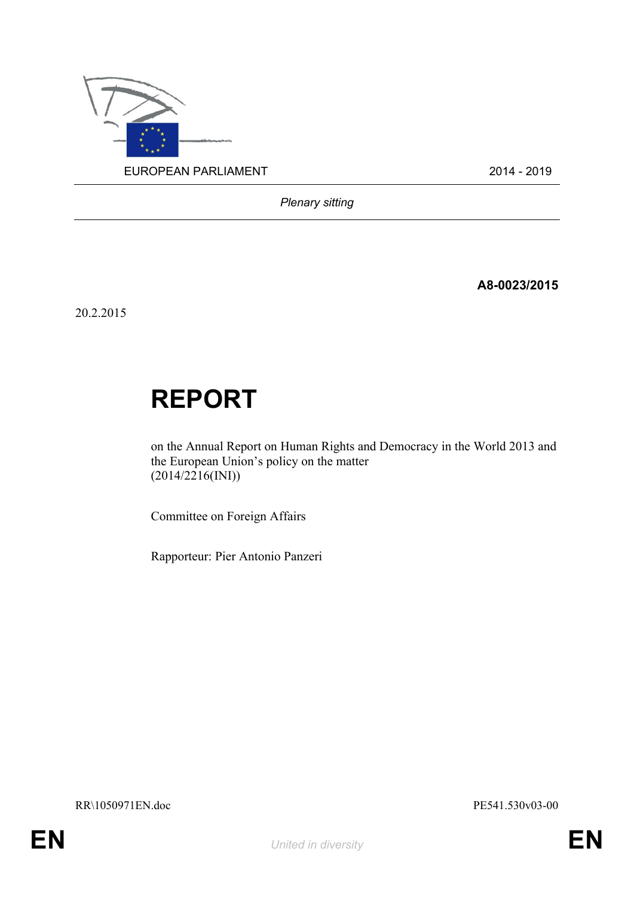

*Plenary sitting*

**A8-0023/2015**

20.2.2015

# **REPORT**

on the Annual Report on Human Rights and Democracy in the World 2013 and the European Union's policy on the matter  $(2014/2216$ (INI))

Committee on Foreign Affairs

Rapporteur: Pier Antonio Panzeri

RR\1050971EN.doc PE541.530v03-00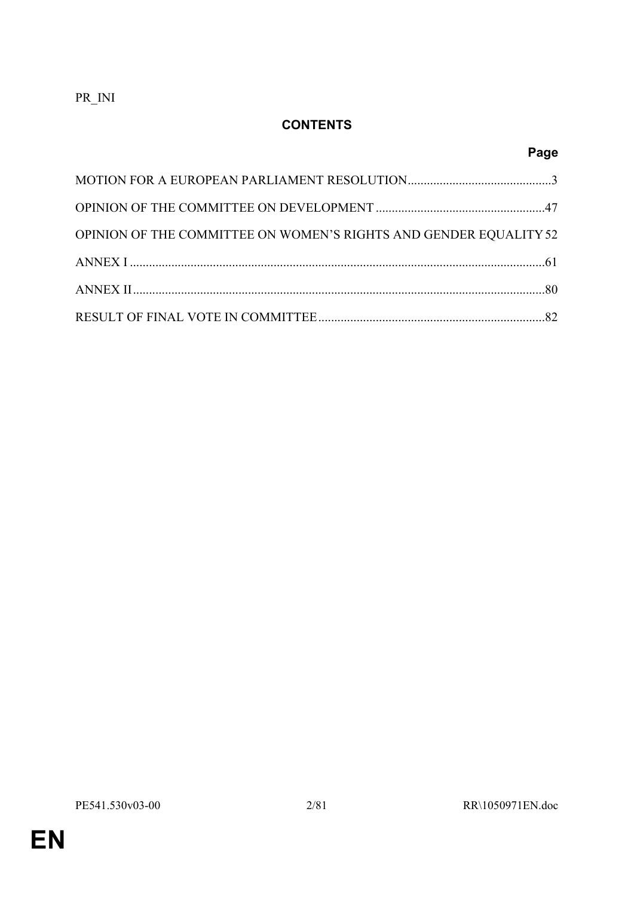PR\_INI

# **CONTENTS**

# **Page**

| OPINION OF THE COMMITTEE ON WOMEN'S RIGHTS AND GENDER EQUALITY 52 |  |
|-------------------------------------------------------------------|--|
|                                                                   |  |
|                                                                   |  |
|                                                                   |  |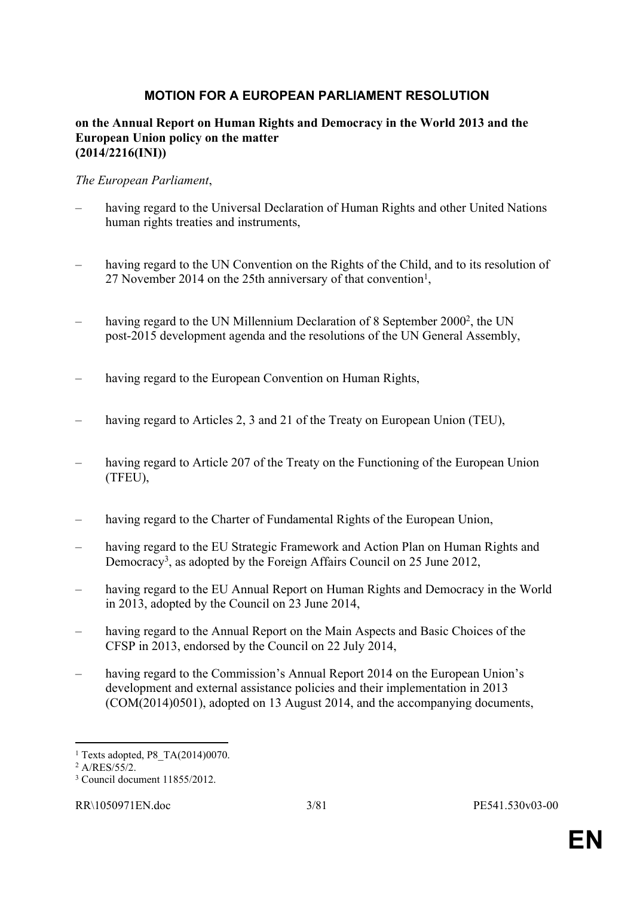# <span id="page-2-0"></span>**MOTION FOR A EUROPEAN PARLIAMENT RESOLUTION**

#### **on the Annual Report on Human Rights and Democracy in the World 2013 and the European Union policy on the matter (2014/2216(INI))**

#### *The European Parliament*,

- having regard to the Universal Declaration of Human Rights and other United Nations human rights treaties and instruments,
- having regard to the UN Convention on the Rights of the Child, and to its resolution of 27 November 2014 on the 25th anniversary of that convention<sup>1</sup>,
- having regard to the UN Millennium Declaration of 8 September 2000<sup>2</sup>, the UN post-2015 development agenda and the resolutions of the UN General Assembly,
- having regard to the European Convention on Human Rights,
- having regard to Articles 2, 3 and 21 of the Treaty on European Union (TEU),
- having regard to Article 207 of the Treaty on the Functioning of the European Union (TFEU),
- having regard to the Charter of Fundamental Rights of the European Union,
- having regard to the EU Strategic Framework and Action Plan on Human Rights and Democracy<sup>3</sup>, as adopted by the Foreign Affairs Council on 25 June 2012,
- having regard to the EU Annual Report on Human Rights and Democracy in the World in 2013, adopted by the Council on 23 June 2014,
- having regard to the Annual Report on the Main Aspects and Basic Choices of the CFSP in 2013, endorsed by the Council on 22 July 2014,
- having regard to the Commission's Annual Report 2014 on the European Union's development and external assistance policies and their implementation in 2013 (COM(2014)0501), adopted on 13 August 2014, and the accompanying documents,

<sup>1</sup> Texts adopted, P8\_TA(2014)0070.

<sup>2</sup> A/RES/55/2.

<sup>3</sup> Council document 11855/2012.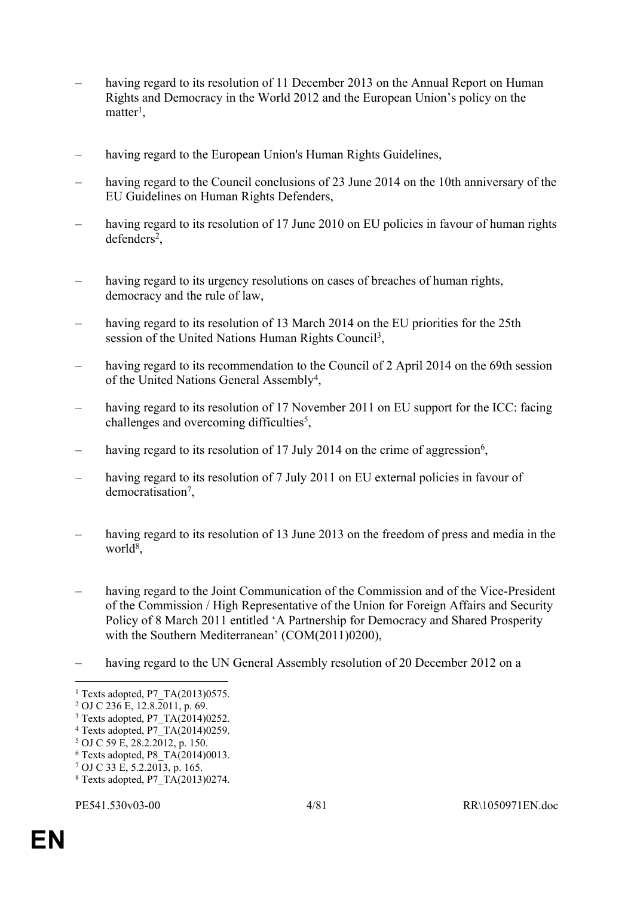- having regard to its resolution of 11 December 2013 on the Annual Report on Human Rights and Democracy in the World 2012 and the European Union's policy on the  $matter<sup>1</sup>$ ,
- having regard to the European Union's Human Rights Guidelines,
- having regard to the Council conclusions of 23 June 2014 on the 10th anniversary of the EU Guidelines on Human Rights Defenders,
- having regard to its resolution of 17 June 2010 on EU policies in favour of human rights defenders<sup>2</sup>,
- having regard to its urgency resolutions on cases of breaches of human rights, democracy and the rule of law,
- having regard to its resolution of 13 March 2014 on the EU priorities for the 25th session of the United Nations Human Rights Council<sup>3</sup>,
- having regard to its recommendation to the Council of 2 April 2014 on the 69th session of the United Nations General Assembly<sup>4</sup>,
- having regard to its resolution of 17 November 2011 on EU support for the ICC: facing challenges and overcoming difficulties<sup>5</sup>,
- having regard to its resolution of 17 July 2014 on the crime of aggression<sup>6</sup>,
- having regard to its resolution of 7 July 2011 on EU external policies in favour of democratisation<sup>7</sup>,
- having regard to its resolution of 13 June 2013 on the freedom of press and media in the world<sup>8</sup>,
- having regard to the Joint Communication of the Commission and of the Vice-President of the Commission / High Representative of the Union for Foreign Affairs and Security Policy of 8 March 2011 entitled 'A Partnership for Democracy and Shared Prosperity with the Southern Mediterranean' (COM(2011)0200),
- having regard to the UN General Assembly resolution of 20 December 2012 on a

6 Texts adopted, P8\_TA(2014)0013.

<sup>1</sup> Texts adopted, P7\_TA(2013)0575.

<sup>2</sup> OJ C 236 E, 12.8.2011, p. 69.

<sup>3</sup> Texts adopted, P7\_TA(2014)0252.

<sup>4</sup> Texts adopted, P7\_TA(2014)0259.

<sup>5</sup> OJ C 59 E, 28.2.2012, p. 150.

<sup>7</sup> OJ C 33 E, 5.2.2013, p. 165.

<sup>8</sup> Texts adopted, P7\_TA(2013)0274.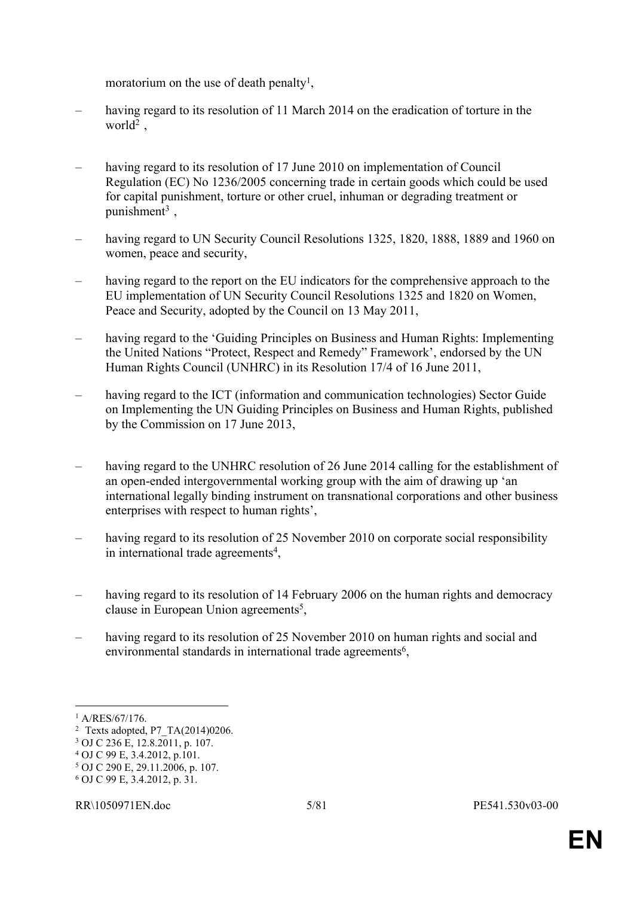moratorium on the use of death penalty<sup>1</sup>,

- having regard to its resolution of 11 March 2014 on the eradication of torture in the  $world<sup>2</sup>$ ,
- having regard to its resolution of 17 June 2010 on implementation of Council Regulation (EC) No 1236/2005 concerning trade in certain goods which could be used for capital punishment, torture or other cruel, inhuman or degrading treatment or punishment<sup>3</sup>,
- having regard to UN Security Council Resolutions 1325, 1820, 1888, 1889 and 1960 on women, peace and security,
- having regard to the report on the EU indicators for the comprehensive approach to the EU implementation of UN Security Council Resolutions 1325 and 1820 on Women, Peace and Security, adopted by the Council on 13 May 2011,
- having regard to the 'Guiding Principles on Business and Human Rights: Implementing the United Nations "Protect, Respect and Remedy" Framework', endorsed by the UN Human Rights Council (UNHRC) in its Resolution 17/4 of 16 June 2011,
- having regard to the ICT (information and communication technologies) Sector Guide on Implementing the UN Guiding Principles on Business and Human Rights, published by the Commission on 17 June 2013,
- having regard to the UNHRC resolution of 26 June 2014 calling for the establishment of an open-ended intergovernmental working group with the aim of drawing up 'an international legally binding instrument on transnational corporations and other business enterprises with respect to human rights',
- having regard to its resolution of 25 November 2010 on corporate social responsibility in international trade agreements<sup>4</sup>,
- having regard to its resolution of 14 February 2006 on the human rights and democracy clause in European Union agreements<sup>5</sup>,
- having regard to its resolution of 25 November 2010 on human rights and social and environmental standards in international trade agreements<sup>6</sup>,

<sup>1</sup> A/RES/67/176.

<sup>2</sup> Texts adopted, P7\_TA(2014)0206.

<sup>3</sup> OJ C 236 E, 12.8.2011, p. 107.

<sup>4</sup> OJ C 99 E, 3.4.2012, p.101.

<sup>5</sup> OJ C 290 E, 29.11.2006, p. 107.

<sup>6</sup> OJ C 99 E, 3.4.2012, p. 31.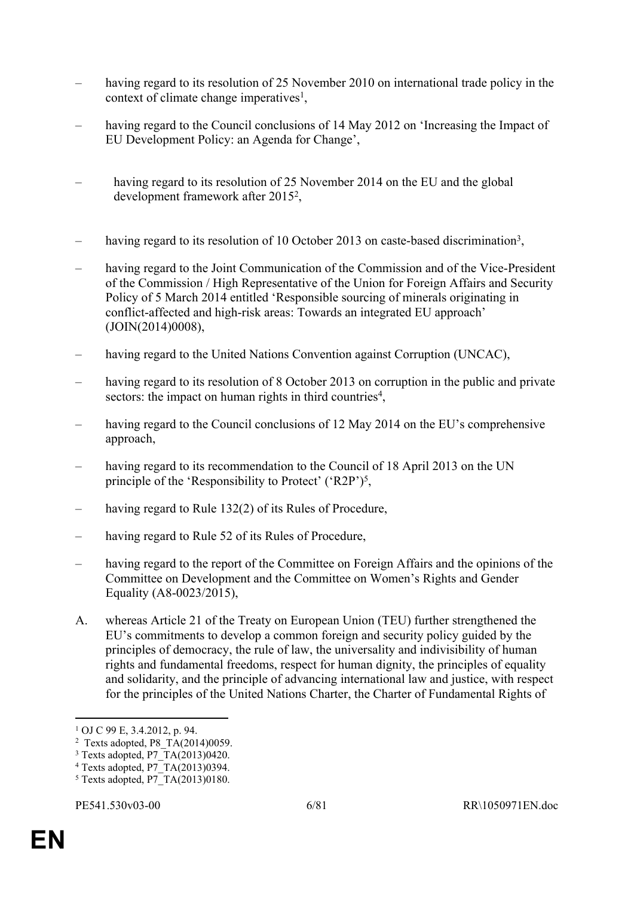- having regard to its resolution of 25 November 2010 on international trade policy in the context of climate change imperatives<sup>1</sup>,
- having regard to the Council conclusions of 14 May 2012 on 'Increasing the Impact of EU Development Policy: an Agenda for Change',
- having regard to its resolution of 25 November 2014 on the EU and the global development framework after 2015<sup>2</sup> ,
- having regard to its resolution of 10 October 2013 on caste-based discrimination<sup>3</sup>,
- having regard to the Joint Communication of the Commission and of the Vice-President of the Commission / High Representative of the Union for Foreign Affairs and Security Policy of 5 March 2014 entitled 'Responsible sourcing of minerals originating in conflict-affected and high-risk areas: Towards an integrated EU approach' (JOIN(2014)0008),
- having regard to the United Nations Convention against Corruption (UNCAC),
- having regard to its resolution of 8 October 2013 on corruption in the public and private sectors: the impact on human rights in third countries<sup>4</sup>,
- having regard to the Council conclusions of 12 May 2014 on the EU's comprehensive approach,
- having regard to its recommendation to the Council of 18 April 2013 on the UN principle of the 'Responsibility to Protect' ('R2P')<sup>5</sup>,
- having regard to Rule 132(2) of its Rules of Procedure,
- having regard to Rule 52 of its Rules of Procedure.
- having regard to the report of the Committee on Foreign Affairs and the opinions of the Committee on Development and the Committee on Women's Rights and Gender Equality (A8-0023/2015),
- A. whereas Article 21 of the Treaty on European Union (TEU) further strengthened the EU's commitments to develop a common foreign and security policy guided by the principles of democracy, the rule of law, the universality and indivisibility of human rights and fundamental freedoms, respect for human dignity, the principles of equality and solidarity, and the principle of advancing international law and justice, with respect for the principles of the United Nations Charter, the Charter of Fundamental Rights of

<sup>1</sup> OJ C 99 E, 3.4.2012, p. 94.

<sup>&</sup>lt;sup>2</sup> Texts adopted, P8  $TA(2014)0059$ .

<sup>3</sup> Texts adopted, P7\_TA(2013)0420.

<sup>4</sup> Texts adopted, P7\_TA(2013)0394.

<sup>5</sup> Texts adopted, P7\_TA(2013)0180.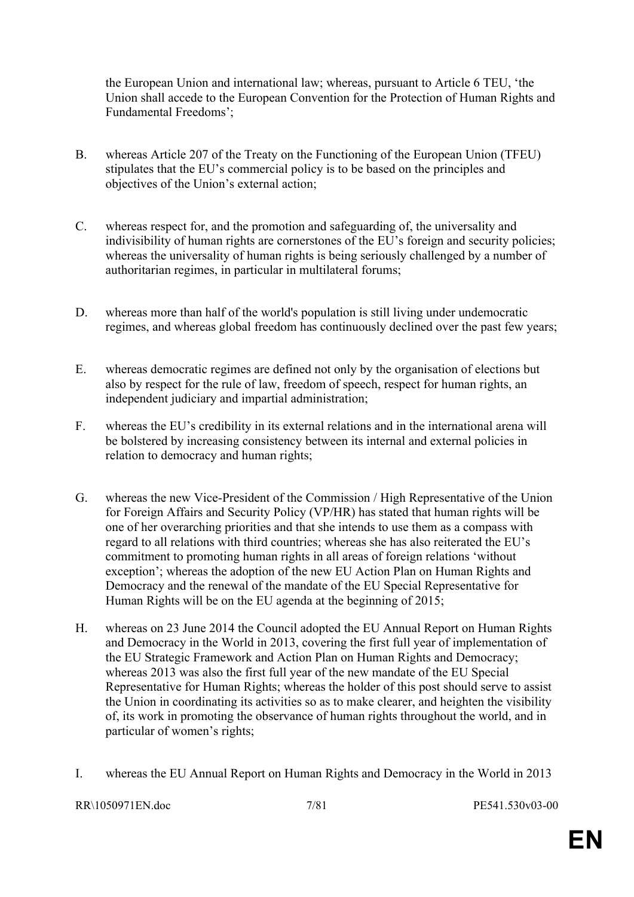the European Union and international law; whereas, pursuant to Article 6 TEU, 'the Union shall accede to the European Convention for the Protection of Human Rights and Fundamental Freedoms';

- B. whereas Article 207 of the Treaty on the Functioning of the European Union (TFEU) stipulates that the EU's commercial policy is to be based on the principles and objectives of the Union's external action;
- C. whereas respect for, and the promotion and safeguarding of, the universality and indivisibility of human rights are cornerstones of the EU's foreign and security policies; whereas the universality of human rights is being seriously challenged by a number of authoritarian regimes, in particular in multilateral forums;
- D. whereas more than half of the world's population is still living under undemocratic regimes, and whereas global freedom has continuously declined over the past few years;
- E. whereas democratic regimes are defined not only by the organisation of elections but also by respect for the rule of law, freedom of speech, respect for human rights, an independent judiciary and impartial administration;
- F. whereas the EU's credibility in its external relations and in the international arena will be bolstered by increasing consistency between its internal and external policies in relation to democracy and human rights;
- G. whereas the new Vice-President of the Commission / High Representative of the Union for Foreign Affairs and Security Policy (VP/HR) has stated that human rights will be one of her overarching priorities and that she intends to use them as a compass with regard to all relations with third countries; whereas she has also reiterated the EU's commitment to promoting human rights in all areas of foreign relations 'without exception'; whereas the adoption of the new EU Action Plan on Human Rights and Democracy and the renewal of the mandate of the EU Special Representative for Human Rights will be on the EU agenda at the beginning of 2015;
- H. whereas on 23 June 2014 the Council adopted the EU Annual Report on Human Rights and Democracy in the World in 2013, covering the first full year of implementation of the EU Strategic Framework and Action Plan on Human Rights and Democracy; whereas 2013 was also the first full year of the new mandate of the EU Special Representative for Human Rights; whereas the holder of this post should serve to assist the Union in coordinating its activities so as to make clearer, and heighten the visibility of, its work in promoting the observance of human rights throughout the world, and in particular of women's rights;
- I. whereas the EU Annual Report on Human Rights and Democracy in the World in 2013

#### RR\1050971EN.doc 7/81 PE541.530v03-00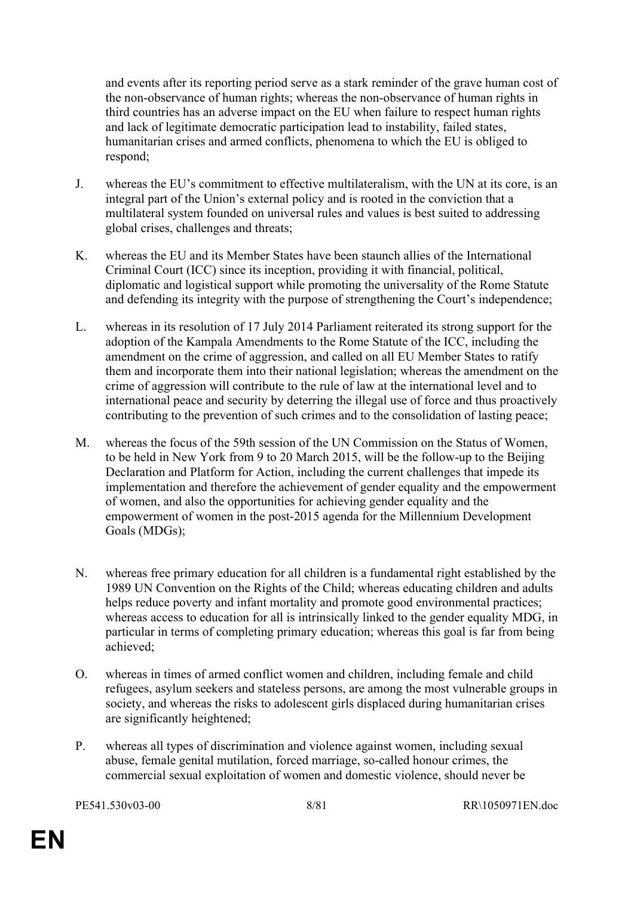and events after its reporting period serve as a stark reminder of the grave human cost of the non-observance of human rights; whereas the non-observance of human rights in third countries has an adverse impact on the EU when failure to respect human rights and lack of legitimate democratic participation lead to instability, failed states, humanitarian crises and armed conflicts, phenomena to which the EU is obliged to respond;

- J. whereas the EU's commitment to effective multilateralism, with the UN at its core, is an integral part of the Union's external policy and is rooted in the conviction that a multilateral system founded on universal rules and values is best suited to addressing global crises, challenges and threats;
- K. whereas the EU and its Member States have been staunch allies of the International Criminal Court (ICC) since its inception, providing it with financial, political, diplomatic and logistical support while promoting the universality of the Rome Statute and defending its integrity with the purpose of strengthening the Court's independence;
- L. whereas in its resolution of 17 July 2014 Parliament reiterated its strong support for the adoption of the Kampala Amendments to the Rome Statute of the ICC, including the amendment on the crime of aggression, and called on all EU Member States to ratify them and incorporate them into their national legislation; whereas the amendment on the crime of aggression will contribute to the rule of law at the international level and to international peace and security by deterring the illegal use of force and thus proactively contributing to the prevention of such crimes and to the consolidation of lasting peace;
- M. whereas the focus of the 59th session of the UN Commission on the Status of Women, to be held in New York from 9 to 20 March 2015, will be the follow-up to the Beijing Declaration and Platform for Action, including the current challenges that impede its implementation and therefore the achievement of gender equality and the empowerment of women, and also the opportunities for achieving gender equality and the empowerment of women in the post-2015 agenda for the Millennium Development Goals (MDGs);
- N. whereas free primary education for all children is a fundamental right established by the 1989 UN Convention on the Rights of the Child; whereas educating children and adults helps reduce poverty and infant mortality and promote good environmental practices; whereas access to education for all is intrinsically linked to the gender equality MDG, in particular in terms of completing primary education; whereas this goal is far from being achieved;
- O. whereas in times of armed conflict women and children, including female and child refugees, asylum seekers and stateless persons, are among the most vulnerable groups in society, and whereas the risks to adolescent girls displaced during humanitarian crises are significantly heightened;
- P. whereas all types of discrimination and violence against women, including sexual abuse, female genital mutilation, forced marriage, so-called honour crimes, the commercial sexual exploitation of women and domestic violence, should never be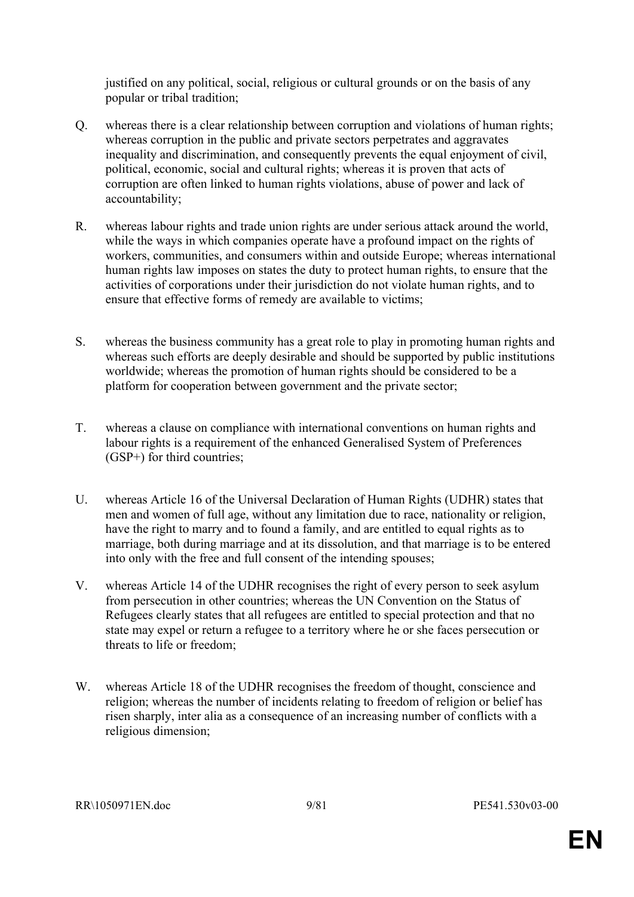justified on any political, social, religious or cultural grounds or on the basis of any popular or tribal tradition;

- Q. whereas there is a clear relationship between corruption and violations of human rights; whereas corruption in the public and private sectors perpetrates and aggravates inequality and discrimination, and consequently prevents the equal enjoyment of civil, political, economic, social and cultural rights; whereas it is proven that acts of corruption are often linked to human rights violations, abuse of power and lack of accountability;
- R. whereas labour rights and trade union rights are under serious attack around the world, while the ways in which companies operate have a profound impact on the rights of workers, communities, and consumers within and outside Europe; whereas international human rights law imposes on states the duty to protect human rights, to ensure that the activities of corporations under their jurisdiction do not violate human rights, and to ensure that effective forms of remedy are available to victims;
- S. whereas the business community has a great role to play in promoting human rights and whereas such efforts are deeply desirable and should be supported by public institutions worldwide; whereas the promotion of human rights should be considered to be a platform for cooperation between government and the private sector;
- T. whereas a clause on compliance with international conventions on human rights and labour rights is a requirement of the enhanced Generalised System of Preferences (GSP+) for third countries;
- U. whereas Article 16 of the Universal Declaration of Human Rights (UDHR) states that men and women of full age, without any limitation due to race, nationality or religion, have the right to marry and to found a family, and are entitled to equal rights as to marriage, both during marriage and at its dissolution, and that marriage is to be entered into only with the free and full consent of the intending spouses;
- V. whereas Article 14 of the UDHR recognises the right of every person to seek asylum from persecution in other countries; whereas the UN Convention on the Status of Refugees clearly states that all refugees are entitled to special protection and that no state may expel or return a refugee to a territory where he or she faces persecution or threats to life or freedom;
- W. whereas Article 18 of the UDHR recognises the freedom of thought, conscience and religion; whereas the number of incidents relating to freedom of religion or belief has risen sharply, inter alia as a consequence of an increasing number of conflicts with a religious dimension;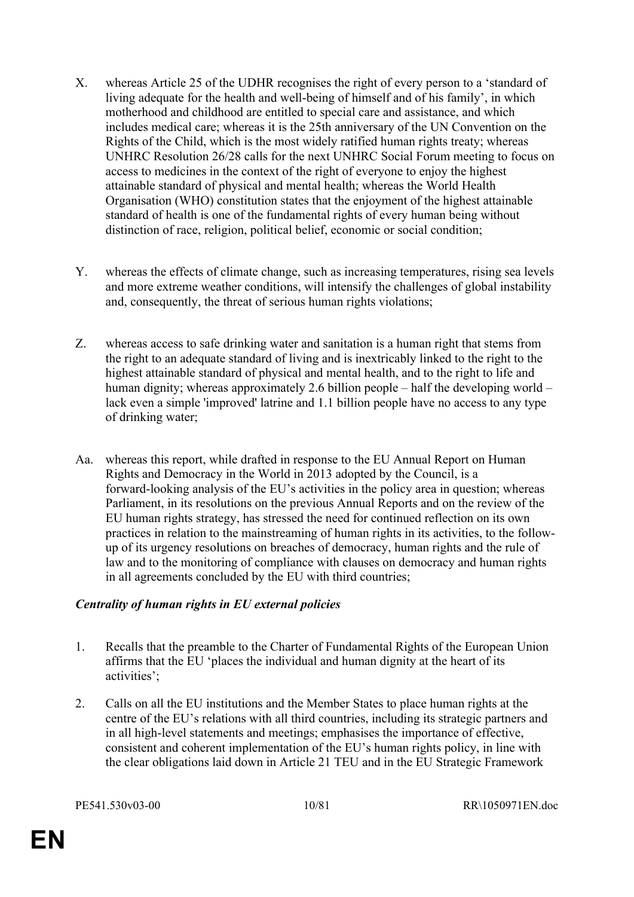- X. whereas Article 25 of the UDHR recognises the right of every person to a 'standard of living adequate for the health and well-being of himself and of his family', in which motherhood and childhood are entitled to special care and assistance, and which includes medical care; whereas it is the 25th anniversary of the UN Convention on the Rights of the Child, which is the most widely ratified human rights treaty; whereas UNHRC Resolution 26/28 calls for the next UNHRC Social Forum meeting to focus on access to medicines in the context of the right of everyone to enjoy the highest attainable standard of physical and mental health; whereas the World Health Organisation (WHO) constitution states that the enjoyment of the highest attainable standard of health is one of the fundamental rights of every human being without distinction of race, religion, political belief, economic or social condition;
- Y. whereas the effects of climate change, such as increasing temperatures, rising sea levels and more extreme weather conditions, will intensify the challenges of global instability and, consequently, the threat of serious human rights violations;
- Z. whereas access to safe drinking water and sanitation is a human right that stems from the right to an adequate standard of living and is inextricably linked to the right to the highest attainable standard of physical and mental health, and to the right to life and human dignity; whereas approximately 2.6 billion people – half the developing world – lack even a simple 'improved' latrine and 1.1 billion people have no access to any type of drinking water;
- Aa. whereas this report, while drafted in response to the EU Annual Report on Human Rights and Democracy in the World in 2013 adopted by the Council, is a forward-looking analysis of the EU's activities in the policy area in question; whereas Parliament, in its resolutions on the previous Annual Reports and on the review of the EU human rights strategy, has stressed the need for continued reflection on its own practices in relation to the mainstreaming of human rights in its activities, to the followup of its urgency resolutions on breaches of democracy, human rights and the rule of law and to the monitoring of compliance with clauses on democracy and human rights in all agreements concluded by the EU with third countries;

# *Centrality of human rights in EU external policies*

- 1. Recalls that the preamble to the Charter of Fundamental Rights of the European Union affirms that the EU 'places the individual and human dignity at the heart of its activities';
- 2. Calls on all the EU institutions and the Member States to place human rights at the centre of the EU's relations with all third countries, including its strategic partners and in all high-level statements and meetings; emphasises the importance of effective, consistent and coherent implementation of the EU's human rights policy, in line with the clear obligations laid down in Article 21 TEU and in the EU Strategic Framework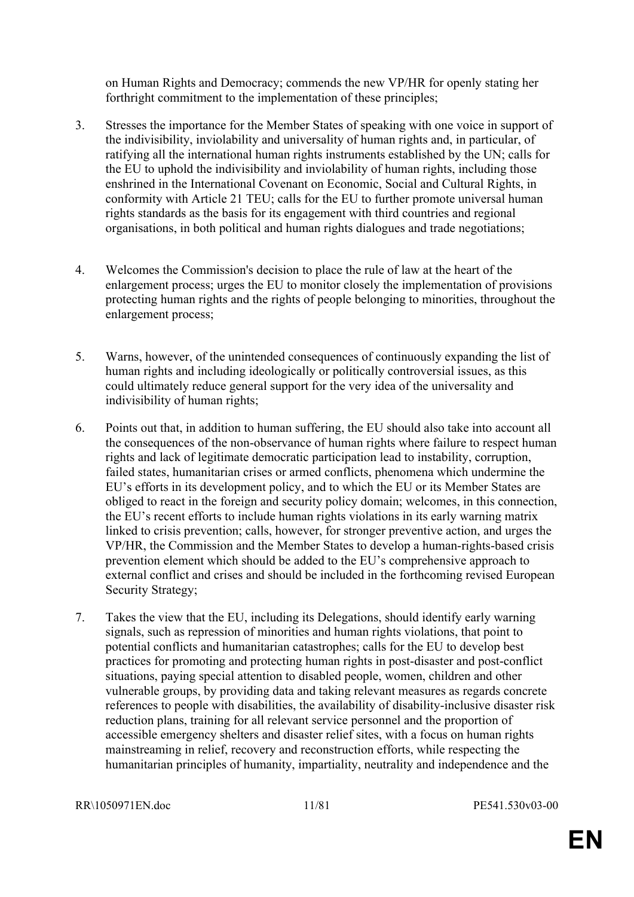on Human Rights and Democracy; commends the new VP/HR for openly stating her forthright commitment to the implementation of these principles;

- 3. Stresses the importance for the Member States of speaking with one voice in support of the indivisibility, inviolability and universality of human rights and, in particular, of ratifying all the international human rights instruments established by the UN; calls for the EU to uphold the indivisibility and inviolability of human rights, including those enshrined in the International Covenant on Economic, Social and Cultural Rights, in conformity with Article 21 TEU; calls for the EU to further promote universal human rights standards as the basis for its engagement with third countries and regional organisations, in both political and human rights dialogues and trade negotiations;
- 4. Welcomes the Commission's decision to place the rule of law at the heart of the enlargement process; urges the EU to monitor closely the implementation of provisions protecting human rights and the rights of people belonging to minorities, throughout the enlargement process;
- 5. Warns, however, of the unintended consequences of continuously expanding the list of human rights and including ideologically or politically controversial issues, as this could ultimately reduce general support for the very idea of the universality and indivisibility of human rights;
- 6. Points out that, in addition to human suffering, the EU should also take into account all the consequences of the non-observance of human rights where failure to respect human rights and lack of legitimate democratic participation lead to instability, corruption, failed states, humanitarian crises or armed conflicts, phenomena which undermine the EU's efforts in its development policy, and to which the EU or its Member States are obliged to react in the foreign and security policy domain; welcomes, in this connection, the EU's recent efforts to include human rights violations in its early warning matrix linked to crisis prevention; calls, however, for stronger preventive action, and urges the VP/HR, the Commission and the Member States to develop a human-rights-based crisis prevention element which should be added to the EU's comprehensive approach to external conflict and crises and should be included in the forthcoming revised European Security Strategy;
- 7. Takes the view that the EU, including its Delegations, should identify early warning signals, such as repression of minorities and human rights violations, that point to potential conflicts and humanitarian catastrophes; calls for the EU to develop best practices for promoting and protecting human rights in post-disaster and post-conflict situations, paying special attention to disabled people, women, children and other vulnerable groups, by providing data and taking relevant measures as regards concrete references to people with disabilities, the availability of disability-inclusive disaster risk reduction plans, training for all relevant service personnel and the proportion of accessible emergency shelters and disaster relief sites, with a focus on human rights mainstreaming in relief, recovery and reconstruction efforts, while respecting the humanitarian principles of humanity, impartiality, neutrality and independence and the

RR\1050971EN.doc 11/81 PE541.530v03-00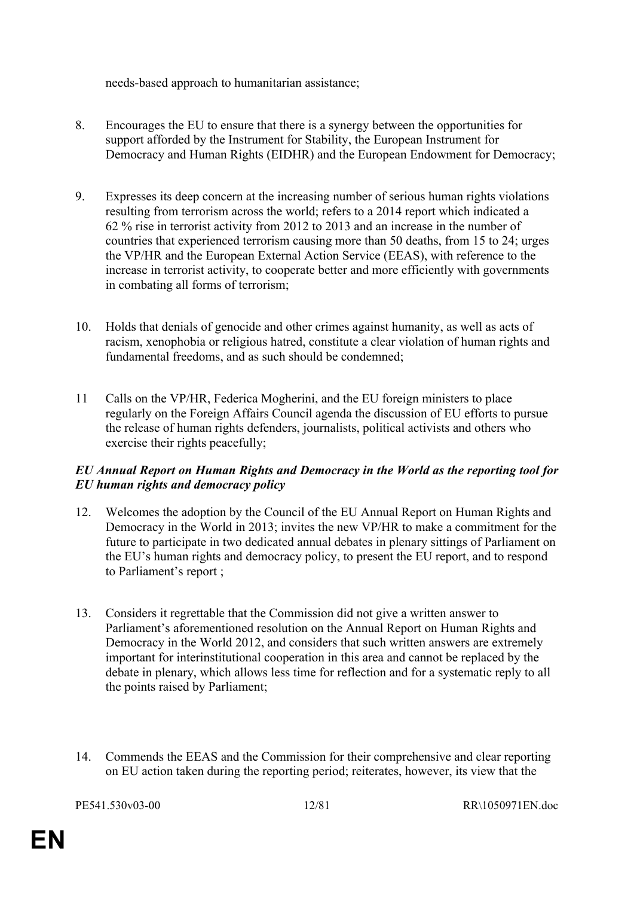needs-based approach to humanitarian assistance;

- 8. Encourages the EU to ensure that there is a synergy between the opportunities for support afforded by the Instrument for Stability, the European Instrument for Democracy and Human Rights (EIDHR) and the European Endowment for Democracy;
- 9. Expresses its deep concern at the increasing number of serious human rights violations resulting from terrorism across the world; refers to a 2014 report which indicated a 62 % rise in terrorist activity from 2012 to 2013 and an increase in the number of countries that experienced terrorism causing more than 50 deaths, from 15 to 24; urges the VP/HR and the European External Action Service (EEAS), with reference to the increase in terrorist activity, to cooperate better and more efficiently with governments in combating all forms of terrorism;
- 10. Holds that denials of genocide and other crimes against humanity, as well as acts of racism, xenophobia or religious hatred, constitute a clear violation of human rights and fundamental freedoms, and as such should be condemned;
- 11 Calls on the VP/HR, Federica Mogherini, and the EU foreign ministers to place regularly on the Foreign Affairs Council agenda the discussion of EU efforts to pursue the release of human rights defenders, journalists, political activists and others who exercise their rights peacefully;

#### *EU Annual Report on Human Rights and Democracy in the World as the reporting tool for EU human rights and democracy policy*

- 12. Welcomes the adoption by the Council of the EU Annual Report on Human Rights and Democracy in the World in 2013; invites the new VP/HR to make a commitment for the future to participate in two dedicated annual debates in plenary sittings of Parliament on the EU's human rights and democracy policy, to present the EU report, and to respond to Parliament's report ;
- 13. Considers it regrettable that the Commission did not give a written answer to Parliament's aforementioned resolution on the Annual Report on Human Rights and Democracy in the World 2012, and considers that such written answers are extremely important for interinstitutional cooperation in this area and cannot be replaced by the debate in plenary, which allows less time for reflection and for a systematic reply to all the points raised by Parliament;
- 14. Commends the EEAS and the Commission for their comprehensive and clear reporting on EU action taken during the reporting period; reiterates, however, its view that the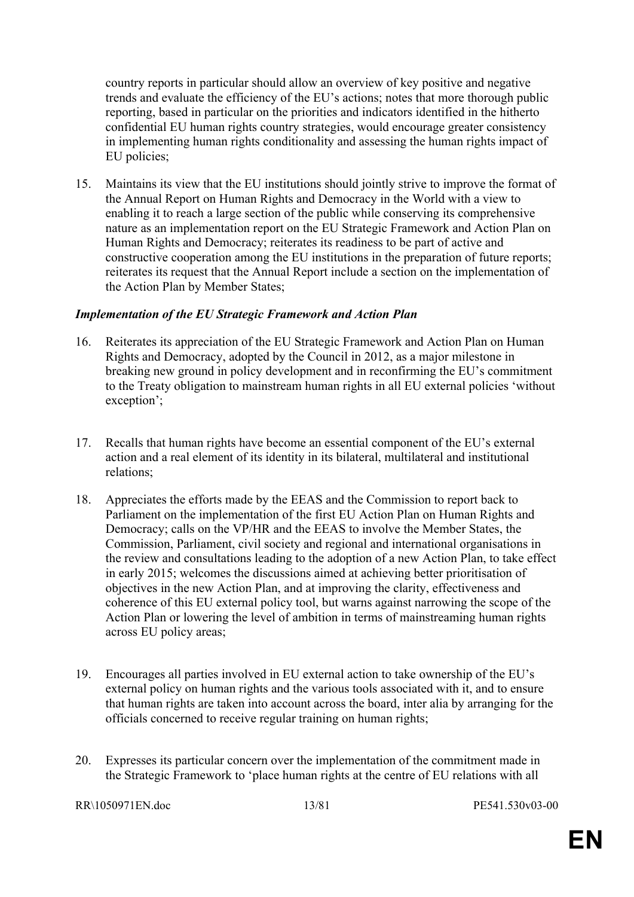country reports in particular should allow an overview of key positive and negative trends and evaluate the efficiency of the EU's actions; notes that more thorough public reporting, based in particular on the priorities and indicators identified in the hitherto confidential EU human rights country strategies, would encourage greater consistency in implementing human rights conditionality and assessing the human rights impact of EU policies;

15. Maintains its view that the EU institutions should jointly strive to improve the format of the Annual Report on Human Rights and Democracy in the World with a view to enabling it to reach a large section of the public while conserving its comprehensive nature as an implementation report on the EU Strategic Framework and Action Plan on Human Rights and Democracy; reiterates its readiness to be part of active and constructive cooperation among the EU institutions in the preparation of future reports; reiterates its request that the Annual Report include a section on the implementation of the Action Plan by Member States;

#### *Implementation of the EU Strategic Framework and Action Plan*

- 16. Reiterates its appreciation of the EU Strategic Framework and Action Plan on Human Rights and Democracy, adopted by the Council in 2012, as a major milestone in breaking new ground in policy development and in reconfirming the EU's commitment to the Treaty obligation to mainstream human rights in all EU external policies 'without exception';
- 17. Recalls that human rights have become an essential component of the EU's external action and a real element of its identity in its bilateral, multilateral and institutional relations;
- 18. Appreciates the efforts made by the EEAS and the Commission to report back to Parliament on the implementation of the first EU Action Plan on Human Rights and Democracy; calls on the VP/HR and the EEAS to involve the Member States, the Commission, Parliament, civil society and regional and international organisations in the review and consultations leading to the adoption of a new Action Plan, to take effect in early 2015; welcomes the discussions aimed at achieving better prioritisation of objectives in the new Action Plan, and at improving the clarity, effectiveness and coherence of this EU external policy tool, but warns against narrowing the scope of the Action Plan or lowering the level of ambition in terms of mainstreaming human rights across EU policy areas;
- 19. Encourages all parties involved in EU external action to take ownership of the EU's external policy on human rights and the various tools associated with it, and to ensure that human rights are taken into account across the board, inter alia by arranging for the officials concerned to receive regular training on human rights;
- 20. Expresses its particular concern over the implementation of the commitment made in the Strategic Framework to 'place human rights at the centre of EU relations with all

RR\1050971EN.doc 13/81 PE541.530v03-00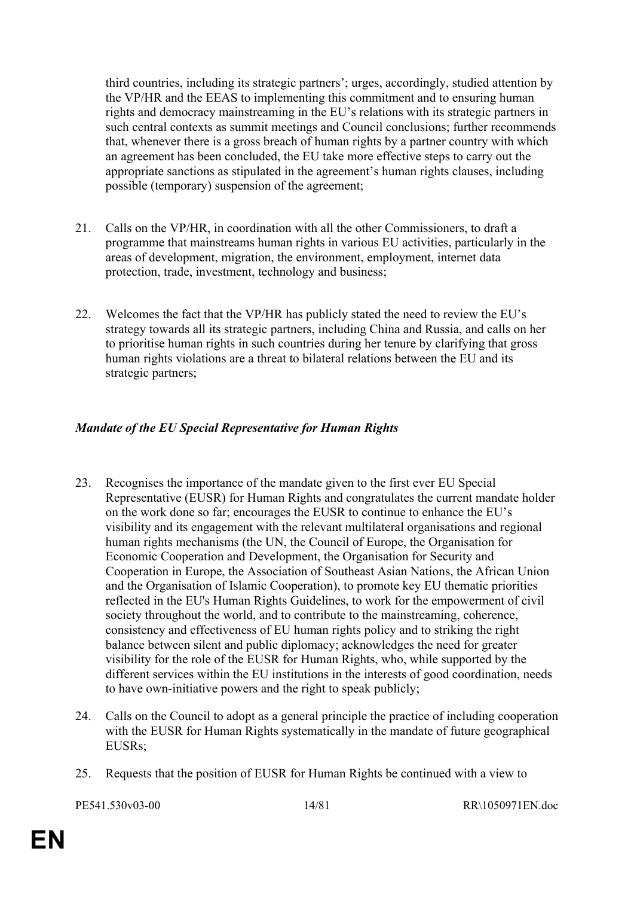third countries, including its strategic partners'; urges, accordingly, studied attention by the VP/HR and the EEAS to implementing this commitment and to ensuring human rights and democracy mainstreaming in the EU's relations with its strategic partners in such central contexts as summit meetings and Council conclusions; further recommends that, whenever there is a gross breach of human rights by a partner country with which an agreement has been concluded, the EU take more effective steps to carry out the appropriate sanctions as stipulated in the agreement's human rights clauses, including possible (temporary) suspension of the agreement;

- 21. Calls on the VP/HR, in coordination with all the other Commissioners, to draft a programme that mainstreams human rights in various EU activities, particularly in the areas of development, migration, the environment, employment, internet data protection, trade, investment, technology and business;
- 22. Welcomes the fact that the VP/HR has publicly stated the need to review the EU's strategy towards all its strategic partners, including China and Russia, and calls on her to prioritise human rights in such countries during her tenure by clarifying that gross human rights violations are a threat to bilateral relations between the EU and its strategic partners;

# *Mandate of the EU Special Representative for Human Rights*

- 23. Recognises the importance of the mandate given to the first ever EU Special Representative (EUSR) for Human Rights and congratulates the current mandate holder on the work done so far; encourages the EUSR to continue to enhance the EU's visibility and its engagement with the relevant multilateral organisations and regional human rights mechanisms (the UN, the Council of Europe, the Organisation for Economic Cooperation and Development, the Organisation for Security and Cooperation in Europe, the Association of Southeast Asian Nations, the African Union and the Organisation of Islamic Cooperation), to promote key EU thematic priorities reflected in the EU's Human Rights Guidelines, to work for the empowerment of civil society throughout the world, and to contribute to the mainstreaming, coherence, consistency and effectiveness of EU human rights policy and to striking the right balance between silent and public diplomacy; acknowledges the need for greater visibility for the role of the EUSR for Human Rights, who, while supported by the different services within the EU institutions in the interests of good coordination, needs to have own-initiative powers and the right to speak publicly;
- 24. Calls on the Council to adopt as a general principle the practice of including cooperation with the EUSR for Human Rights systematically in the mandate of future geographical EUSRs;
- 25. Requests that the position of EUSR for Human Rights be continued with a view to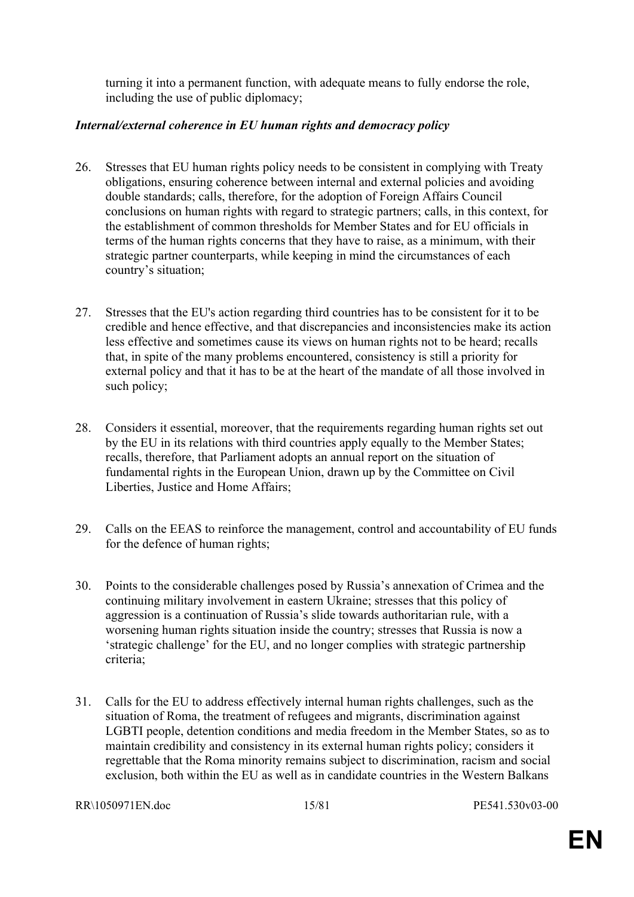turning it into a permanent function, with adequate means to fully endorse the role, including the use of public diplomacy;

#### *Internal/external coherence in EU human rights and democracy policy*

- 26. Stresses that EU human rights policy needs to be consistent in complying with Treaty obligations, ensuring coherence between internal and external policies and avoiding double standards; calls, therefore, for the adoption of Foreign Affairs Council conclusions on human rights with regard to strategic partners; calls, in this context, for the establishment of common thresholds for Member States and for EU officials in terms of the human rights concerns that they have to raise, as a minimum, with their strategic partner counterparts, while keeping in mind the circumstances of each country's situation;
- 27. Stresses that the EU's action regarding third countries has to be consistent for it to be credible and hence effective, and that discrepancies and inconsistencies make its action less effective and sometimes cause its views on human rights not to be heard; recalls that, in spite of the many problems encountered, consistency is still a priority for external policy and that it has to be at the heart of the mandate of all those involved in such policy;
- 28. Considers it essential, moreover, that the requirements regarding human rights set out by the EU in its relations with third countries apply equally to the Member States; recalls, therefore, that Parliament adopts an annual report on the situation of fundamental rights in the European Union, drawn up by the Committee on Civil Liberties, Justice and Home Affairs;
- 29. Calls on the EEAS to reinforce the management, control and accountability of EU funds for the defence of human rights;
- 30. Points to the considerable challenges posed by Russia's annexation of Crimea and the continuing military involvement in eastern Ukraine; stresses that this policy of aggression is a continuation of Russia's slide towards authoritarian rule, with a worsening human rights situation inside the country; stresses that Russia is now a 'strategic challenge' for the EU, and no longer complies with strategic partnership criteria;
- 31. Calls for the EU to address effectively internal human rights challenges, such as the situation of Roma, the treatment of refugees and migrants, discrimination against LGBTI people, detention conditions and media freedom in the Member States, so as to maintain credibility and consistency in its external human rights policy; considers it regrettable that the Roma minority remains subject to discrimination, racism and social exclusion, both within the EU as well as in candidate countries in the Western Balkans

RR\1050971EN.doc 15/81 PE541.530v03-00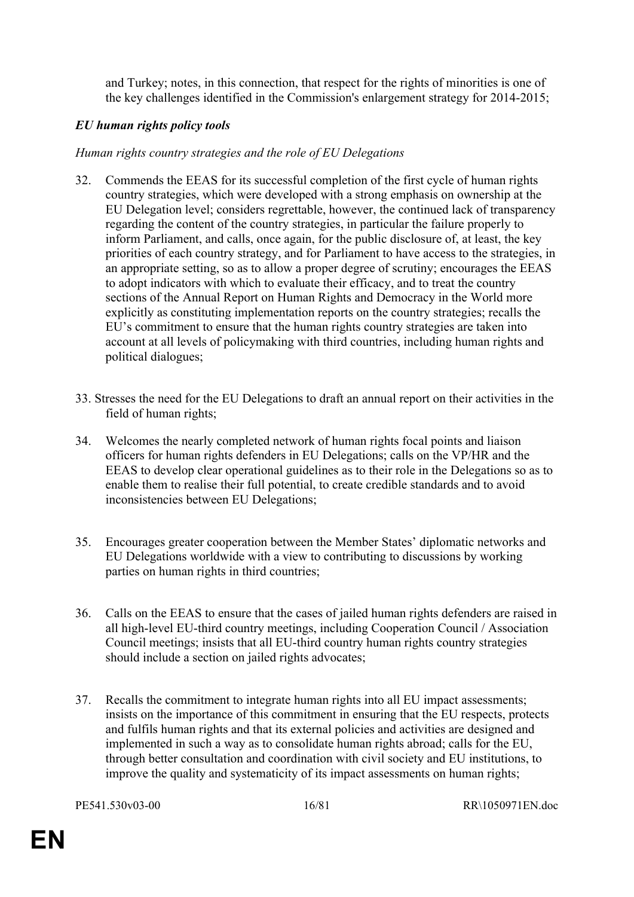and Turkey; notes, in this connection, that respect for the rights of minorities is one of the key challenges identified in the Commission's enlargement strategy for 2014-2015;

# *EU human rights policy tools*

# *Human rights country strategies and the role of EU Delegations*

- 32. Commends the EEAS for its successful completion of the first cycle of human rights country strategies, which were developed with a strong emphasis on ownership at the EU Delegation level; considers regrettable, however, the continued lack of transparency regarding the content of the country strategies, in particular the failure properly to inform Parliament, and calls, once again, for the public disclosure of, at least, the key priorities of each country strategy, and for Parliament to have access to the strategies, in an appropriate setting, so as to allow a proper degree of scrutiny; encourages the EEAS to adopt indicators with which to evaluate their efficacy, and to treat the country sections of the Annual Report on Human Rights and Democracy in the World more explicitly as constituting implementation reports on the country strategies; recalls the EU's commitment to ensure that the human rights country strategies are taken into account at all levels of policymaking with third countries, including human rights and political dialogues;
- 33. Stresses the need for the EU Delegations to draft an annual report on their activities in the field of human rights;
- 34. Welcomes the nearly completed network of human rights focal points and liaison officers for human rights defenders in EU Delegations; calls on the VP/HR and the EEAS to develop clear operational guidelines as to their role in the Delegations so as to enable them to realise their full potential, to create credible standards and to avoid inconsistencies between EU Delegations;
- 35. Encourages greater cooperation between the Member States' diplomatic networks and EU Delegations worldwide with a view to contributing to discussions by working parties on human rights in third countries;
- 36. Calls on the EEAS to ensure that the cases of jailed human rights defenders are raised in all high-level EU-third country meetings, including Cooperation Council / Association Council meetings; insists that all EU-third country human rights country strategies should include a section on jailed rights advocates;
- 37. Recalls the commitment to integrate human rights into all EU impact assessments; insists on the importance of this commitment in ensuring that the EU respects, protects and fulfils human rights and that its external policies and activities are designed and implemented in such a way as to consolidate human rights abroad; calls for the EU, through better consultation and coordination with civil society and EU institutions, to improve the quality and systematicity of its impact assessments on human rights;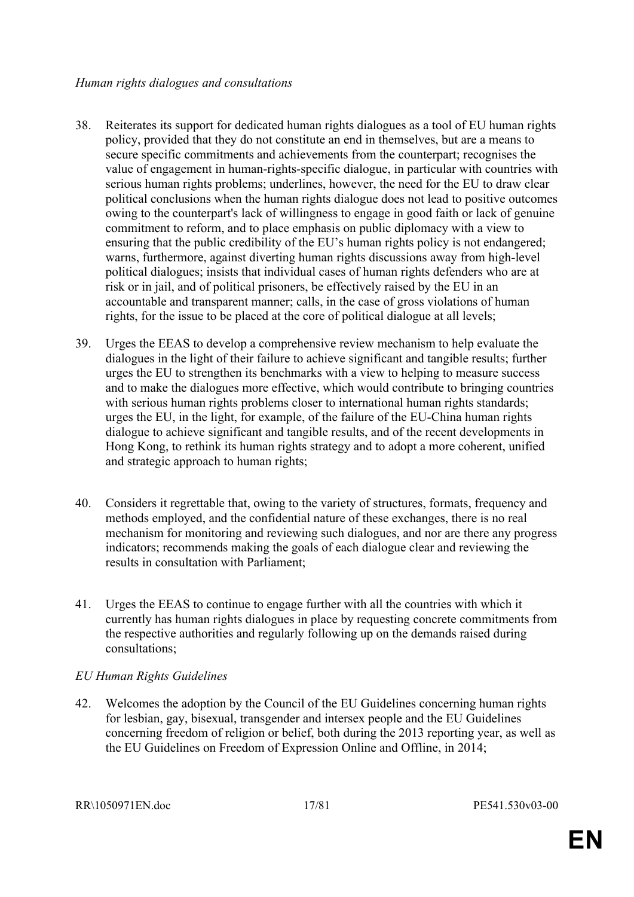- 38. Reiterates its support for dedicated human rights dialogues as a tool of EU human rights policy, provided that they do not constitute an end in themselves, but are a means to secure specific commitments and achievements from the counterpart; recognises the value of engagement in human-rights-specific dialogue, in particular with countries with serious human rights problems; underlines, however, the need for the EU to draw clear political conclusions when the human rights dialogue does not lead to positive outcomes owing to the counterpart's lack of willingness to engage in good faith or lack of genuine commitment to reform, and to place emphasis on public diplomacy with a view to ensuring that the public credibility of the EU's human rights policy is not endangered; warns, furthermore, against diverting human rights discussions away from high-level political dialogues; insists that individual cases of human rights defenders who are at risk or in jail, and of political prisoners, be effectively raised by the EU in an accountable and transparent manner; calls, in the case of gross violations of human rights, for the issue to be placed at the core of political dialogue at all levels;
- 39. Urges the EEAS to develop a comprehensive review mechanism to help evaluate the dialogues in the light of their failure to achieve significant and tangible results; further urges the EU to strengthen its benchmarks with a view to helping to measure success and to make the dialogues more effective, which would contribute to bringing countries with serious human rights problems closer to international human rights standards; urges the EU, in the light, for example, of the failure of the EU-China human rights dialogue to achieve significant and tangible results, and of the recent developments in Hong Kong, to rethink its human rights strategy and to adopt a more coherent, unified and strategic approach to human rights;
- 40. Considers it regrettable that, owing to the variety of structures, formats, frequency and methods employed, and the confidential nature of these exchanges, there is no real mechanism for monitoring and reviewing such dialogues, and nor are there any progress indicators; recommends making the goals of each dialogue clear and reviewing the results in consultation with Parliament;
- 41. Urges the EEAS to continue to engage further with all the countries with which it currently has human rights dialogues in place by requesting concrete commitments from the respective authorities and regularly following up on the demands raised during consultations;

# *EU Human Rights Guidelines*

42. Welcomes the adoption by the Council of the EU Guidelines concerning human rights for lesbian, gay, bisexual, transgender and intersex people and the EU Guidelines concerning freedom of religion or belief, both during the 2013 reporting year, as well as the EU Guidelines on Freedom of Expression Online and Offline, in 2014;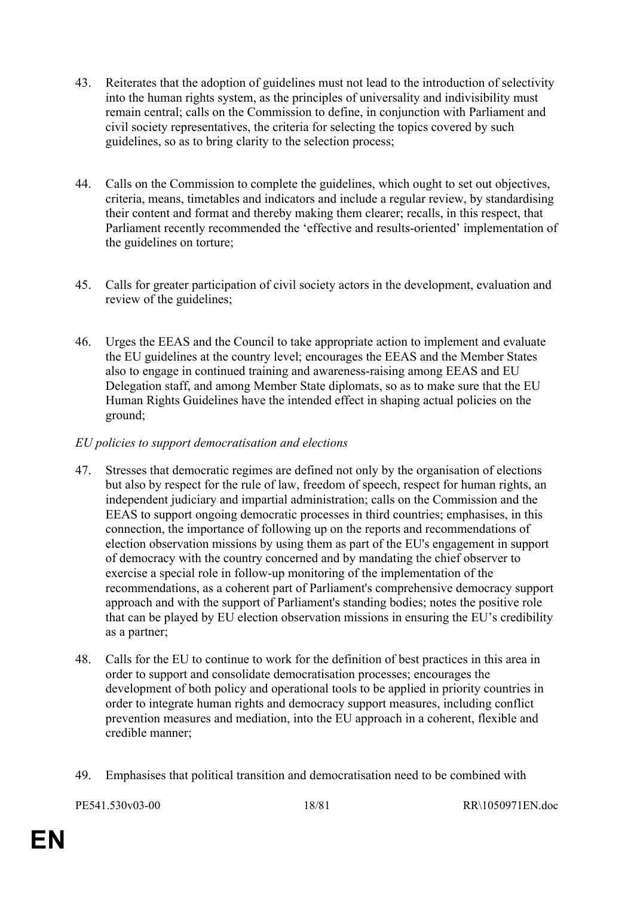- 43. Reiterates that the adoption of guidelines must not lead to the introduction of selectivity into the human rights system, as the principles of universality and indivisibility must remain central; calls on the Commission to define, in conjunction with Parliament and civil society representatives, the criteria for selecting the topics covered by such guidelines, so as to bring clarity to the selection process;
- 44. Calls on the Commission to complete the guidelines, which ought to set out objectives, criteria, means, timetables and indicators and include a regular review, by standardising their content and format and thereby making them clearer; recalls, in this respect, that Parliament recently recommended the 'effective and results-oriented' implementation of the guidelines on torture;
- 45. Calls for greater participation of civil society actors in the development, evaluation and review of the guidelines;
- 46. Urges the EEAS and the Council to take appropriate action to implement and evaluate the EU guidelines at the country level; encourages the EEAS and the Member States also to engage in continued training and awareness-raising among EEAS and EU Delegation staff, and among Member State diplomats, so as to make sure that the EU Human Rights Guidelines have the intended effect in shaping actual policies on the ground;

# *EU policies to support democratisation and elections*

- 47. Stresses that democratic regimes are defined not only by the organisation of elections but also by respect for the rule of law, freedom of speech, respect for human rights, an independent judiciary and impartial administration; calls on the Commission and the EEAS to support ongoing democratic processes in third countries; emphasises, in this connection, the importance of following up on the reports and recommendations of election observation missions by using them as part of the EU's engagement in support of democracy with the country concerned and by mandating the chief observer to exercise a special role in follow-up monitoring of the implementation of the recommendations, as a coherent part of Parliament's comprehensive democracy support approach and with the support of Parliament's standing bodies; notes the positive role that can be played by EU election observation missions in ensuring the EU's credibility as a partner;
- 48. Calls for the EU to continue to work for the definition of best practices in this area in order to support and consolidate democratisation processes; encourages the development of both policy and operational tools to be applied in priority countries in order to integrate human rights and democracy support measures, including conflict prevention measures and mediation, into the EU approach in a coherent, flexible and credible manner;
- 49. Emphasises that political transition and democratisation need to be combined with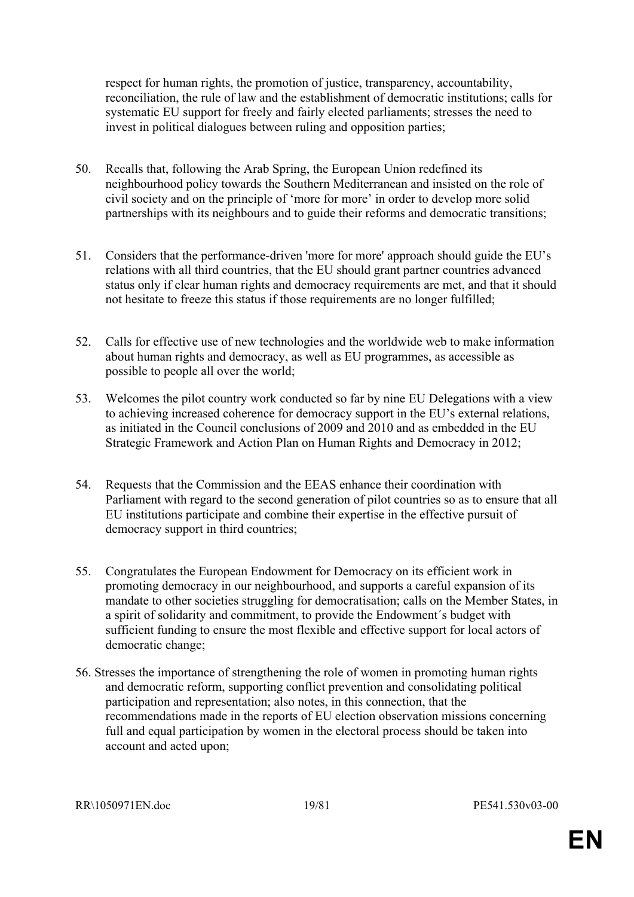respect for human rights, the promotion of justice, transparency, accountability, reconciliation, the rule of law and the establishment of democratic institutions; calls for systematic EU support for freely and fairly elected parliaments; stresses the need to invest in political dialogues between ruling and opposition parties;

- 50. Recalls that, following the Arab Spring, the European Union redefined its neighbourhood policy towards the Southern Mediterranean and insisted on the role of civil society and on the principle of 'more for more' in order to develop more solid partnerships with its neighbours and to guide their reforms and democratic transitions;
- 51. Considers that the performance-driven 'more for more' approach should guide the EU's relations with all third countries, that the EU should grant partner countries advanced status only if clear human rights and democracy requirements are met, and that it should not hesitate to freeze this status if those requirements are no longer fulfilled;
- 52. Calls for effective use of new technologies and the worldwide web to make information about human rights and democracy, as well as EU programmes, as accessible as possible to people all over the world;
- 53. Welcomes the pilot country work conducted so far by nine EU Delegations with a view to achieving increased coherence for democracy support in the EU's external relations, as initiated in the Council conclusions of 2009 and 2010 and as embedded in the EU Strategic Framework and Action Plan on Human Rights and Democracy in 2012;
- 54. Requests that the Commission and the EEAS enhance their coordination with Parliament with regard to the second generation of pilot countries so as to ensure that all EU institutions participate and combine their expertise in the effective pursuit of democracy support in third countries;
- 55. Congratulates the European Endowment for Democracy on its efficient work in promoting democracy in our neighbourhood, and supports a careful expansion of its mandate to other societies struggling for democratisation; calls on the Member States, in a spirit of solidarity and commitment, to provide the Endowment´s budget with sufficient funding to ensure the most flexible and effective support for local actors of democratic change;
- 56. Stresses the importance of strengthening the role of women in promoting human rights and democratic reform, supporting conflict prevention and consolidating political participation and representation; also notes, in this connection, that the recommendations made in the reports of EU election observation missions concerning full and equal participation by women in the electoral process should be taken into account and acted upon;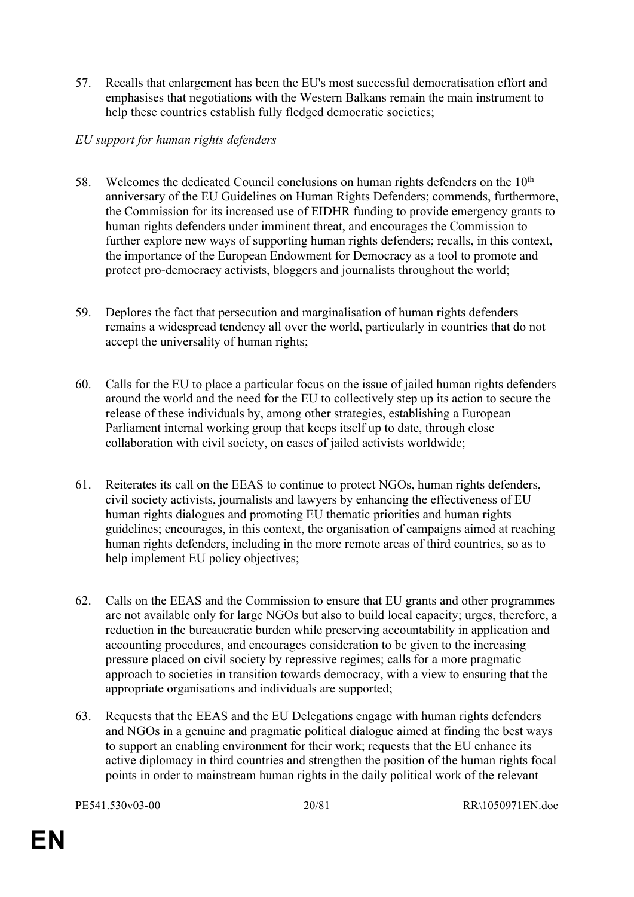57. Recalls that enlargement has been the EU's most successful democratisation effort and emphasises that negotiations with the Western Balkans remain the main instrument to help these countries establish fully fledged democratic societies;

### *EU support for human rights defenders*

- 58. Welcomes the dedicated Council conclusions on human rights defenders on the 10<sup>th</sup> anniversary of the EU Guidelines on Human Rights Defenders; commends, furthermore, the Commission for its increased use of EIDHR funding to provide emergency grants to human rights defenders under imminent threat, and encourages the Commission to further explore new ways of supporting human rights defenders; recalls, in this context, the importance of the European Endowment for Democracy as a tool to promote and protect pro-democracy activists, bloggers and journalists throughout the world;
- 59. Deplores the fact that persecution and marginalisation of human rights defenders remains a widespread tendency all over the world, particularly in countries that do not accept the universality of human rights;
- 60. Calls for the EU to place a particular focus on the issue of jailed human rights defenders around the world and the need for the EU to collectively step up its action to secure the release of these individuals by, among other strategies, establishing a European Parliament internal working group that keeps itself up to date, through close collaboration with civil society, on cases of jailed activists worldwide;
- 61. Reiterates its call on the EEAS to continue to protect NGOs, human rights defenders, civil society activists, journalists and lawyers by enhancing the effectiveness of EU human rights dialogues and promoting EU thematic priorities and human rights guidelines; encourages, in this context, the organisation of campaigns aimed at reaching human rights defenders, including in the more remote areas of third countries, so as to help implement EU policy objectives;
- 62. Calls on the EEAS and the Commission to ensure that EU grants and other programmes are not available only for large NGOs but also to build local capacity; urges, therefore, a reduction in the bureaucratic burden while preserving accountability in application and accounting procedures, and encourages consideration to be given to the increasing pressure placed on civil society by repressive regimes; calls for a more pragmatic approach to societies in transition towards democracy, with a view to ensuring that the appropriate organisations and individuals are supported;
- 63. Requests that the EEAS and the EU Delegations engage with human rights defenders and NGOs in a genuine and pragmatic political dialogue aimed at finding the best ways to support an enabling environment for their work; requests that the EU enhance its active diplomacy in third countries and strengthen the position of the human rights focal points in order to mainstream human rights in the daily political work of the relevant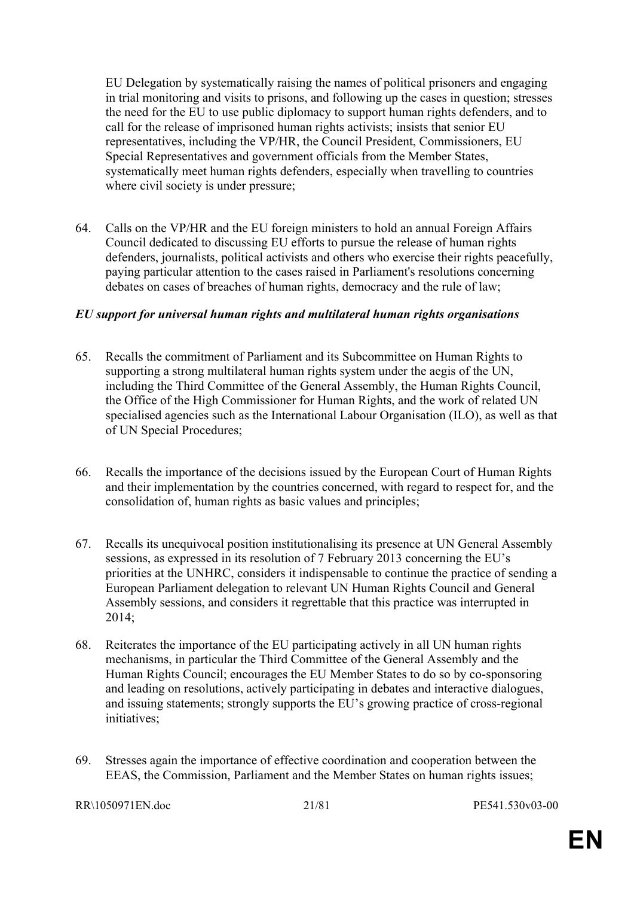EU Delegation by systematically raising the names of political prisoners and engaging in trial monitoring and visits to prisons, and following up the cases in question; stresses the need for the EU to use public diplomacy to support human rights defenders, and to call for the release of imprisoned human rights activists; insists that senior EU representatives, including the VP/HR, the Council President, Commissioners, EU Special Representatives and government officials from the Member States, systematically meet human rights defenders, especially when travelling to countries where civil society is under pressure;

64. Calls on the VP/HR and the EU foreign ministers to hold an annual Foreign Affairs Council dedicated to discussing EU efforts to pursue the release of human rights defenders, journalists, political activists and others who exercise their rights peacefully, paying particular attention to the cases raised in Parliament's resolutions concerning debates on cases of breaches of human rights, democracy and the rule of law;

#### *EU support for universal human rights and multilateral human rights organisations*

- 65. Recalls the commitment of Parliament and its Subcommittee on Human Rights to supporting a strong multilateral human rights system under the aegis of the UN, including the Third Committee of the General Assembly, the Human Rights Council, the Office of the High Commissioner for Human Rights, and the work of related UN specialised agencies such as the International Labour Organisation (ILO), as well as that of UN Special Procedures;
- 66. Recalls the importance of the decisions issued by the European Court of Human Rights and their implementation by the countries concerned, with regard to respect for, and the consolidation of, human rights as basic values and principles;
- 67. Recalls its unequivocal position institutionalising its presence at UN General Assembly sessions, as expressed in its resolution of 7 February 2013 concerning the EU's priorities at the UNHRC, considers it indispensable to continue the practice of sending a European Parliament delegation to relevant UN Human Rights Council and General Assembly sessions, and considers it regrettable that this practice was interrupted in 2014;
- 68. Reiterates the importance of the EU participating actively in all UN human rights mechanisms, in particular the Third Committee of the General Assembly and the Human Rights Council; encourages the EU Member States to do so by co-sponsoring and leading on resolutions, actively participating in debates and interactive dialogues, and issuing statements; strongly supports the EU's growing practice of cross-regional initiatives<sup>.</sup>
- 69. Stresses again the importance of effective coordination and cooperation between the EEAS, the Commission, Parliament and the Member States on human rights issues;

RR\1050971EN.doc 21/81 PE541.530v03-00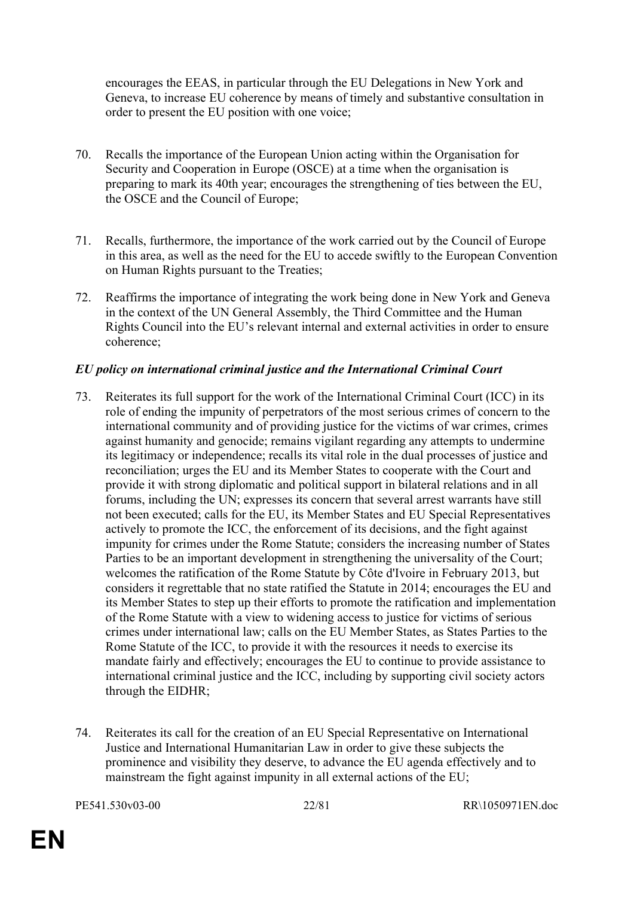encourages the EEAS, in particular through the EU Delegations in New York and Geneva, to increase EU coherence by means of timely and substantive consultation in order to present the EU position with one voice;

- 70. Recalls the importance of the European Union acting within the Organisation for Security and Cooperation in Europe (OSCE) at a time when the organisation is preparing to mark its 40th year; encourages the strengthening of ties between the EU, the OSCE and the Council of Europe;
- 71. Recalls, furthermore, the importance of the work carried out by the Council of Europe in this area, as well as the need for the EU to accede swiftly to the European Convention on Human Rights pursuant to the Treaties;
- 72. Reaffirms the importance of integrating the work being done in New York and Geneva in the context of the UN General Assembly, the Third Committee and the Human Rights Council into the EU's relevant internal and external activities in order to ensure coherence;

#### *EU policy on international criminal justice and the International Criminal Court*

- 73. Reiterates its full support for the work of the International Criminal Court (ICC) in its role of ending the impunity of perpetrators of the most serious crimes of concern to the international community and of providing justice for the victims of war crimes, crimes against humanity and genocide; remains vigilant regarding any attempts to undermine its legitimacy or independence; recalls its vital role in the dual processes of justice and reconciliation; urges the EU and its Member States to cooperate with the Court and provide it with strong diplomatic and political support in bilateral relations and in all forums, including the UN; expresses its concern that several arrest warrants have still not been executed; calls for the EU, its Member States and EU Special Representatives actively to promote the ICC, the enforcement of its decisions, and the fight against impunity for crimes under the Rome Statute; considers the increasing number of States Parties to be an important development in strengthening the universality of the Court; welcomes the ratification of the Rome Statute by Côte d'Ivoire in February 2013, but considers it regrettable that no state ratified the Statute in 2014; encourages the EU and its Member States to step up their efforts to promote the ratification and implementation of the Rome Statute with a view to widening access to justice for victims of serious crimes under international law; calls on the EU Member States, as States Parties to the Rome Statute of the ICC, to provide it with the resources it needs to exercise its mandate fairly and effectively; encourages the EU to continue to provide assistance to international criminal justice and the ICC, including by supporting civil society actors through the EIDHR;
- 74. Reiterates its call for the creation of an EU Special Representative on International Justice and International Humanitarian Law in order to give these subjects the prominence and visibility they deserve, to advance the EU agenda effectively and to mainstream the fight against impunity in all external actions of the EU;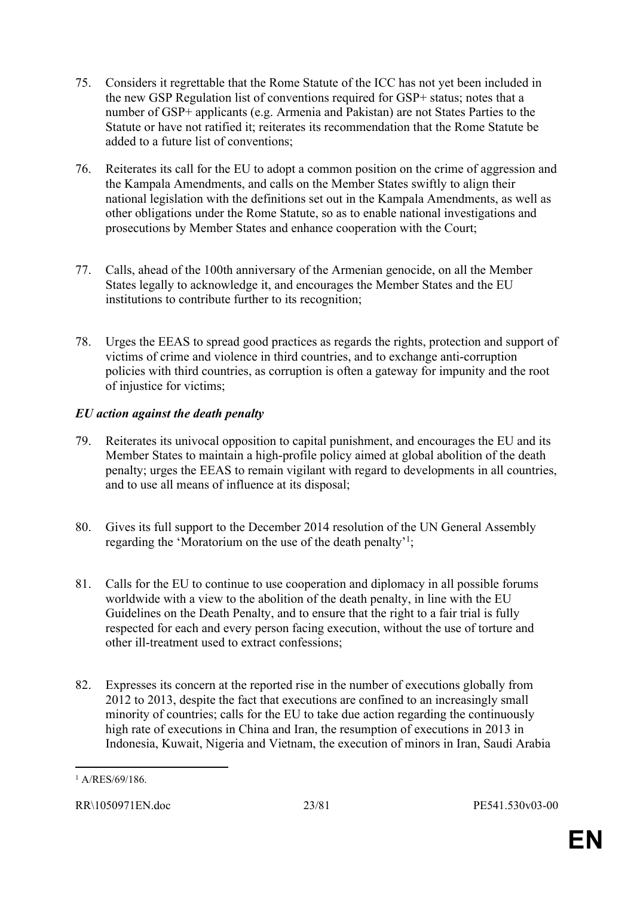- 75. Considers it regrettable that the Rome Statute of the ICC has not yet been included in the new GSP Regulation list of conventions required for GSP+ status; notes that a number of GSP+ applicants (e.g. Armenia and Pakistan) are not States Parties to the Statute or have not ratified it; reiterates its recommendation that the Rome Statute be added to a future list of conventions;
- 76. Reiterates its call for the EU to adopt a common position on the crime of aggression and the Kampala Amendments, and calls on the Member States swiftly to align their national legislation with the definitions set out in the Kampala Amendments, as well as other obligations under the Rome Statute, so as to enable national investigations and prosecutions by Member States and enhance cooperation with the Court;
- 77. Calls, ahead of the 100th anniversary of the Armenian genocide, on all the Member States legally to acknowledge it, and encourages the Member States and the EU institutions to contribute further to its recognition;
- 78. Urges the EEAS to spread good practices as regards the rights, protection and support of victims of crime and violence in third countries, and to exchange anti-corruption policies with third countries, as corruption is often a gateway for impunity and the root of injustice for victims;

# *EU action against the death penalty*

- 79. Reiterates its univocal opposition to capital punishment, and encourages the EU and its Member States to maintain a high-profile policy aimed at global abolition of the death penalty; urges the EEAS to remain vigilant with regard to developments in all countries, and to use all means of influence at its disposal;
- 80. Gives its full support to the December 2014 resolution of the UN General Assembly regarding the 'Moratorium on the use of the death penalty'<sup>1</sup>;
- 81. Calls for the EU to continue to use cooperation and diplomacy in all possible forums worldwide with a view to the abolition of the death penalty, in line with the EU Guidelines on the Death Penalty, and to ensure that the right to a fair trial is fully respected for each and every person facing execution, without the use of torture and other ill-treatment used to extract confessions;
- 82. Expresses its concern at the reported rise in the number of executions globally from 2012 to 2013, despite the fact that executions are confined to an increasingly small minority of countries; calls for the EU to take due action regarding the continuously high rate of executions in China and Iran, the resumption of executions in 2013 in Indonesia, Kuwait, Nigeria and Vietnam, the execution of minors in Iran, Saudi Arabia

<sup>1</sup> A/RES/69/186.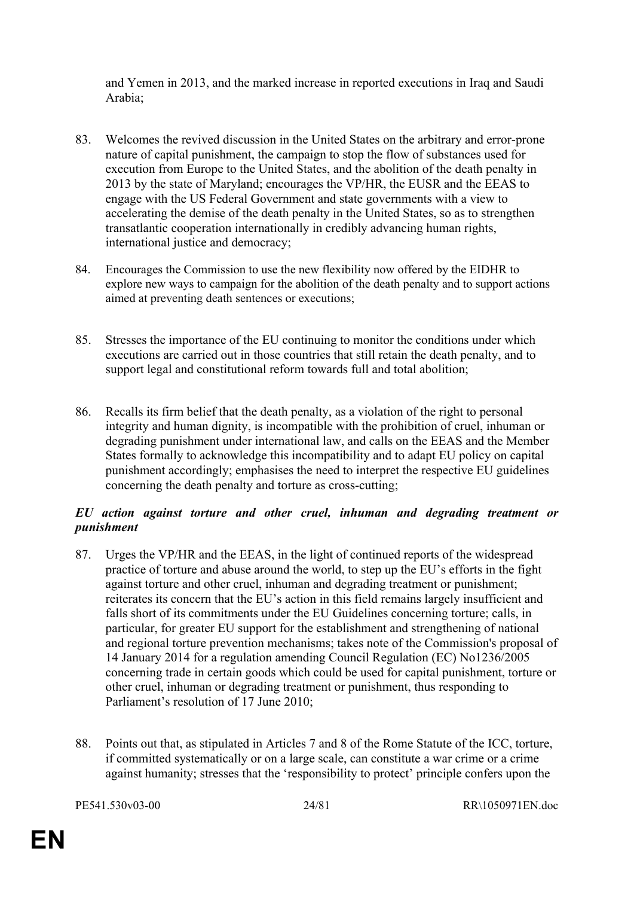and Yemen in 2013, and the marked increase in reported executions in Iraq and Saudi Arabia;

- 83. Welcomes the revived discussion in the United States on the arbitrary and error-prone nature of capital punishment, the campaign to stop the flow of substances used for execution from Europe to the United States, and the abolition of the death penalty in 2013 by the state of Maryland; encourages the VP/HR, the EUSR and the EEAS to engage with the US Federal Government and state governments with a view to accelerating the demise of the death penalty in the United States, so as to strengthen transatlantic cooperation internationally in credibly advancing human rights, international justice and democracy;
- 84. Encourages the Commission to use the new flexibility now offered by the EIDHR to explore new ways to campaign for the abolition of the death penalty and to support actions aimed at preventing death sentences or executions;
- 85. Stresses the importance of the EU continuing to monitor the conditions under which executions are carried out in those countries that still retain the death penalty, and to support legal and constitutional reform towards full and total abolition;
- 86. Recalls its firm belief that the death penalty, as a violation of the right to personal integrity and human dignity, is incompatible with the prohibition of cruel, inhuman or degrading punishment under international law, and calls on the EEAS and the Member States formally to acknowledge this incompatibility and to adapt EU policy on capital punishment accordingly; emphasises the need to interpret the respective EU guidelines concerning the death penalty and torture as cross-cutting;

# *EU action against torture and other cruel, inhuman and degrading treatment or punishment*

- 87. Urges the VP/HR and the EEAS, in the light of continued reports of the widespread practice of torture and abuse around the world, to step up the EU's efforts in the fight against torture and other cruel, inhuman and degrading treatment or punishment; reiterates its concern that the EU's action in this field remains largely insufficient and falls short of its commitments under the EU Guidelines concerning torture; calls, in particular, for greater EU support for the establishment and strengthening of national and regional torture prevention mechanisms; takes note of the Commission's proposal of 14 January 2014 for a regulation amending Council Regulation (EC) No1236/2005 concerning trade in certain goods which could be used for capital punishment, torture or other cruel, inhuman or degrading treatment or punishment, thus responding to Parliament's resolution of 17 June 2010;
- 88. Points out that, as stipulated in Articles 7 and 8 of the Rome Statute of the ICC, torture, if committed systematically or on a large scale, can constitute a war crime or a crime against humanity; stresses that the 'responsibility to protect' principle confers upon the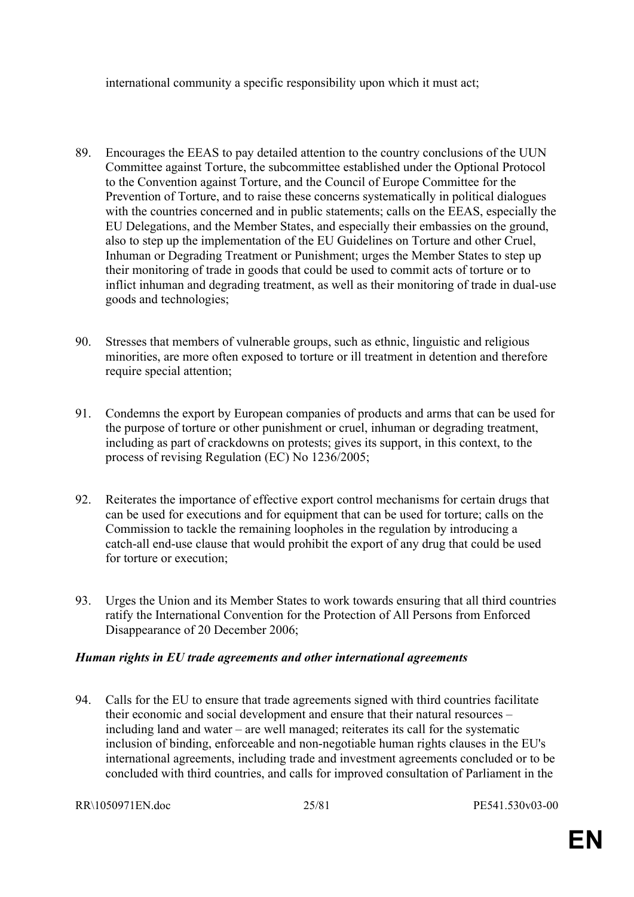international community a specific responsibility upon which it must act;

- 89. Encourages the EEAS to pay detailed attention to the country conclusions of the UUN Committee against Torture, the subcommittee established under the Optional Protocol to the Convention against Torture, and the Council of Europe Committee for the Prevention of Torture, and to raise these concerns systematically in political dialogues with the countries concerned and in public statements; calls on the EEAS, especially the EU Delegations, and the Member States, and especially their embassies on the ground, also to step up the implementation of the EU Guidelines on Torture and other Cruel, Inhuman or Degrading Treatment or Punishment; urges the Member States to step up their monitoring of trade in goods that could be used to commit acts of torture or to inflict inhuman and degrading treatment, as well as their monitoring of trade in dual-use goods and technologies;
- 90. Stresses that members of vulnerable groups, such as ethnic, linguistic and religious minorities, are more often exposed to torture or ill treatment in detention and therefore require special attention;
- 91. Condemns the export by European companies of products and arms that can be used for the purpose of torture or other punishment or cruel, inhuman or degrading treatment, including as part of crackdowns on protests; gives its support, in this context, to the process of revising Regulation (EC) No 1236/2005;
- 92. Reiterates the importance of effective export control mechanisms for certain drugs that can be used for executions and for equipment that can be used for torture; calls on the Commission to tackle the remaining loopholes in the regulation by introducing a catch-all end-use clause that would prohibit the export of any drug that could be used for torture or execution;
- 93. Urges the Union and its Member States to work towards ensuring that all third countries ratify the International Convention for the Protection of All Persons from Enforced Disappearance of 20 December 2006;

#### *Human rights in EU trade agreements and other international agreements*

94. Calls for the EU to ensure that trade agreements signed with third countries facilitate their economic and social development and ensure that their natural resources – including land and water – are well managed; reiterates its call for the systematic inclusion of binding, enforceable and non-negotiable human rights clauses in the EU's international agreements, including trade and investment agreements concluded or to be concluded with third countries, and calls for improved consultation of Parliament in the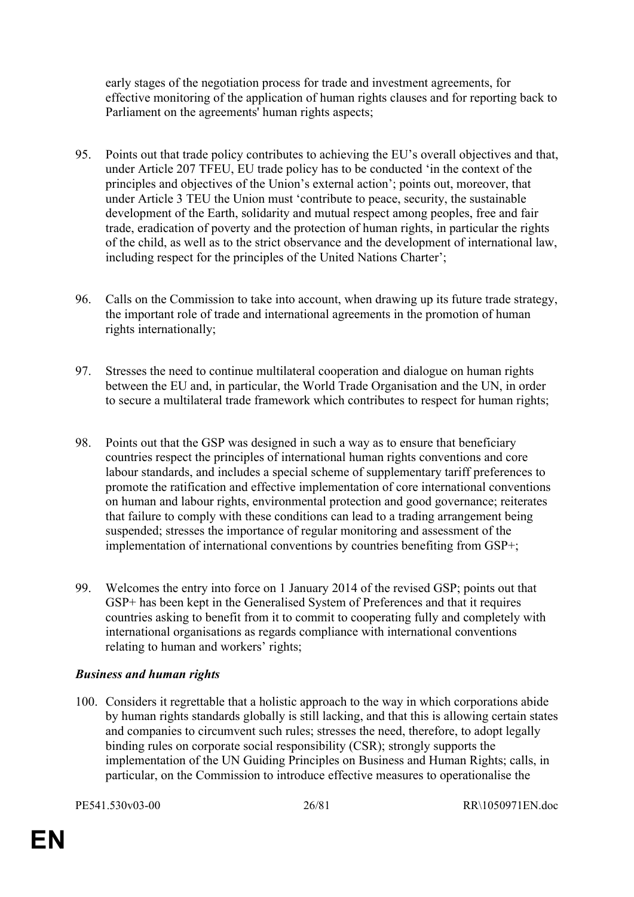early stages of the negotiation process for trade and investment agreements, for effective monitoring of the application of human rights clauses and for reporting back to Parliament on the agreements' human rights aspects;

- 95. Points out that trade policy contributes to achieving the EU's overall objectives and that, under Article 207 TFEU, EU trade policy has to be conducted 'in the context of the principles and objectives of the Union's external action'; points out, moreover, that under Article 3 TEU the Union must 'contribute to peace, security, the sustainable development of the Earth, solidarity and mutual respect among peoples, free and fair trade, eradication of poverty and the protection of human rights, in particular the rights of the child, as well as to the strict observance and the development of international law, including respect for the principles of the United Nations Charter';
- 96. Calls on the Commission to take into account, when drawing up its future trade strategy, the important role of trade and international agreements in the promotion of human rights internationally;
- 97. Stresses the need to continue multilateral cooperation and dialogue on human rights between the EU and, in particular, the World Trade Organisation and the UN, in order to secure a multilateral trade framework which contributes to respect for human rights;
- 98. Points out that the GSP was designed in such a way as to ensure that beneficiary countries respect the principles of international human rights conventions and core labour standards, and includes a special scheme of supplementary tariff preferences to promote the ratification and effective implementation of core international conventions on human and labour rights, environmental protection and good governance; reiterates that failure to comply with these conditions can lead to a trading arrangement being suspended; stresses the importance of regular monitoring and assessment of the implementation of international conventions by countries benefiting from GSP+;
- 99. Welcomes the entry into force on 1 January 2014 of the revised GSP; points out that GSP+ has been kept in the Generalised System of Preferences and that it requires countries asking to benefit from it to commit to cooperating fully and completely with international organisations as regards compliance with international conventions relating to human and workers' rights;

# *Business and human rights*

100. Considers it regrettable that a holistic approach to the way in which corporations abide by human rights standards globally is still lacking, and that this is allowing certain states and companies to circumvent such rules; stresses the need, therefore, to adopt legally binding rules on corporate social responsibility (CSR); strongly supports the implementation of the UN Guiding Principles on Business and Human Rights; calls, in particular, on the Commission to introduce effective measures to operationalise the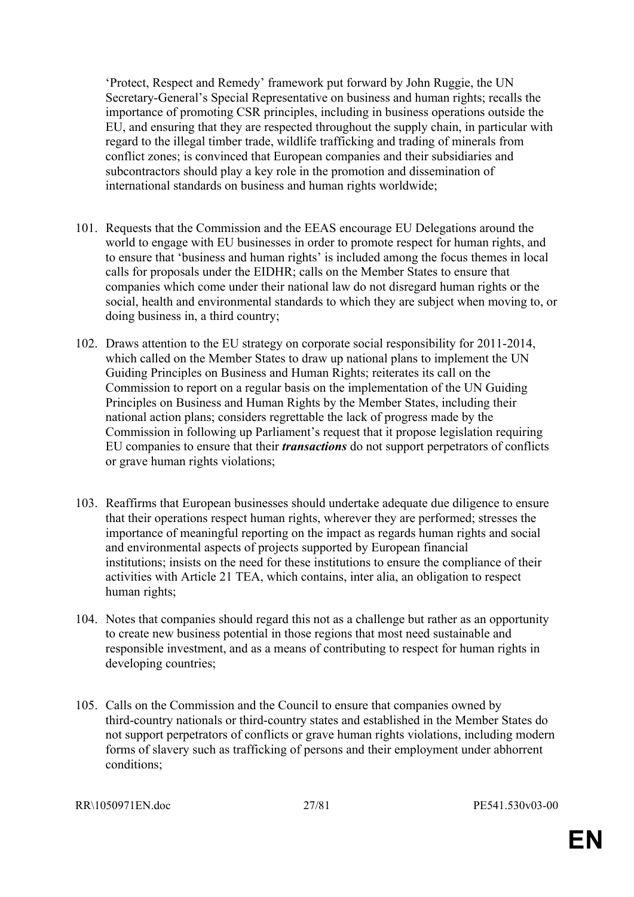'Protect, Respect and Remedy' framework put forward by John Ruggie, the UN Secretary-General's Special Representative on business and human rights; recalls the importance of promoting CSR principles, including in business operations outside the EU, and ensuring that they are respected throughout the supply chain, in particular with regard to the illegal timber trade, wildlife trafficking and trading of minerals from conflict zones; is convinced that European companies and their subsidiaries and subcontractors should play a key role in the promotion and dissemination of international standards on business and human rights worldwide;

- 101. Requests that the Commission and the EEAS encourage EU Delegations around the world to engage with EU businesses in order to promote respect for human rights, and to ensure that 'business and human rights' is included among the focus themes in local calls for proposals under the EIDHR; calls on the Member States to ensure that companies which come under their national law do not disregard human rights or the social, health and environmental standards to which they are subject when moving to, or doing business in, a third country;
- 102. Draws attention to the EU strategy on corporate social responsibility for 2011-2014, which called on the Member States to draw up national plans to implement the UN Guiding Principles on Business and Human Rights; reiterates its call on the Commission to report on a regular basis on the implementation of the UN Guiding Principles on Business and Human Rights by the Member States, including their national action plans; considers regrettable the lack of progress made by the Commission in following up Parliament's request that it propose legislation requiring EU companies to ensure that their *transactions* do not support perpetrators of conflicts or grave human rights violations;
- 103. Reaffirms that European businesses should undertake adequate due diligence to ensure that their operations respect human rights, wherever they are performed; stresses the importance of meaningful reporting on the impact as regards human rights and social and environmental aspects of projects supported by European financial institutions; insists on the need for these institutions to ensure the compliance of their activities with Article 21 TEA, which contains, inter alia, an obligation to respect human rights;
- 104. Notes that companies should regard this not as a challenge but rather as an opportunity to create new business potential in those regions that most need sustainable and responsible investment, and as a means of contributing to respect for human rights in developing countries;
- 105. Calls on the Commission and the Council to ensure that companies owned by third-country nationals or third-country states and established in the Member States do not support perpetrators of conflicts or grave human rights violations, including modern forms of slavery such as trafficking of persons and their employment under abhorrent conditions;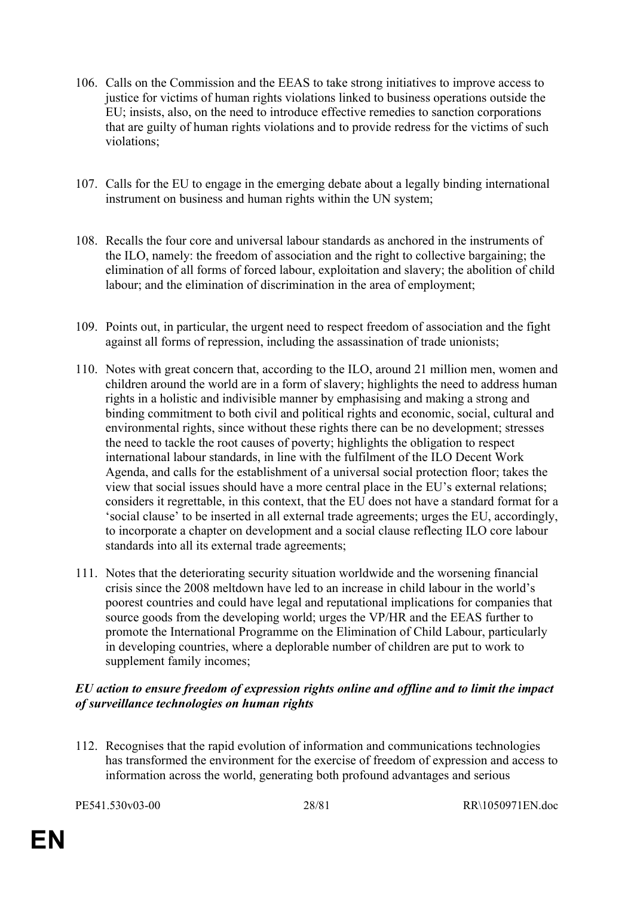- 106. Calls on the Commission and the EEAS to take strong initiatives to improve access to justice for victims of human rights violations linked to business operations outside the EU; insists, also, on the need to introduce effective remedies to sanction corporations that are guilty of human rights violations and to provide redress for the victims of such violations;
- 107. Calls for the EU to engage in the emerging debate about a legally binding international instrument on business and human rights within the UN system;
- 108. Recalls the four core and universal labour standards as anchored in the instruments of the ILO, namely: the freedom of association and the right to collective bargaining; the elimination of all forms of forced labour, exploitation and slavery; the abolition of child labour; and the elimination of discrimination in the area of employment;
- 109. Points out, in particular, the urgent need to respect freedom of association and the fight against all forms of repression, including the assassination of trade unionists;
- 110. Notes with great concern that, according to the ILO, around 21 million men, women and children around the world are in a form of slavery; highlights the need to address human rights in a holistic and indivisible manner by emphasising and making a strong and binding commitment to both civil and political rights and economic, social, cultural and environmental rights, since without these rights there can be no development; stresses the need to tackle the root causes of poverty; highlights the obligation to respect international labour standards, in line with the fulfilment of the ILO Decent Work Agenda, and calls for the establishment of a universal social protection floor; takes the view that social issues should have a more central place in the EU's external relations; considers it regrettable, in this context, that the EU does not have a standard format for a 'social clause' to be inserted in all external trade agreements; urges the EU, accordingly, to incorporate a chapter on development and a social clause reflecting ILO core labour standards into all its external trade agreements;
- 111. Notes that the deteriorating security situation worldwide and the worsening financial crisis since the 2008 meltdown have led to an increase in child labour in the world's poorest countries and could have legal and reputational implications for companies that source goods from the developing world; urges the VP/HR and the EEAS further to promote the International Programme on the Elimination of Child Labour, particularly in developing countries, where a deplorable number of children are put to work to supplement family incomes;

#### *EU action to ensure freedom of expression rights online and offline and to limit the impact of surveillance technologies on human rights*

112. Recognises that the rapid evolution of information and communications technologies has transformed the environment for the exercise of freedom of expression and access to information across the world, generating both profound advantages and serious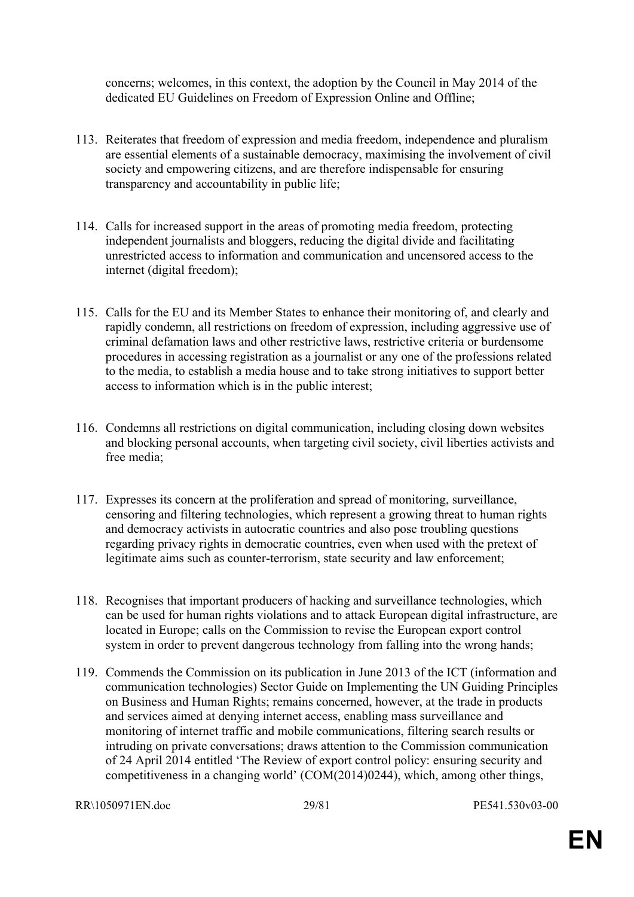concerns; welcomes, in this context, the adoption by the Council in May 2014 of the dedicated EU Guidelines on Freedom of Expression Online and Offline;

- 113. Reiterates that freedom of expression and media freedom, independence and pluralism are essential elements of a sustainable democracy, maximising the involvement of civil society and empowering citizens, and are therefore indispensable for ensuring transparency and accountability in public life;
- 114. Calls for increased support in the areas of promoting media freedom, protecting independent journalists and bloggers, reducing the digital divide and facilitating unrestricted access to information and communication and uncensored access to the internet (digital freedom);
- 115. Calls for the EU and its Member States to enhance their monitoring of, and clearly and rapidly condemn, all restrictions on freedom of expression, including aggressive use of criminal defamation laws and other restrictive laws, restrictive criteria or burdensome procedures in accessing registration as a journalist or any one of the professions related to the media, to establish a media house and to take strong initiatives to support better access to information which is in the public interest;
- 116. Condemns all restrictions on digital communication, including closing down websites and blocking personal accounts, when targeting civil society, civil liberties activists and free media;
- 117. Expresses its concern at the proliferation and spread of monitoring, surveillance, censoring and filtering technologies, which represent a growing threat to human rights and democracy activists in autocratic countries and also pose troubling questions regarding privacy rights in democratic countries, even when used with the pretext of legitimate aims such as counter-terrorism, state security and law enforcement;
- 118. Recognises that important producers of hacking and surveillance technologies, which can be used for human rights violations and to attack European digital infrastructure, are located in Europe; calls on the Commission to revise the European export control system in order to prevent dangerous technology from falling into the wrong hands;
- 119. Commends the Commission on its publication in June 2013 of the ICT (information and communication technologies) Sector Guide on Implementing the UN Guiding Principles on Business and Human Rights; remains concerned, however, at the trade in products and services aimed at denying internet access, enabling mass surveillance and monitoring of internet traffic and mobile communications, filtering search results or intruding on private conversations; draws attention to the Commission communication of 24 April 2014 entitled 'The Review of export control policy: ensuring security and competitiveness in a changing world' (COM(2014)0244), which, among other things,

```
RR\1050971EN.doc 29/81 PE541.530v03-00
```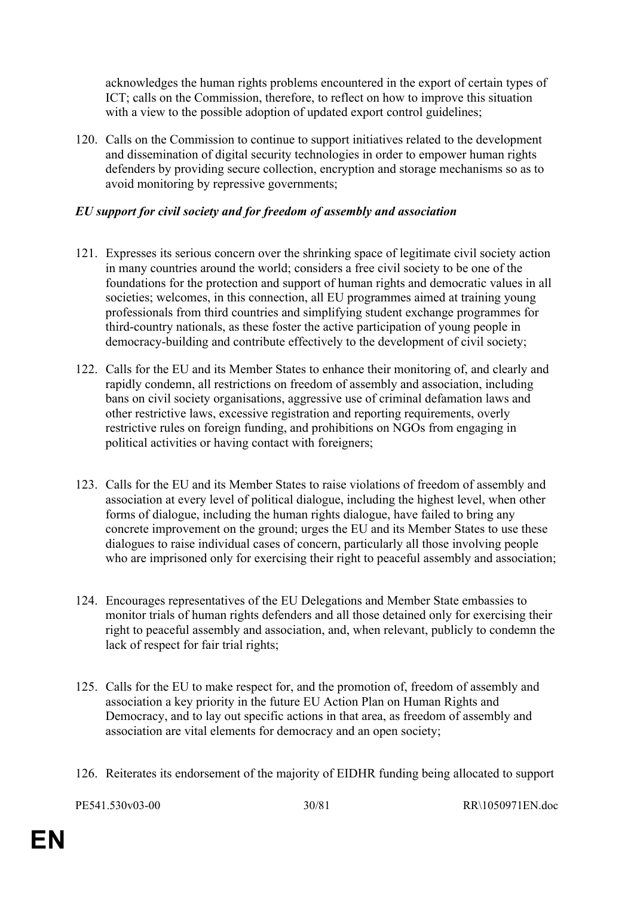acknowledges the human rights problems encountered in the export of certain types of ICT; calls on the Commission, therefore, to reflect on how to improve this situation with a view to the possible adoption of updated export control guidelines;

120. Calls on the Commission to continue to support initiatives related to the development and dissemination of digital security technologies in order to empower human rights defenders by providing secure collection, encryption and storage mechanisms so as to avoid monitoring by repressive governments;

# *EU support for civil society and for freedom of assembly and association*

- 121. Expresses its serious concern over the shrinking space of legitimate civil society action in many countries around the world; considers a free civil society to be one of the foundations for the protection and support of human rights and democratic values in all societies; welcomes, in this connection, all EU programmes aimed at training young professionals from third countries and simplifying student exchange programmes for third-country nationals, as these foster the active participation of young people in democracy-building and contribute effectively to the development of civil society;
- 122. Calls for the EU and its Member States to enhance their monitoring of, and clearly and rapidly condemn, all restrictions on freedom of assembly and association, including bans on civil society organisations, aggressive use of criminal defamation laws and other restrictive laws, excessive registration and reporting requirements, overly restrictive rules on foreign funding, and prohibitions on NGOs from engaging in political activities or having contact with foreigners;
- 123. Calls for the EU and its Member States to raise violations of freedom of assembly and association at every level of political dialogue, including the highest level, when other forms of dialogue, including the human rights dialogue, have failed to bring any concrete improvement on the ground; urges the EU and its Member States to use these dialogues to raise individual cases of concern, particularly all those involving people who are imprisoned only for exercising their right to peaceful assembly and association;
- 124. Encourages representatives of the EU Delegations and Member State embassies to monitor trials of human rights defenders and all those detained only for exercising their right to peaceful assembly and association, and, when relevant, publicly to condemn the lack of respect for fair trial rights;
- 125. Calls for the EU to make respect for, and the promotion of, freedom of assembly and association a key priority in the future EU Action Plan on Human Rights and Democracy, and to lay out specific actions in that area, as freedom of assembly and association are vital elements for democracy and an open society;
- 126. Reiterates its endorsement of the majority of EIDHR funding being allocated to support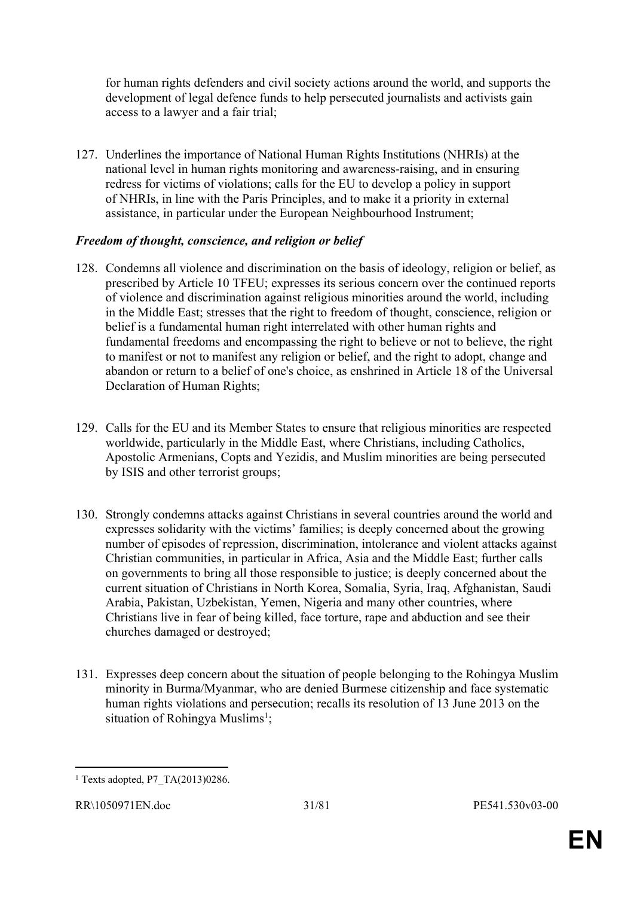for human rights defenders and civil society actions around the world, and supports the development of legal defence funds to help persecuted journalists and activists gain access to a lawyer and a fair trial;

127. Underlines the importance of National Human Rights Institutions (NHRIs) at the national level in human rights monitoring and awareness-raising, and in ensuring redress for victims of violations; calls for the EU to develop a policy in support of NHRIs, in line with the Paris Principles, and to make it a priority in external assistance, in particular under the European Neighbourhood Instrument;

#### *Freedom of thought, conscience, and religion or belief*

- 128. Condemns all violence and discrimination on the basis of ideology, religion or belief, as prescribed by Article 10 TFEU; expresses its serious concern over the continued reports of violence and discrimination against religious minorities around the world, including in the Middle East; stresses that the right to freedom of thought, conscience, religion or belief is a fundamental human right interrelated with other human rights and fundamental freedoms and encompassing the right to believe or not to believe, the right to manifest or not to manifest any religion or belief, and the right to adopt, change and abandon or return to a belief of one's choice, as enshrined in Article 18 of the Universal Declaration of Human Rights;
- 129. Calls for the EU and its Member States to ensure that religious minorities are respected worldwide, particularly in the Middle East, where Christians, including Catholics, Apostolic Armenians, Copts and Yezidis, and Muslim minorities are being persecuted by ISIS and other terrorist groups;
- 130. Strongly condemns attacks against Christians in several countries around the world and expresses solidarity with the victims' families; is deeply concerned about the growing number of episodes of repression, discrimination, intolerance and violent attacks against Christian communities, in particular in Africa, Asia and the Middle East; further calls on governments to bring all those responsible to justice; is deeply concerned about the current situation of Christians in North Korea, Somalia, Syria, Iraq, Afghanistan, Saudi Arabia, Pakistan, Uzbekistan, Yemen, Nigeria and many other countries, where Christians live in fear of being killed, face torture, rape and abduction and see their churches damaged or destroyed;
- 131. Expresses deep concern about the situation of people belonging to the Rohingya Muslim minority in Burma/Myanmar, who are denied Burmese citizenship and face systematic human rights violations and persecution; recalls its resolution of 13 June 2013 on the situation of Rohingya Muslims<sup>1</sup>;

<sup>1</sup> Texts adopted, P7\_TA(2013)0286.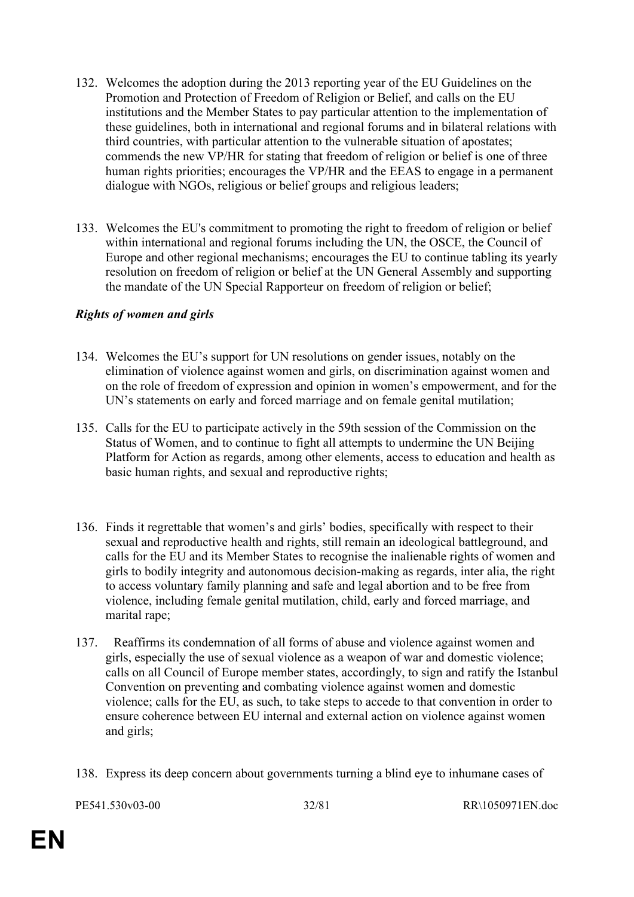- 132. Welcomes the adoption during the 2013 reporting year of the EU Guidelines on the Promotion and Protection of Freedom of Religion or Belief, and calls on the EU institutions and the Member States to pay particular attention to the implementation of these guidelines, both in international and regional forums and in bilateral relations with third countries, with particular attention to the vulnerable situation of apostates; commends the new VP/HR for stating that freedom of religion or belief is one of three human rights priorities; encourages the VP/HR and the EEAS to engage in a permanent dialogue with NGOs, religious or belief groups and religious leaders;
- 133. Welcomes the EU's commitment to promoting the right to freedom of religion or belief within international and regional forums including the UN, the OSCE, the Council of Europe and other regional mechanisms; encourages the EU to continue tabling its yearly resolution on freedom of religion or belief at the UN General Assembly and supporting the mandate of the UN Special Rapporteur on freedom of religion or belief;

#### *Rights of women and girls*

- 134. Welcomes the EU's support for UN resolutions on gender issues, notably on the elimination of violence against women and girls, on discrimination against women and on the role of freedom of expression and opinion in women's empowerment, and for the UN's statements on early and forced marriage and on female genital mutilation;
- 135. Calls for the EU to participate actively in the 59th session of the Commission on the Status of Women, and to continue to fight all attempts to undermine the UN Beijing Platform for Action as regards, among other elements, access to education and health as basic human rights, and sexual and reproductive rights;
- 136. Finds it regrettable that women's and girls' bodies, specifically with respect to their sexual and reproductive health and rights, still remain an ideological battleground, and calls for the EU and its Member States to recognise the inalienable rights of women and girls to bodily integrity and autonomous decision-making as regards, inter alia, the right to access voluntary family planning and safe and legal abortion and to be free from violence, including female genital mutilation, child, early and forced marriage, and marital rape;
- 137. Reaffirms its condemnation of all forms of abuse and violence against women and girls, especially the use of sexual violence as a weapon of war and domestic violence; calls on all Council of Europe member states, accordingly, to sign and ratify the Istanbul Convention on preventing and combating violence against women and domestic violence; calls for the EU, as such, to take steps to accede to that convention in order to ensure coherence between EU internal and external action on violence against women and girls;
- 138. Express its deep concern about governments turning a blind eye to inhumane cases of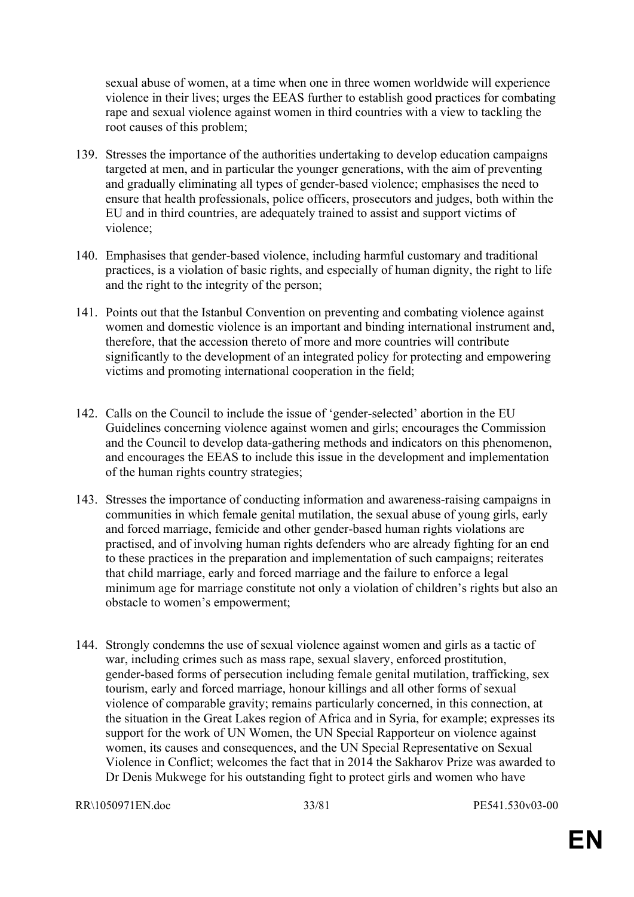sexual abuse of women, at a time when one in three women worldwide will experience violence in their lives; urges the EEAS further to establish good practices for combating rape and sexual violence against women in third countries with a view to tackling the root causes of this problem;

- 139. Stresses the importance of the authorities undertaking to develop education campaigns targeted at men, and in particular the younger generations, with the aim of preventing and gradually eliminating all types of gender-based violence; emphasises the need to ensure that health professionals, police officers, prosecutors and judges, both within the EU and in third countries, are adequately trained to assist and support victims of violence;
- 140. Emphasises that gender-based violence, including harmful customary and traditional practices, is a violation of basic rights, and especially of human dignity, the right to life and the right to the integrity of the person;
- 141. Points out that the Istanbul Convention on preventing and combating violence against women and domestic violence is an important and binding international instrument and, therefore, that the accession thereto of more and more countries will contribute significantly to the development of an integrated policy for protecting and empowering victims and promoting international cooperation in the field;
- 142. Calls on the Council to include the issue of 'gender-selected' abortion in the EU Guidelines concerning violence against women and girls; encourages the Commission and the Council to develop data-gathering methods and indicators on this phenomenon, and encourages the EEAS to include this issue in the development and implementation of the human rights country strategies;
- 143. Stresses the importance of conducting information and awareness-raising campaigns in communities in which female genital mutilation, the sexual abuse of young girls, early and forced marriage, femicide and other gender-based human rights violations are practised, and of involving human rights defenders who are already fighting for an end to these practices in the preparation and implementation of such campaigns; reiterates that child marriage, early and forced marriage and the failure to enforce a legal minimum age for marriage constitute not only a violation of children's rights but also an obstacle to women's empowerment;
- 144. Strongly condemns the use of sexual violence against women and girls as a tactic of war, including crimes such as mass rape, sexual slavery, enforced prostitution, gender-based forms of persecution including female genital mutilation, trafficking, sex tourism, early and forced marriage, honour killings and all other forms of sexual violence of comparable gravity; remains particularly concerned, in this connection, at the situation in the Great Lakes region of Africa and in Syria, for example; expresses its support for the work of UN Women, the UN Special Rapporteur on violence against women, its causes and consequences, and the UN Special Representative on Sexual Violence in Conflict; welcomes the fact that in 2014 the Sakharov Prize was awarded to Dr Denis Mukwege for his outstanding fight to protect girls and women who have

```
RR\1050971EN.doc 33/81 PE541.530v03-00
```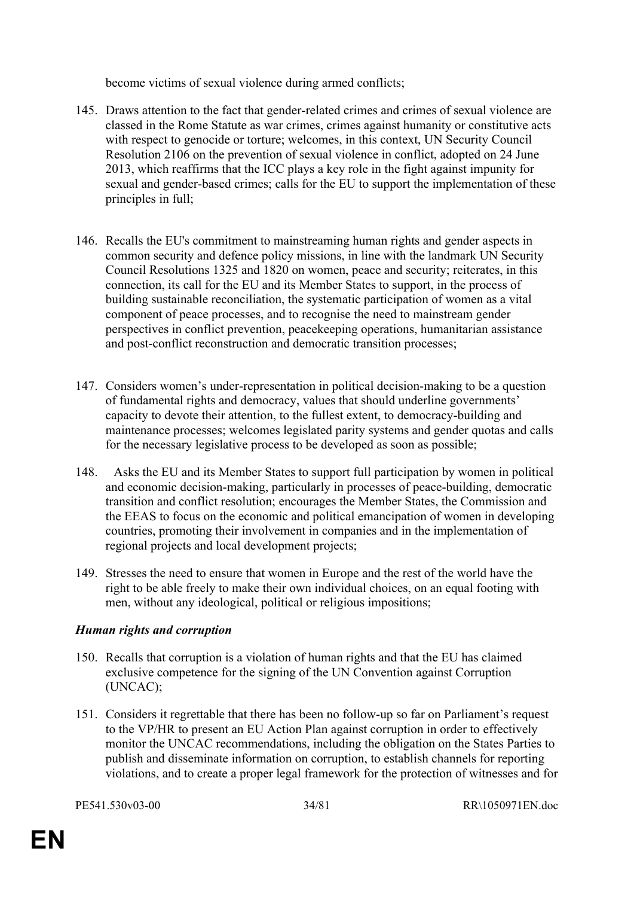become victims of sexual violence during armed conflicts;

- 145. Draws attention to the fact that gender-related crimes and crimes of sexual violence are classed in the Rome Statute as war crimes, crimes against humanity or constitutive acts with respect to genocide or torture; welcomes, in this context, UN Security Council Resolution 2106 on the prevention of sexual violence in conflict, adopted on 24 June 2013, which reaffirms that the ICC plays a key role in the fight against impunity for sexual and gender-based crimes; calls for the EU to support the implementation of these principles in full;
- 146. Recalls the EU's commitment to mainstreaming human rights and gender aspects in common security and defence policy missions, in line with the landmark UN Security Council Resolutions 1325 and 1820 on women, peace and security; reiterates, in this connection, its call for the EU and its Member States to support, in the process of building sustainable reconciliation, the systematic participation of women as a vital component of peace processes, and to recognise the need to mainstream gender perspectives in conflict prevention, peacekeeping operations, humanitarian assistance and post-conflict reconstruction and democratic transition processes;
- 147. Considers women's under-representation in political decision-making to be a question of fundamental rights and democracy, values that should underline governments' capacity to devote their attention, to the fullest extent, to democracy-building and maintenance processes; welcomes legislated parity systems and gender quotas and calls for the necessary legislative process to be developed as soon as possible;
- 148. Asks the EU and its Member States to support full participation by women in political and economic decision-making, particularly in processes of peace-building, democratic transition and conflict resolution; encourages the Member States, the Commission and the EEAS to focus on the economic and political emancipation of women in developing countries, promoting their involvement in companies and in the implementation of regional projects and local development projects;
- 149. Stresses the need to ensure that women in Europe and the rest of the world have the right to be able freely to make their own individual choices, on an equal footing with men, without any ideological, political or religious impositions;

# *Human rights and corruption*

- 150. Recalls that corruption is a violation of human rights and that the EU has claimed exclusive competence for the signing of the UN Convention against Corruption (UNCAC);
- 151. Considers it regrettable that there has been no follow-up so far on Parliament's request to the VP/HR to present an EU Action Plan against corruption in order to effectively monitor the UNCAC recommendations, including the obligation on the States Parties to publish and disseminate information on corruption, to establish channels for reporting violations, and to create a proper legal framework for the protection of witnesses and for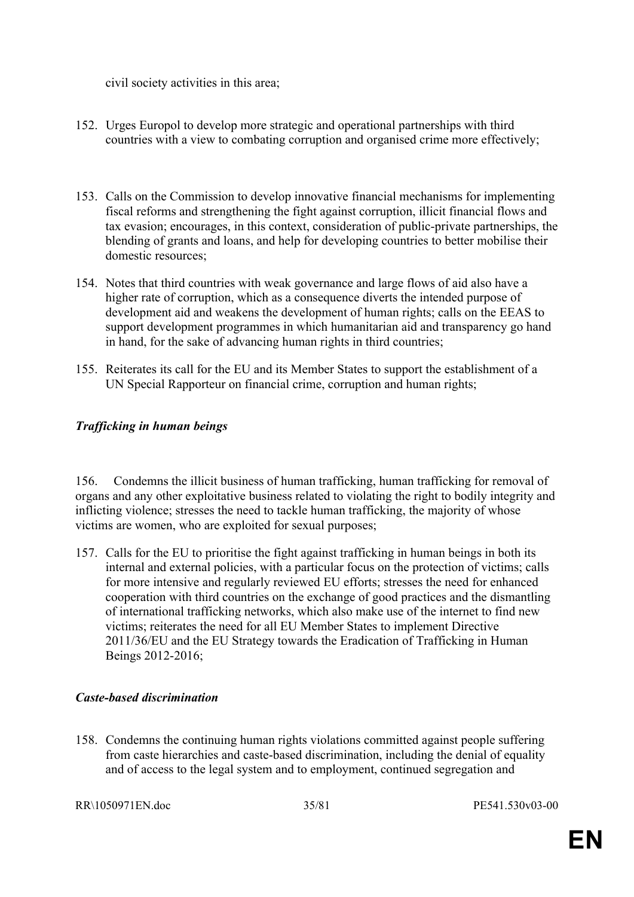civil society activities in this area;

- 152. Urges Europol to develop more strategic and operational partnerships with third countries with a view to combating corruption and organised crime more effectively;
- 153. Calls on the Commission to develop innovative financial mechanisms for implementing fiscal reforms and strengthening the fight against corruption, illicit financial flows and tax evasion; encourages, in this context, consideration of public-private partnerships, the blending of grants and loans, and help for developing countries to better mobilise their domestic resources;
- 154. Notes that third countries with weak governance and large flows of aid also have a higher rate of corruption, which as a consequence diverts the intended purpose of development aid and weakens the development of human rights; calls on the EEAS to support development programmes in which humanitarian aid and transparency go hand in hand, for the sake of advancing human rights in third countries;
- 155. Reiterates its call for the EU and its Member States to support the establishment of a UN Special Rapporteur on financial crime, corruption and human rights;

# *Trafficking in human beings*

156. Condemns the illicit business of human trafficking, human trafficking for removal of organs and any other exploitative business related to violating the right to bodily integrity and inflicting violence; stresses the need to tackle human trafficking, the majority of whose victims are women, who are exploited for sexual purposes;

157. Calls for the EU to prioritise the fight against trafficking in human beings in both its internal and external policies, with a particular focus on the protection of victims; calls for more intensive and regularly reviewed EU efforts; stresses the need for enhanced cooperation with third countries on the exchange of good practices and the dismantling of international trafficking networks, which also make use of the internet to find new victims; reiterates the need for all EU Member States to implement Directive 2011/36/EU and the EU Strategy towards the Eradication of Trafficking in Human Beings 2012-2016;

#### *Caste-based discrimination*

158. Condemns the continuing human rights violations committed against people suffering from caste hierarchies and caste-based discrimination, including the denial of equality and of access to the legal system and to employment, continued segregation and

RR\1050971EN.doc 35/81 PE541.530v03-00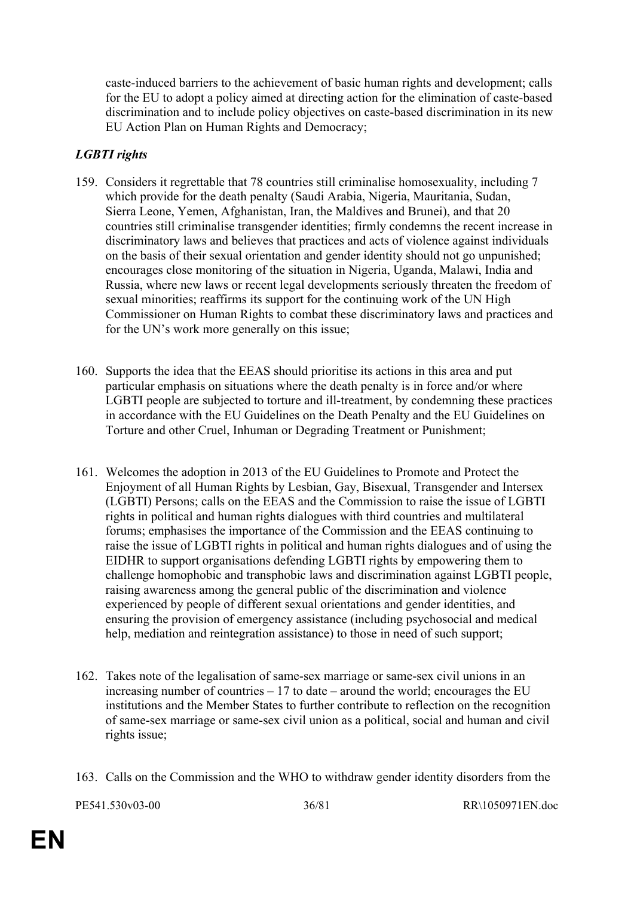caste-induced barriers to the achievement of basic human rights and development; calls for the EU to adopt a policy aimed at directing action for the elimination of caste-based discrimination and to include policy objectives on caste-based discrimination in its new EU Action Plan on Human Rights and Democracy;

# *LGBTI rights*

- 159. Considers it regrettable that 78 countries still criminalise homosexuality, including 7 which provide for the death penalty (Saudi Arabia, Nigeria, Mauritania, Sudan, Sierra Leone, Yemen, Afghanistan, Iran, the Maldives and Brunei), and that 20 countries still criminalise transgender identities; firmly condemns the recent increase in discriminatory laws and believes that practices and acts of violence against individuals on the basis of their sexual orientation and gender identity should not go unpunished; encourages close monitoring of the situation in Nigeria, Uganda, Malawi, India and Russia, where new laws or recent legal developments seriously threaten the freedom of sexual minorities; reaffirms its support for the continuing work of the UN High Commissioner on Human Rights to combat these discriminatory laws and practices and for the UN's work more generally on this issue;
- 160. Supports the idea that the EEAS should prioritise its actions in this area and put particular emphasis on situations where the death penalty is in force and/or where LGBTI people are subjected to torture and ill-treatment, by condemning these practices in accordance with the EU Guidelines on the Death Penalty and the EU Guidelines on Torture and other Cruel, Inhuman or Degrading Treatment or Punishment;
- 161. Welcomes the adoption in 2013 of the EU Guidelines to Promote and Protect the Enjoyment of all Human Rights by Lesbian, Gay, Bisexual, Transgender and Intersex (LGBTI) Persons; calls on the EEAS and the Commission to raise the issue of LGBTI rights in political and human rights dialogues with third countries and multilateral forums; emphasises the importance of the Commission and the EEAS continuing to raise the issue of LGBTI rights in political and human rights dialogues and of using the EIDHR to support organisations defending LGBTI rights by empowering them to challenge homophobic and transphobic laws and discrimination against LGBTI people, raising awareness among the general public of the discrimination and violence experienced by people of different sexual orientations and gender identities, and ensuring the provision of emergency assistance (including psychosocial and medical help, mediation and reintegration assistance) to those in need of such support;
- 162. Takes note of the legalisation of same-sex marriage or same-sex civil unions in an increasing number of countries – 17 to date – around the world; encourages the EU institutions and the Member States to further contribute to reflection on the recognition of same-sex marriage or same-sex civil union as a political, social and human and civil rights issue;
- 163. Calls on the Commission and the WHO to withdraw gender identity disorders from the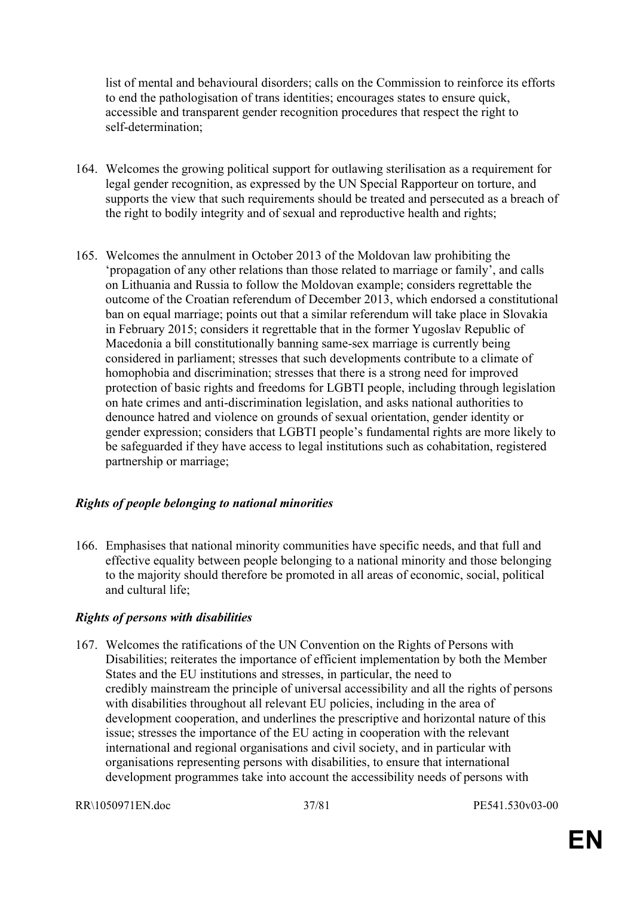list of mental and behavioural disorders; calls on the Commission to reinforce its efforts to end the pathologisation of trans identities; encourages states to ensure quick, accessible and transparent gender recognition procedures that respect the right to self-determination;

- 164. Welcomes the growing political support for outlawing sterilisation as a requirement for legal gender recognition, as expressed by the UN Special Rapporteur on torture, and supports the view that such requirements should be treated and persecuted as a breach of the right to bodily integrity and of sexual and reproductive health and rights;
- 165. Welcomes the annulment in October 2013 of the Moldovan law prohibiting the 'propagation of any other relations than those related to marriage or family', and calls on Lithuania and Russia to follow the Moldovan example; considers regrettable the outcome of the Croatian referendum of December 2013, which endorsed a constitutional ban on equal marriage; points out that a similar referendum will take place in Slovakia in February 2015; considers it regrettable that in the former Yugoslav Republic of Macedonia a bill constitutionally banning same-sex marriage is currently being considered in parliament; stresses that such developments contribute to a climate of homophobia and discrimination; stresses that there is a strong need for improved protection of basic rights and freedoms for LGBTI people, including through legislation on hate crimes and anti-discrimination legislation, and asks national authorities to denounce hatred and violence on grounds of sexual orientation, gender identity or gender expression; considers that LGBTI people's fundamental rights are more likely to be safeguarded if they have access to legal institutions such as cohabitation, registered partnership or marriage;

## *Rights of people belonging to national minorities*

166. Emphasises that national minority communities have specific needs, and that full and effective equality between people belonging to a national minority and those belonging to the majority should therefore be promoted in all areas of economic, social, political and cultural life;

## *Rights of persons with disabilities*

167. Welcomes the ratifications of the UN Convention on the Rights of Persons with Disabilities; reiterates the importance of efficient implementation by both the Member States and the EU institutions and stresses, in particular, the need to credibly mainstream the principle of universal accessibility and all the rights of persons with disabilities throughout all relevant EU policies, including in the area of development cooperation, and underlines the prescriptive and horizontal nature of this issue; stresses the importance of the EU acting in cooperation with the relevant international and regional organisations and civil society, and in particular with organisations representing persons with disabilities, to ensure that international development programmes take into account the accessibility needs of persons with

RR\1050971EN.doc 37/81 PE541.530v03-00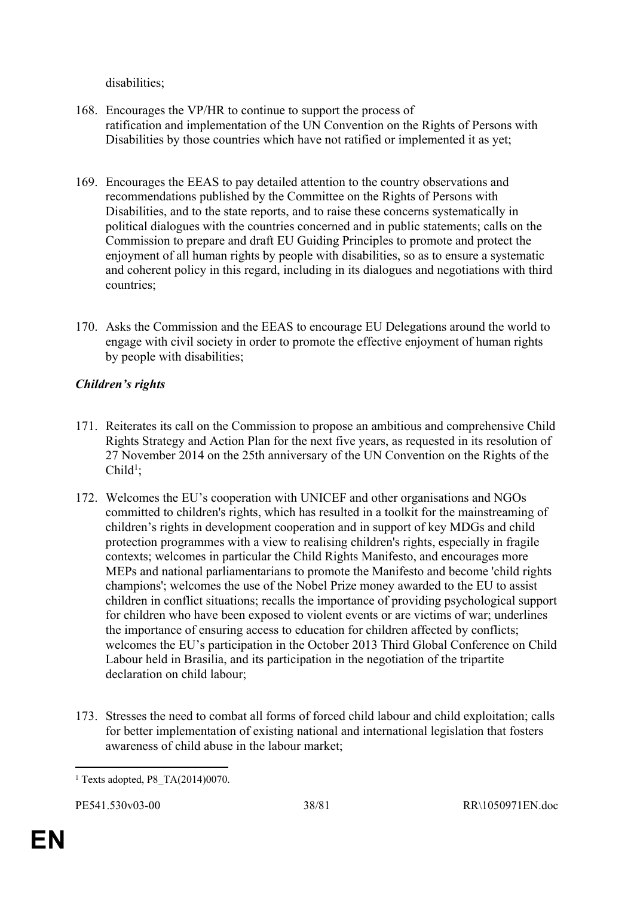disabilities;

- 168. Encourages the VP/HR to continue to support the process of ratification and implementation of the UN Convention on the Rights of Persons with Disabilities by those countries which have not ratified or implemented it as yet;
- 169. Encourages the EEAS to pay detailed attention to the country observations and recommendations published by the Committee on the Rights of Persons with Disabilities, and to the state reports, and to raise these concerns systematically in political dialogues with the countries concerned and in public statements; calls on the Commission to prepare and draft EU Guiding Principles to promote and protect the enjoyment of all human rights by people with disabilities, so as to ensure a systematic and coherent policy in this regard, including in its dialogues and negotiations with third countries;
- 170. Asks the Commission and the EEAS to encourage EU Delegations around the world to engage with civil society in order to promote the effective enjoyment of human rights by people with disabilities;

# *Children's rights*

- 171. Reiterates its call on the Commission to propose an ambitious and comprehensive Child Rights Strategy and Action Plan for the next five years, as requested in its resolution of 27 November 2014 on the 25th anniversary of the UN Convention on the Rights of the  $Child<sup>1</sup>$ ;
- 172. Welcomes the EU's cooperation with UNICEF and other organisations and NGOs committed to children's rights, which has resulted in a toolkit for the mainstreaming of children's rights in development cooperation and in support of key MDGs and child protection programmes with a view to realising children's rights, especially in fragile contexts; welcomes in particular the Child Rights Manifesto, and encourages more MEPs and national parliamentarians to promote the Manifesto and become 'child rights champions'; welcomes the use of the Nobel Prize money awarded to the EU to assist children in conflict situations; recalls the importance of providing psychological support for children who have been exposed to violent events or are victims of war; underlines the importance of ensuring access to education for children affected by conflicts; welcomes the EU's participation in the October 2013 Third Global Conference on Child Labour held in Brasilia, and its participation in the negotiation of the tripartite declaration on child labour;
- 173. Stresses the need to combat all forms of forced child labour and child exploitation; calls for better implementation of existing national and international legislation that fosters awareness of child abuse in the labour market;

<sup>1</sup> Texts adopted, P8\_TA(2014)0070.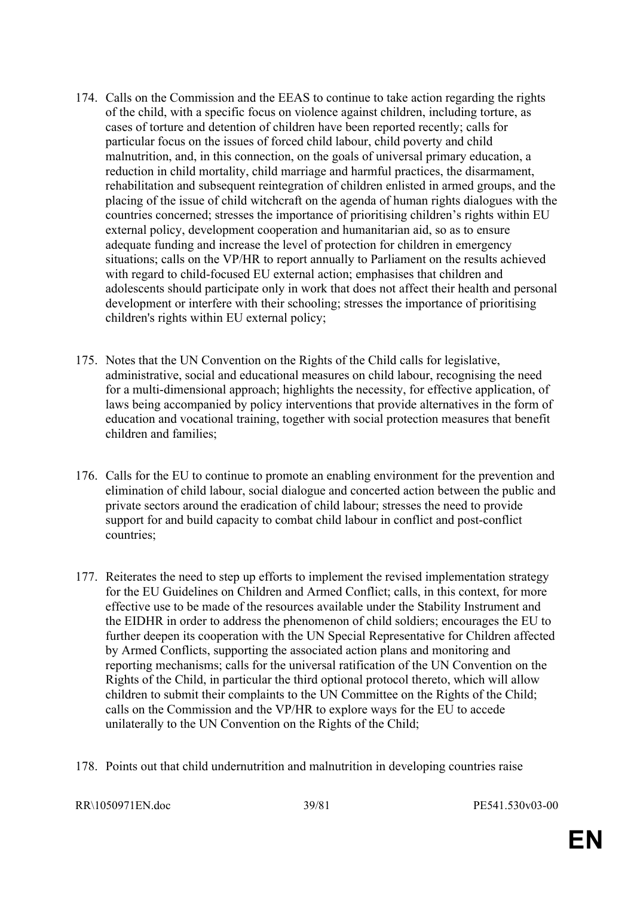- 174. Calls on the Commission and the EEAS to continue to take action regarding the rights of the child, with a specific focus on violence against children, including torture, as cases of torture and detention of children have been reported recently; calls for particular focus on the issues of forced child labour, child poverty and child malnutrition, and, in this connection, on the goals of universal primary education, a reduction in child mortality, child marriage and harmful practices, the disarmament, rehabilitation and subsequent reintegration of children enlisted in armed groups, and the placing of the issue of child witchcraft on the agenda of human rights dialogues with the countries concerned; stresses the importance of prioritising children's rights within EU external policy, development cooperation and humanitarian aid, so as to ensure adequate funding and increase the level of protection for children in emergency situations; calls on the VP/HR to report annually to Parliament on the results achieved with regard to child-focused EU external action; emphasises that children and adolescents should participate only in work that does not affect their health and personal development or interfere with their schooling; stresses the importance of prioritising children's rights within EU external policy;
- 175. Notes that the UN Convention on the Rights of the Child calls for legislative, administrative, social and educational measures on child labour, recognising the need for a multi-dimensional approach; highlights the necessity, for effective application, of laws being accompanied by policy interventions that provide alternatives in the form of education and vocational training, together with social protection measures that benefit children and families;
- 176. Calls for the EU to continue to promote an enabling environment for the prevention and elimination of child labour, social dialogue and concerted action between the public and private sectors around the eradication of child labour; stresses the need to provide support for and build capacity to combat child labour in conflict and post-conflict countries;
- 177. Reiterates the need to step up efforts to implement the revised implementation strategy for the EU Guidelines on Children and Armed Conflict; calls, in this context, for more effective use to be made of the resources available under the Stability Instrument and the EIDHR in order to address the phenomenon of child soldiers; encourages the EU to further deepen its cooperation with the UN Special Representative for Children affected by Armed Conflicts, supporting the associated action plans and monitoring and reporting mechanisms; calls for the universal ratification of the UN Convention on the Rights of the Child, in particular the third optional protocol thereto, which will allow children to submit their complaints to the UN Committee on the Rights of the Child; calls on the Commission and the VP/HR to explore ways for the EU to accede unilaterally to the UN Convention on the Rights of the Child;
- 178. Points out that child undernutrition and malnutrition in developing countries raise

```
RR\1050971EN.doc 39/81 PE541.530v03-00
```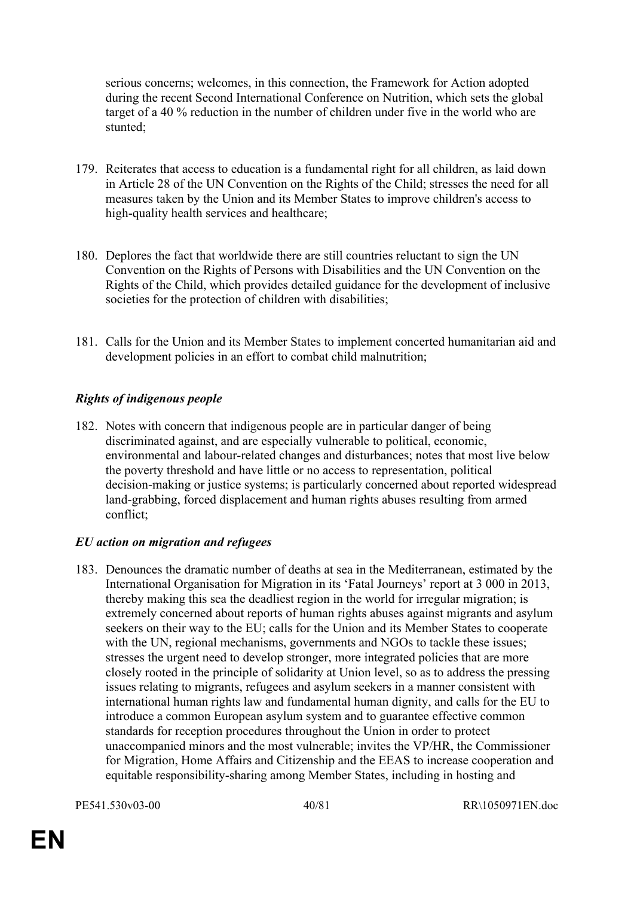serious concerns; welcomes, in this connection, the Framework for Action adopted during the recent Second International Conference on Nutrition, which sets the global target of a 40 % reduction in the number of children under five in the world who are stunted;

- 179. Reiterates that access to education is a fundamental right for all children, as laid down in Article 28 of the UN Convention on the Rights of the Child; stresses the need for all measures taken by the Union and its Member States to improve children's access to high-quality health services and healthcare;
- 180. Deplores the fact that worldwide there are still countries reluctant to sign the UN Convention on the Rights of Persons with Disabilities and the UN Convention on the Rights of the Child, which provides detailed guidance for the development of inclusive societies for the protection of children with disabilities;
- 181. Calls for the Union and its Member States to implement concerted humanitarian aid and development policies in an effort to combat child malnutrition;

# *Rights of indigenous people*

182. Notes with concern that indigenous people are in particular danger of being discriminated against, and are especially vulnerable to political, economic, environmental and labour-related changes and disturbances; notes that most live below the poverty threshold and have little or no access to representation, political decision-making or justice systems; is particularly concerned about reported widespread land-grabbing, forced displacement and human rights abuses resulting from armed conflict;

## *EU action on migration and refugees*

183. Denounces the dramatic number of deaths at sea in the Mediterranean, estimated by the International Organisation for Migration in its 'Fatal Journeys' report at 3 000 in 2013, thereby making this sea the deadliest region in the world for irregular migration; is extremely concerned about reports of human rights abuses against migrants and asylum seekers on their way to the EU; calls for the Union and its Member States to cooperate with the UN, regional mechanisms, governments and NGOs to tackle these issues; stresses the urgent need to develop stronger, more integrated policies that are more closely rooted in the principle of solidarity at Union level, so as to address the pressing issues relating to migrants, refugees and asylum seekers in a manner consistent with international human rights law and fundamental human dignity, and calls for the EU to introduce a common European asylum system and to guarantee effective common standards for reception procedures throughout the Union in order to protect unaccompanied minors and the most vulnerable; invites the VP/HR, the Commissioner for Migration, Home Affairs and Citizenship and the EEAS to increase cooperation and equitable responsibility-sharing among Member States, including in hosting and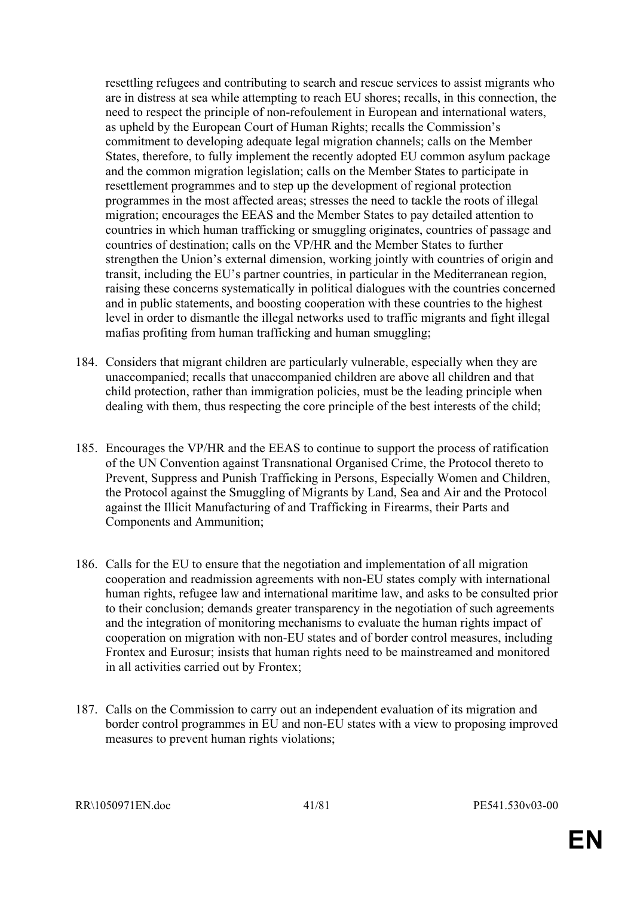resettling refugees and contributing to search and rescue services to assist migrants who are in distress at sea while attempting to reach EU shores; recalls, in this connection, the need to respect the principle of non-refoulement in European and international waters, as upheld by the European Court of Human Rights; recalls the Commission's commitment to developing adequate legal migration channels; calls on the Member States, therefore, to fully implement the recently adopted EU common asylum package and the common migration legislation; calls on the Member States to participate in resettlement programmes and to step up the development of regional protection programmes in the most affected areas; stresses the need to tackle the roots of illegal migration; encourages the EEAS and the Member States to pay detailed attention to countries in which human trafficking or smuggling originates, countries of passage and countries of destination; calls on the VP/HR and the Member States to further strengthen the Union's external dimension, working jointly with countries of origin and transit, including the EU's partner countries, in particular in the Mediterranean region, raising these concerns systematically in political dialogues with the countries concerned and in public statements, and boosting cooperation with these countries to the highest level in order to dismantle the illegal networks used to traffic migrants and fight illegal mafias profiting from human trafficking and human smuggling;

- 184. Considers that migrant children are particularly vulnerable, especially when they are unaccompanied; recalls that unaccompanied children are above all children and that child protection, rather than immigration policies, must be the leading principle when dealing with them, thus respecting the core principle of the best interests of the child;
- 185. Encourages the VP/HR and the EEAS to continue to support the process of ratification of the UN Convention against Transnational Organised Crime, the Protocol thereto to Prevent, Suppress and Punish Trafficking in Persons, Especially Women and Children, the Protocol against the Smuggling of Migrants by Land, Sea and Air and the Protocol against the Illicit Manufacturing of and Trafficking in Firearms, their Parts and Components and Ammunition;
- 186. Calls for the EU to ensure that the negotiation and implementation of all migration cooperation and readmission agreements with non-EU states comply with international human rights, refugee law and international maritime law, and asks to be consulted prior to their conclusion; demands greater transparency in the negotiation of such agreements and the integration of monitoring mechanisms to evaluate the human rights impact of cooperation on migration with non-EU states and of border control measures, including Frontex and Eurosur; insists that human rights need to be mainstreamed and monitored in all activities carried out by Frontex;
- 187. Calls on the Commission to carry out an independent evaluation of its migration and border control programmes in EU and non-EU states with a view to proposing improved measures to prevent human rights violations;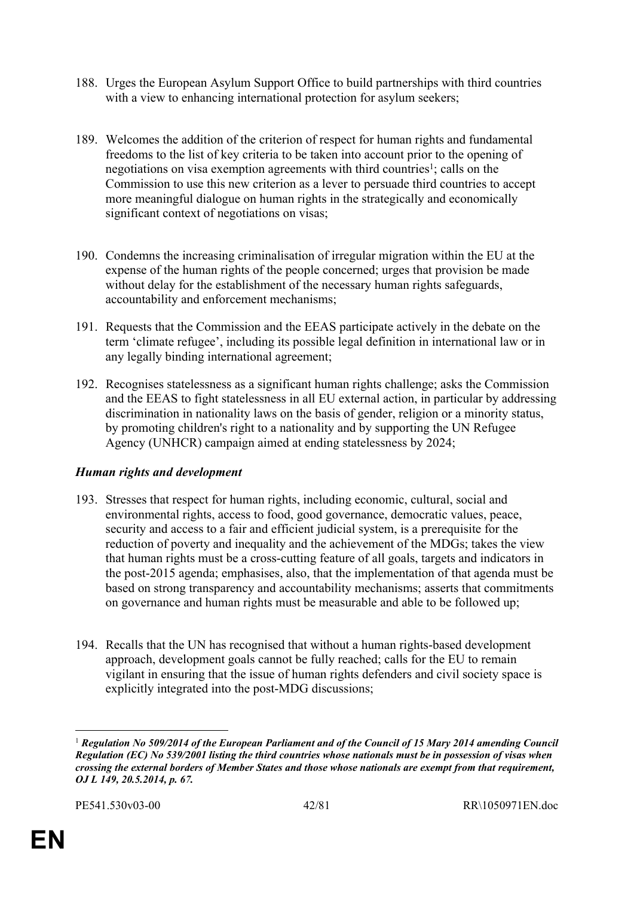- 188. Urges the European Asylum Support Office to build partnerships with third countries with a view to enhancing international protection for asylum seekers;
- 189. Welcomes the addition of the criterion of respect for human rights and fundamental freedoms to the list of key criteria to be taken into account prior to the opening of negotiations on visa exemption agreements with third countries<sup>1</sup>; calls on the Commission to use this new criterion as a lever to persuade third countries to accept more meaningful dialogue on human rights in the strategically and economically significant context of negotiations on visas;
- 190. Condemns the increasing criminalisation of irregular migration within the EU at the expense of the human rights of the people concerned; urges that provision be made without delay for the establishment of the necessary human rights safeguards, accountability and enforcement mechanisms;
- 191. Requests that the Commission and the EEAS participate actively in the debate on the term 'climate refugee', including its possible legal definition in international law or in any legally binding international agreement;
- 192. Recognises statelessness as a significant human rights challenge; asks the Commission and the EEAS to fight statelessness in all EU external action, in particular by addressing discrimination in nationality laws on the basis of gender, religion or a minority status, by promoting children's right to a nationality and by supporting the UN Refugee Agency (UNHCR) campaign aimed at ending statelessness by 2024;

## *Human rights and development*

- 193. Stresses that respect for human rights, including economic, cultural, social and environmental rights, access to food, good governance, democratic values, peace, security and access to a fair and efficient judicial system, is a prerequisite for the reduction of poverty and inequality and the achievement of the MDGs; takes the view that human rights must be a cross-cutting feature of all goals, targets and indicators in the post-2015 agenda; emphasises, also, that the implementation of that agenda must be based on strong transparency and accountability mechanisms; asserts that commitments on governance and human rights must be measurable and able to be followed up;
- 194. Recalls that the UN has recognised that without a human rights-based development approach, development goals cannot be fully reached; calls for the EU to remain vigilant in ensuring that the issue of human rights defenders and civil society space is explicitly integrated into the post-MDG discussions;

<sup>1</sup> *Regulation No 509/2014 of the European Parliament and of the Council of 15 Mary 2014 amending Council Regulation (EC) No 539/2001 listing the third countries whose nationals must be in possession of visas when crossing the external borders of Member States and those whose nationals are exempt from that requirement, OJ L 149, 20.5.2014, p. 67.*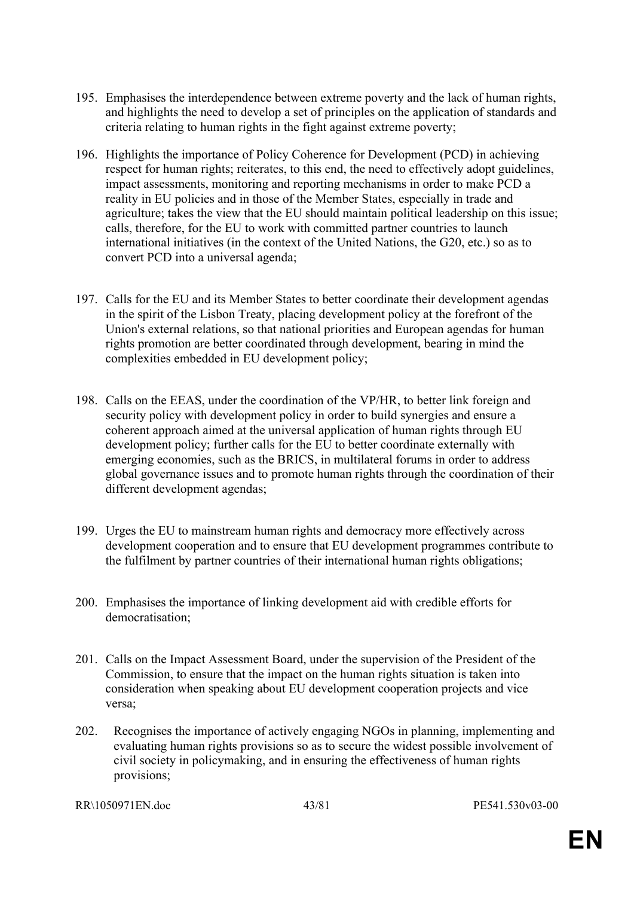- 195. Emphasises the interdependence between extreme poverty and the lack of human rights, and highlights the need to develop a set of principles on the application of standards and criteria relating to human rights in the fight against extreme poverty;
- 196. Highlights the importance of Policy Coherence for Development (PCD) in achieving respect for human rights; reiterates, to this end, the need to effectively adopt guidelines, impact assessments, monitoring and reporting mechanisms in order to make PCD a reality in EU policies and in those of the Member States, especially in trade and agriculture; takes the view that the EU should maintain political leadership on this issue; calls, therefore, for the EU to work with committed partner countries to launch international initiatives (in the context of the United Nations, the G20, etc.) so as to convert PCD into a universal agenda;
- 197. Calls for the EU and its Member States to better coordinate their development agendas in the spirit of the Lisbon Treaty, placing development policy at the forefront of the Union's external relations, so that national priorities and European agendas for human rights promotion are better coordinated through development, bearing in mind the complexities embedded in EU development policy;
- 198. Calls on the EEAS, under the coordination of the VP/HR, to better link foreign and security policy with development policy in order to build synergies and ensure a coherent approach aimed at the universal application of human rights through EU development policy; further calls for the EU to better coordinate externally with emerging economies, such as the BRICS, in multilateral forums in order to address global governance issues and to promote human rights through the coordination of their different development agendas;
- 199. Urges the EU to mainstream human rights and democracy more effectively across development cooperation and to ensure that EU development programmes contribute to the fulfilment by partner countries of their international human rights obligations;
- 200. Emphasises the importance of linking development aid with credible efforts for democratisation;
- 201. Calls on the Impact Assessment Board, under the supervision of the President of the Commission, to ensure that the impact on the human rights situation is taken into consideration when speaking about EU development cooperation projects and vice versa;
- 202. Recognises the importance of actively engaging NGOs in planning, implementing and evaluating human rights provisions so as to secure the widest possible involvement of civil society in policymaking, and in ensuring the effectiveness of human rights provisions;

RR\1050971EN.doc 43/81 PE541.530v03-00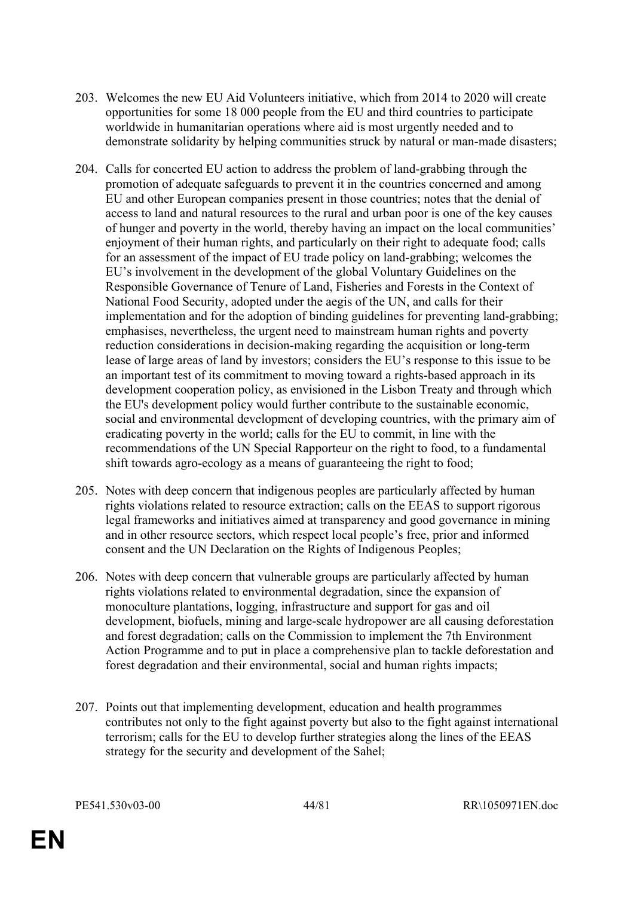- 203. Welcomes the new EU Aid Volunteers initiative, which from 2014 to 2020 will create opportunities for some 18 000 people from the EU and third countries to participate worldwide in humanitarian operations where aid is most urgently needed and to demonstrate solidarity by helping communities struck by natural or man-made disasters;
- 204. Calls for concerted EU action to address the problem of land-grabbing through the promotion of adequate safeguards to prevent it in the countries concerned and among EU and other European companies present in those countries; notes that the denial of access to land and natural resources to the rural and urban poor is one of the key causes of hunger and poverty in the world, thereby having an impact on the local communities' enjoyment of their human rights, and particularly on their right to adequate food; calls for an assessment of the impact of EU trade policy on land-grabbing; welcomes the EU's involvement in the development of the global Voluntary Guidelines on the Responsible Governance of Tenure of Land, Fisheries and Forests in the Context of National Food Security, adopted under the aegis of the UN, and calls for their implementation and for the adoption of binding guidelines for preventing land-grabbing; emphasises, nevertheless, the urgent need to mainstream human rights and poverty reduction considerations in decision-making regarding the acquisition or long-term lease of large areas of land by investors; considers the EU's response to this issue to be an important test of its commitment to moving toward a rights-based approach in its development cooperation policy, as envisioned in the Lisbon Treaty and through which the EU's development policy would further contribute to the sustainable economic, social and environmental development of developing countries, with the primary aim of eradicating poverty in the world; calls for the EU to commit, in line with the recommendations of the UN Special Rapporteur on the right to food, to a fundamental shift towards agro-ecology as a means of guaranteeing the right to food;
- 205. Notes with deep concern that indigenous peoples are particularly affected by human rights violations related to resource extraction; calls on the EEAS to support rigorous legal frameworks and initiatives aimed at transparency and good governance in mining and in other resource sectors, which respect local people's free, prior and informed consent and the UN Declaration on the Rights of Indigenous Peoples;
- 206. Notes with deep concern that vulnerable groups are particularly affected by human rights violations related to environmental degradation, since the expansion of monoculture plantations, logging, infrastructure and support for gas and oil development, biofuels, mining and large-scale hydropower are all causing deforestation and forest degradation; calls on the Commission to implement the 7th Environment Action Programme and to put in place a comprehensive plan to tackle deforestation and forest degradation and their environmental, social and human rights impacts;
- 207. Points out that implementing development, education and health programmes contributes not only to the fight against poverty but also to the fight against international terrorism; calls for the EU to develop further strategies along the lines of the EEAS strategy for the security and development of the Sahel;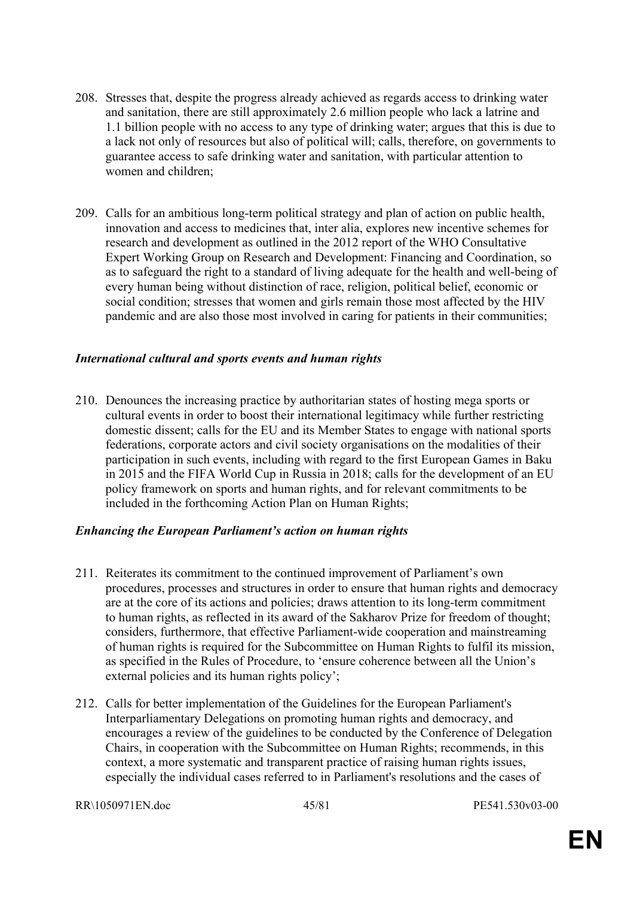- 208. Stresses that, despite the progress already achieved as regards access to drinking water and sanitation, there are still approximately 2.6 million people who lack a latrine and 1.1 billion people with no access to any type of drinking water; argues that this is due to a lack not only of resources but also of political will; calls, therefore, on governments to guarantee access to safe drinking water and sanitation, with particular attention to women and children;
- 209. Calls for an ambitious long-term political strategy and plan of action on public health, innovation and access to medicines that, inter alia, explores new incentive schemes for research and development as outlined in the 2012 report of the WHO Consultative Expert Working Group on Research and Development: Financing and Coordination, so as to safeguard the right to a standard of living adequate for the health and well-being of every human being without distinction of race, religion, political belief, economic or social condition; stresses that women and girls remain those most affected by the HIV pandemic and are also those most involved in caring for patients in their communities;

#### *International cultural and sports events and human rights*

210. Denounces the increasing practice by authoritarian states of hosting mega sports or cultural events in order to boost their international legitimacy while further restricting domestic dissent; calls for the EU and its Member States to engage with national sports federations, corporate actors and civil society organisations on the modalities of their participation in such events, including with regard to the first European Games in Baku in 2015 and the FIFA World Cup in Russia in 2018; calls for the development of an EU policy framework on sports and human rights, and for relevant commitments to be included in the forthcoming Action Plan on Human Rights;

#### *Enhancing the European Parliament's action on human rights*

- 211. Reiterates its commitment to the continued improvement of Parliament's own procedures, processes and structures in order to ensure that human rights and democracy are at the core of its actions and policies; draws attention to its long-term commitment to human rights, as reflected in its award of the Sakharov Prize for freedom of thought; considers, furthermore, that effective Parliament-wide cooperation and mainstreaming of human rights is required for the Subcommittee on Human Rights to fulfil its mission, as specified in the Rules of Procedure, to 'ensure coherence between all the Union's external policies and its human rights policy';
- 212. Calls for better implementation of the Guidelines for the European Parliament's Interparliamentary Delegations on promoting human rights and democracy, and encourages a review of the guidelines to be conducted by the Conference of Delegation Chairs, in cooperation with the Subcommittee on Human Rights; recommends, in this context, a more systematic and transparent practice of raising human rights issues, especially the individual cases referred to in Parliament's resolutions and the cases of

```
RR\1050971EN.doc 45/81 PE541.530v03-00
```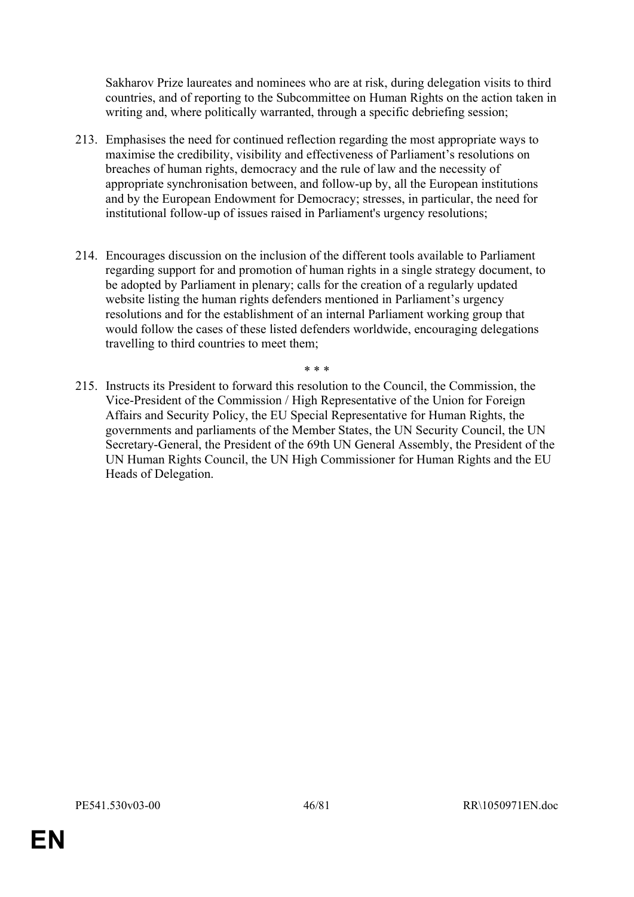Sakharov Prize laureates and nominees who are at risk, during delegation visits to third countries, and of reporting to the Subcommittee on Human Rights on the action taken in writing and, where politically warranted, through a specific debriefing session;

- 213. Emphasises the need for continued reflection regarding the most appropriate ways to maximise the credibility, visibility and effectiveness of Parliament's resolutions on breaches of human rights, democracy and the rule of law and the necessity of appropriate synchronisation between, and follow-up by, all the European institutions and by the European Endowment for Democracy; stresses, in particular, the need for institutional follow-up of issues raised in Parliament's urgency resolutions;
- 214. Encourages discussion on the inclusion of the different tools available to Parliament regarding support for and promotion of human rights in a single strategy document, to be adopted by Parliament in plenary; calls for the creation of a regularly updated website listing the human rights defenders mentioned in Parliament's urgency resolutions and for the establishment of an internal Parliament working group that would follow the cases of these listed defenders worldwide, encouraging delegations travelling to third countries to meet them;

\* \* \*

215. Instructs its President to forward this resolution to the Council, the Commission, the Vice-President of the Commission / High Representative of the Union for Foreign Affairs and Security Policy, the EU Special Representative for Human Rights, the governments and parliaments of the Member States, the UN Security Council, the UN Secretary-General, the President of the 69th UN General Assembly, the President of the UN Human Rights Council, the UN High Commissioner for Human Rights and the EU Heads of Delegation.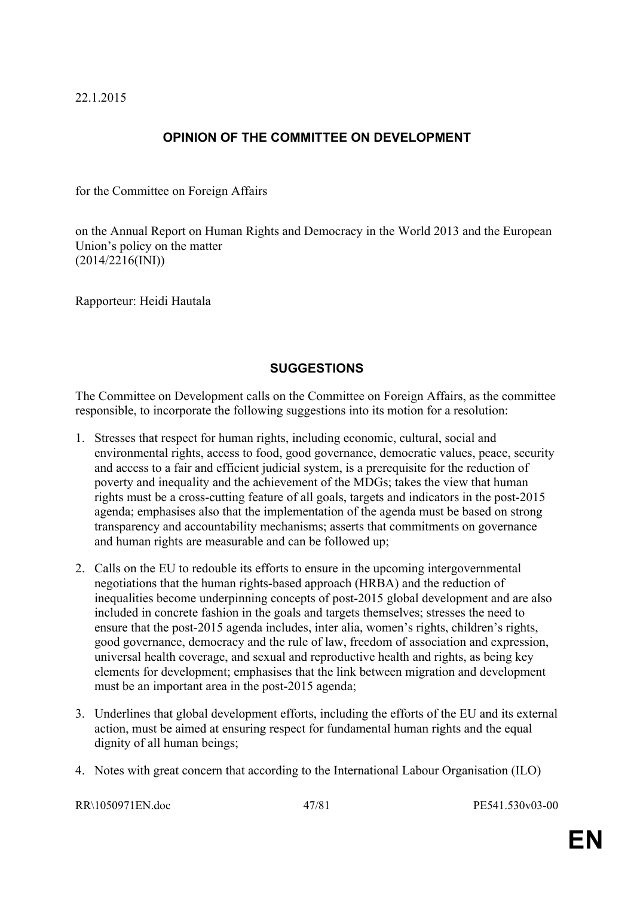# **OPINION OF THE COMMITTEE ON DEVELOPMENT**

for the Committee on Foreign Affairs

on the Annual Report on Human Rights and Democracy in the World 2013 and the European Union's policy on the matter (2014/2216(INI))

Rapporteur: Heidi Hautala

#### **SUGGESTIONS**

The Committee on Development calls on the Committee on Foreign Affairs, as the committee responsible, to incorporate the following suggestions into its motion for a resolution:

- 1. Stresses that respect for human rights, including economic, cultural, social and environmental rights, access to food, good governance, democratic values, peace, security and access to a fair and efficient judicial system, is a prerequisite for the reduction of poverty and inequality and the achievement of the MDGs; takes the view that human rights must be a cross-cutting feature of all goals, targets and indicators in the post-2015 agenda; emphasises also that the implementation of the agenda must be based on strong transparency and accountability mechanisms; asserts that commitments on governance and human rights are measurable and can be followed up;
- 2. Calls on the EU to redouble its efforts to ensure in the upcoming intergovernmental negotiations that the human rights-based approach (HRBA) and the reduction of inequalities become underpinning concepts of post-2015 global development and are also included in concrete fashion in the goals and targets themselves; stresses the need to ensure that the post-2015 agenda includes, inter alia, women's rights, children's rights, good governance, democracy and the rule of law, freedom of association and expression, universal health coverage, and sexual and reproductive health and rights, as being key elements for development; emphasises that the link between migration and development must be an important area in the post-2015 agenda;
- 3. Underlines that global development efforts, including the efforts of the EU and its external action, must be aimed at ensuring respect for fundamental human rights and the equal dignity of all human beings;
- 4. Notes with great concern that according to the International Labour Organisation (ILO)

RR\1050971EN.doc 47/81 PE541.530v03-00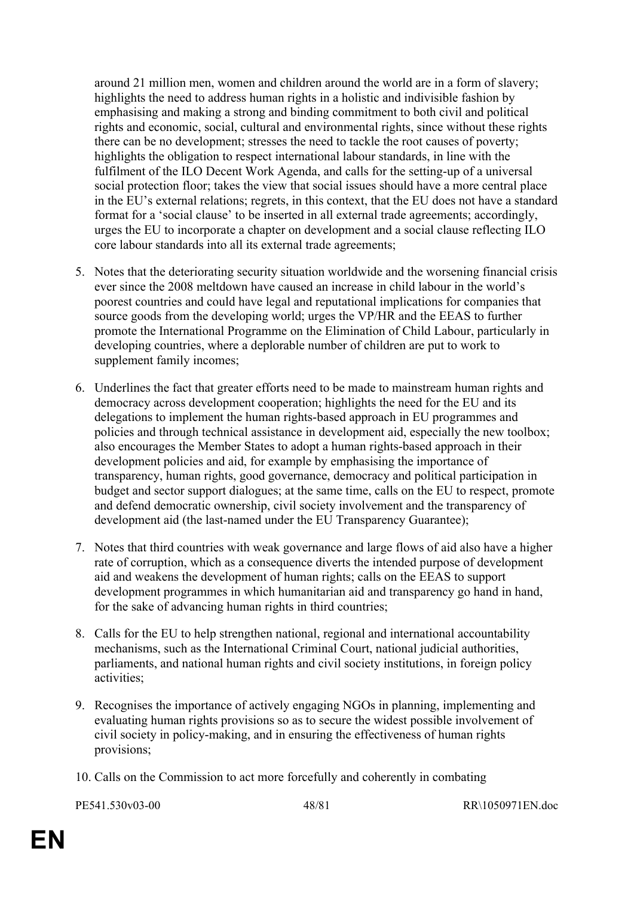around 21 million men, women and children around the world are in a form of slavery; highlights the need to address human rights in a holistic and indivisible fashion by emphasising and making a strong and binding commitment to both civil and political rights and economic, social, cultural and environmental rights, since without these rights there can be no development; stresses the need to tackle the root causes of poverty; highlights the obligation to respect international labour standards, in line with the fulfilment of the ILO Decent Work Agenda, and calls for the setting-up of a universal social protection floor; takes the view that social issues should have a more central place in the EU's external relations; regrets, in this context, that the EU does not have a standard format for a 'social clause' to be inserted in all external trade agreements; accordingly, urges the EU to incorporate a chapter on development and a social clause reflecting ILO core labour standards into all its external trade agreements;

- 5. Notes that the deteriorating security situation worldwide and the worsening financial crisis ever since the 2008 meltdown have caused an increase in child labour in the world's poorest countries and could have legal and reputational implications for companies that source goods from the developing world; urges the VP/HR and the EEAS to further promote the International Programme on the Elimination of Child Labour, particularly in developing countries, where a deplorable number of children are put to work to supplement family incomes:
- 6. Underlines the fact that greater efforts need to be made to mainstream human rights and democracy across development cooperation; highlights the need for the EU and its delegations to implement the human rights-based approach in EU programmes and policies and through technical assistance in development aid, especially the new toolbox; also encourages the Member States to adopt a human rights-based approach in their development policies and aid, for example by emphasising the importance of transparency, human rights, good governance, democracy and political participation in budget and sector support dialogues; at the same time, calls on the EU to respect, promote and defend democratic ownership, civil society involvement and the transparency of development aid (the last-named under the EU Transparency Guarantee);
- 7. Notes that third countries with weak governance and large flows of aid also have a higher rate of corruption, which as a consequence diverts the intended purpose of development aid and weakens the development of human rights; calls on the EEAS to support development programmes in which humanitarian aid and transparency go hand in hand, for the sake of advancing human rights in third countries;
- 8. Calls for the EU to help strengthen national, regional and international accountability mechanisms, such as the International Criminal Court, national judicial authorities, parliaments, and national human rights and civil society institutions, in foreign policy activities;
- 9. Recognises the importance of actively engaging NGOs in planning, implementing and evaluating human rights provisions so as to secure the widest possible involvement of civil society in policy-making, and in ensuring the effectiveness of human rights provisions;
- 10. Calls on the Commission to act more forcefully and coherently in combating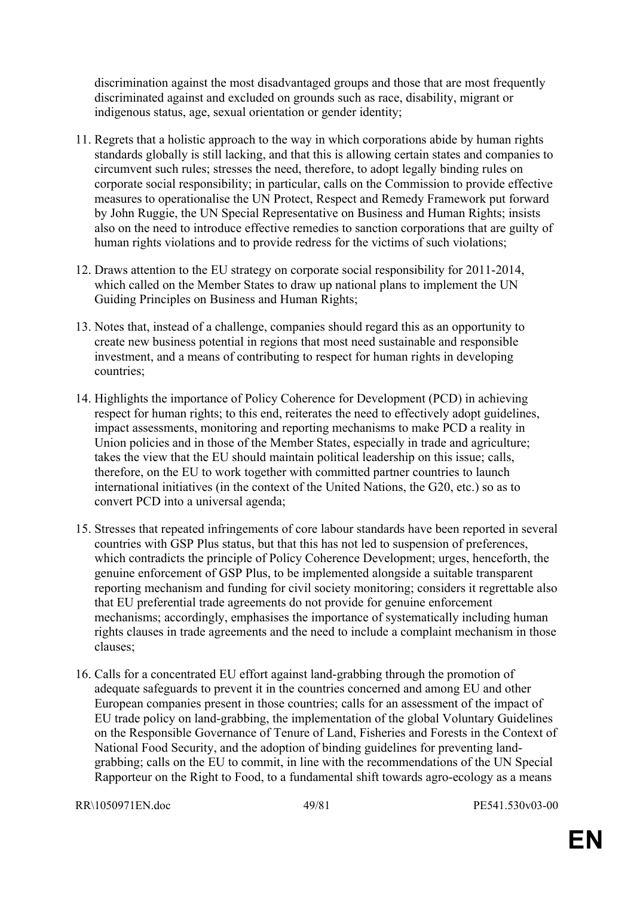discrimination against the most disadvantaged groups and those that are most frequently discriminated against and excluded on grounds such as race, disability, migrant or indigenous status, age, sexual orientation or gender identity;

- 11. Regrets that a holistic approach to the way in which corporations abide by human rights standards globally is still lacking, and that this is allowing certain states and companies to circumvent such rules; stresses the need, therefore, to adopt legally binding rules on corporate social responsibility; in particular, calls on the Commission to provide effective measures to operationalise the UN Protect, Respect and Remedy Framework put forward by John Ruggie, the UN Special Representative on Business and Human Rights; insists also on the need to introduce effective remedies to sanction corporations that are guilty of human rights violations and to provide redress for the victims of such violations;
- 12. Draws attention to the EU strategy on corporate social responsibility for 2011-2014, which called on the Member States to draw up national plans to implement the UN Guiding Principles on Business and Human Rights;
- 13. Notes that, instead of a challenge, companies should regard this as an opportunity to create new business potential in regions that most need sustainable and responsible investment, and a means of contributing to respect for human rights in developing countries;
- 14. Highlights the importance of Policy Coherence for Development (PCD) in achieving respect for human rights; to this end, reiterates the need to effectively adopt guidelines, impact assessments, monitoring and reporting mechanisms to make PCD a reality in Union policies and in those of the Member States, especially in trade and agriculture; takes the view that the EU should maintain political leadership on this issue; calls, therefore, on the EU to work together with committed partner countries to launch international initiatives (in the context of the United Nations, the G20, etc.) so as to convert PCD into a universal agenda;
- 15. Stresses that repeated infringements of core labour standards have been reported in several countries with GSP Plus status, but that this has not led to suspension of preferences, which contradicts the principle of Policy Coherence Development; urges, henceforth, the genuine enforcement of GSP Plus, to be implemented alongside a suitable transparent reporting mechanism and funding for civil society monitoring; considers it regrettable also that EU preferential trade agreements do not provide for genuine enforcement mechanisms; accordingly, emphasises the importance of systematically including human rights clauses in trade agreements and the need to include a complaint mechanism in those clauses;
- 16. Calls for a concentrated EU effort against land-grabbing through the promotion of adequate safeguards to prevent it in the countries concerned and among EU and other European companies present in those countries; calls for an assessment of the impact of EU trade policy on land-grabbing, the implementation of the global Voluntary Guidelines on the Responsible Governance of Tenure of Land, Fisheries and Forests in the Context of National Food Security, and the adoption of binding guidelines for preventing landgrabbing; calls on the EU to commit, in line with the recommendations of the UN Special Rapporteur on the Right to Food, to a fundamental shift towards agro-ecology as a means

```
RR\1050971EN.doc 49/81 PE541.530v03-00
```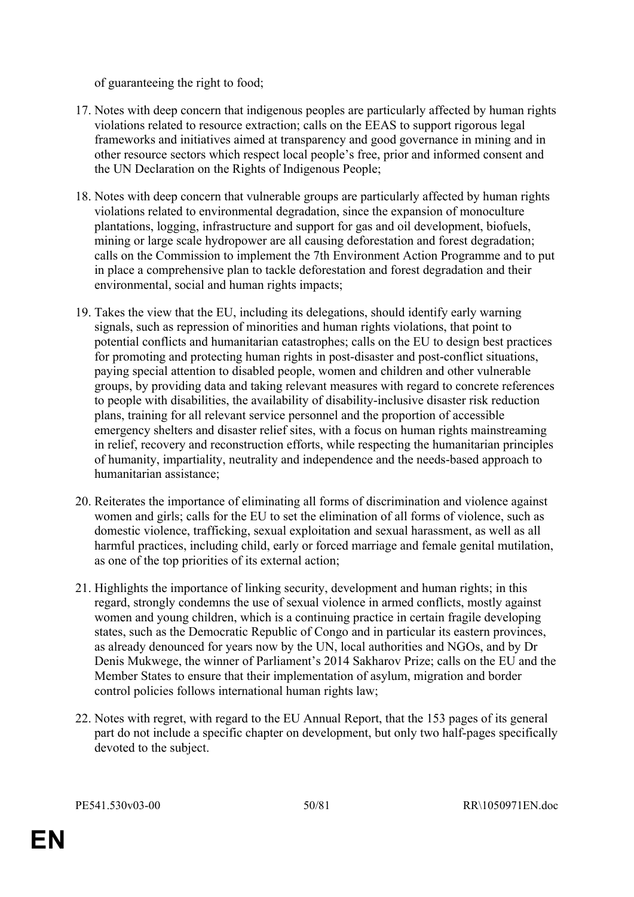of guaranteeing the right to food;

- 17. Notes with deep concern that indigenous peoples are particularly affected by human rights violations related to resource extraction; calls on the EEAS to support rigorous legal frameworks and initiatives aimed at transparency and good governance in mining and in other resource sectors which respect local people's free, prior and informed consent and the UN Declaration on the Rights of Indigenous People;
- 18. Notes with deep concern that vulnerable groups are particularly affected by human rights violations related to environmental degradation, since the expansion of monoculture plantations, logging, infrastructure and support for gas and oil development, biofuels, mining or large scale hydropower are all causing deforestation and forest degradation; calls on the Commission to implement the 7th Environment Action Programme and to put in place a comprehensive plan to tackle deforestation and forest degradation and their environmental, social and human rights impacts;
- 19. Takes the view that the EU, including its delegations, should identify early warning signals, such as repression of minorities and human rights violations, that point to potential conflicts and humanitarian catastrophes; calls on the EU to design best practices for promoting and protecting human rights in post-disaster and post-conflict situations, paying special attention to disabled people, women and children and other vulnerable groups, by providing data and taking relevant measures with regard to concrete references to people with disabilities, the availability of disability-inclusive disaster risk reduction plans, training for all relevant service personnel and the proportion of accessible emergency shelters and disaster relief sites, with a focus on human rights mainstreaming in relief, recovery and reconstruction efforts, while respecting the humanitarian principles of humanity, impartiality, neutrality and independence and the needs-based approach to humanitarian assistance;
- 20. Reiterates the importance of eliminating all forms of discrimination and violence against women and girls; calls for the EU to set the elimination of all forms of violence, such as domestic violence, trafficking, sexual exploitation and sexual harassment, as well as all harmful practices, including child, early or forced marriage and female genital mutilation, as one of the top priorities of its external action;
- 21. Highlights the importance of linking security, development and human rights; in this regard, strongly condemns the use of sexual violence in armed conflicts, mostly against women and young children, which is a continuing practice in certain fragile developing states, such as the Democratic Republic of Congo and in particular its eastern provinces, as already denounced for years now by the UN, local authorities and NGOs, and by Dr Denis Mukwege, the winner of Parliament's 2014 Sakharov Prize; calls on the EU and the Member States to ensure that their implementation of asylum, migration and border control policies follows international human rights law;
- 22. Notes with regret, with regard to the EU Annual Report, that the 153 pages of its general part do not include a specific chapter on development, but only two half-pages specifically devoted to the subject.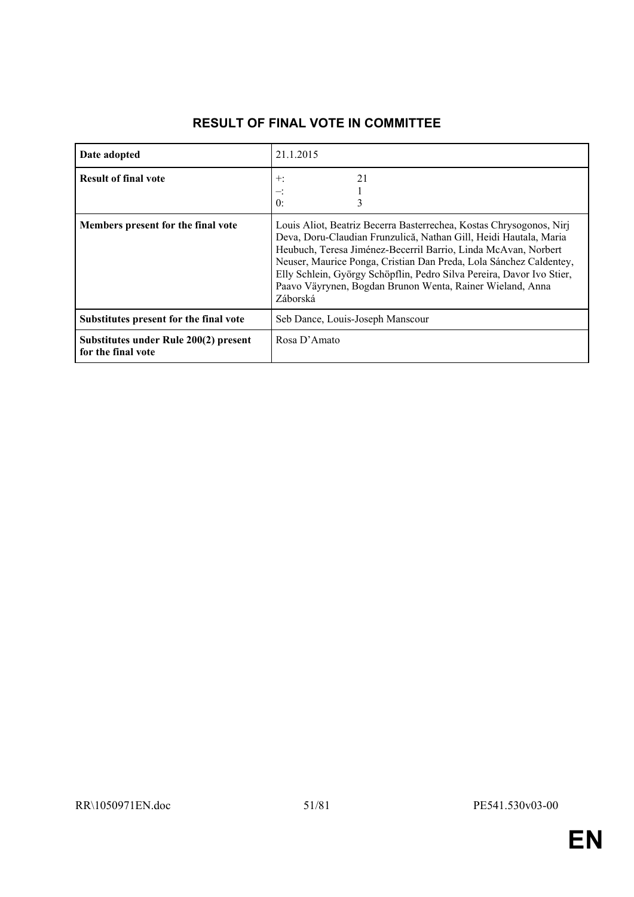| Date adopted                                                | 21.1.2015                                                                                                                                                                                                                                                                                                                                                                                                                          |  |
|-------------------------------------------------------------|------------------------------------------------------------------------------------------------------------------------------------------------------------------------------------------------------------------------------------------------------------------------------------------------------------------------------------------------------------------------------------------------------------------------------------|--|
| <b>Result of final vote</b>                                 | 21<br>$+:$<br>0:<br>3                                                                                                                                                                                                                                                                                                                                                                                                              |  |
| Members present for the final vote                          | Louis Aliot, Beatriz Becerra Basterrechea, Kostas Chrysogonos, Niri<br>Deva, Doru-Claudian Frunzulică, Nathan Gill, Heidi Hautala, Maria<br>Heubuch, Teresa Jiménez-Becerril Barrio, Linda McAvan, Norbert<br>Neuser, Maurice Ponga, Cristian Dan Preda, Lola Sánchez Caldentey,<br>Elly Schlein, György Schöpflin, Pedro Silva Pereira, Davor Ivo Stier,<br>Paavo Väyrynen, Bogdan Brunon Wenta, Rainer Wieland, Anna<br>Záborská |  |
| Substitutes present for the final vote                      | Seb Dance, Louis-Joseph Manscour                                                                                                                                                                                                                                                                                                                                                                                                   |  |
| Substitutes under Rule 200(2) present<br>for the final vote | Rosa D'Amato                                                                                                                                                                                                                                                                                                                                                                                                                       |  |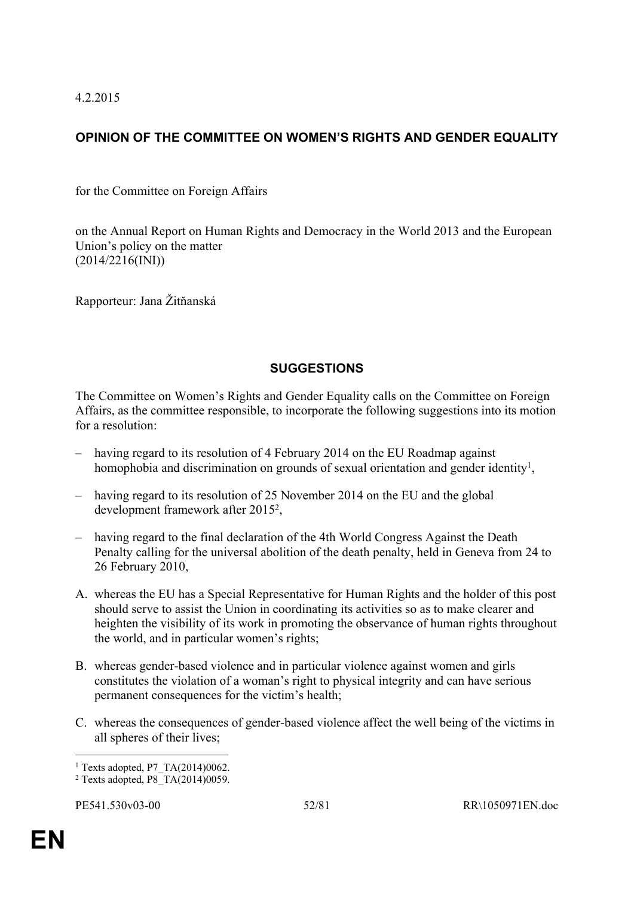4.2.2015

# **OPINION OF THE COMMITTEE ON WOMEN'S RIGHTS AND GENDER EQUALITY**

for the Committee on Foreign Affairs

on the Annual Report on Human Rights and Democracy in the World 2013 and the European Union's policy on the matter (2014/2216(INI))

Rapporteur: Jana Žitňanská

# **SUGGESTIONS**

The Committee on Women's Rights and Gender Equality calls on the Committee on Foreign Affairs, as the committee responsible, to incorporate the following suggestions into its motion for a resolution:

- having regard to its resolution of 4 February 2014 on the EU Roadmap against homophobia and discrimination on grounds of sexual orientation and gender identity<sup>1</sup>,
- having regard to its resolution of 25 November 2014 on the EU and the global development framework after 2015<sup>2</sup> ,
- having regard to the final declaration of the 4th World Congress Against the Death Penalty calling for the universal abolition of the death penalty, held in Geneva from 24 to 26 February 2010,
- A. whereas the EU has a Special Representative for Human Rights and the holder of this post should serve to assist the Union in coordinating its activities so as to make clearer and heighten the visibility of its work in promoting the observance of human rights throughout the world, and in particular women's rights;
- B. whereas gender-based violence and in particular violence against women and girls constitutes the violation of a woman's right to physical integrity and can have serious permanent consequences for the victim's health;
- C. whereas the consequences of gender-based violence affect the well being of the victims in all spheres of their lives;

<sup>&</sup>lt;sup>1</sup> Texts adopted, P7 TA(2014)0062.

<sup>2</sup> Texts adopted, P8\_TA(2014)0059.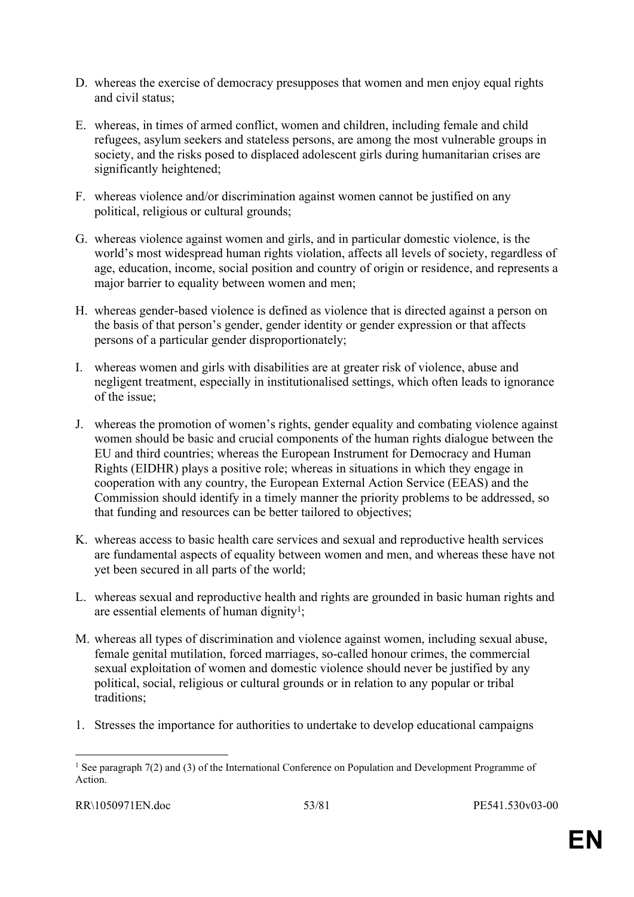- D. whereas the exercise of democracy presupposes that women and men enjoy equal rights and civil status;
- E. whereas, in times of armed conflict, women and children, including female and child refugees, asylum seekers and stateless persons, are among the most vulnerable groups in society, and the risks posed to displaced adolescent girls during humanitarian crises are significantly heightened;
- F. whereas violence and/or discrimination against women cannot be justified on any political, religious or cultural grounds;
- G. whereas violence against women and girls, and in particular domestic violence, is the world's most widespread human rights violation, affects all levels of society, regardless of age, education, income, social position and country of origin or residence, and represents a major barrier to equality between women and men;
- H. whereas gender-based violence is defined as violence that is directed against a person on the basis of that person's gender, gender identity or gender expression or that affects persons of a particular gender disproportionately;
- I. whereas women and girls with disabilities are at greater risk of violence, abuse and negligent treatment, especially in institutionalised settings, which often leads to ignorance of the issue;
- J. whereas the promotion of women's rights, gender equality and combating violence against women should be basic and crucial components of the human rights dialogue between the EU and third countries; whereas the European Instrument for Democracy and Human Rights (EIDHR) plays a positive role; whereas in situations in which they engage in cooperation with any country, the European External Action Service (EEAS) and the Commission should identify in a timely manner the priority problems to be addressed, so that funding and resources can be better tailored to objectives;
- K. whereas access to basic health care services and sexual and reproductive health services are fundamental aspects of equality between women and men, and whereas these have not yet been secured in all parts of the world;
- L. whereas sexual and reproductive health and rights are grounded in basic human rights and are essential elements of human dignity<sup>1</sup>;
- M. whereas all types of discrimination and violence against women, including sexual abuse, female genital mutilation, forced marriages, so-called honour crimes, the commercial sexual exploitation of women and domestic violence should never be justified by any political, social, religious or cultural grounds or in relation to any popular or tribal traditions;
- 1. Stresses the importance for authorities to undertake to develop educational campaigns

<sup>&</sup>lt;sup>1</sup> See paragraph 7(2) and (3) of the International Conference on Population and Development Programme of Action.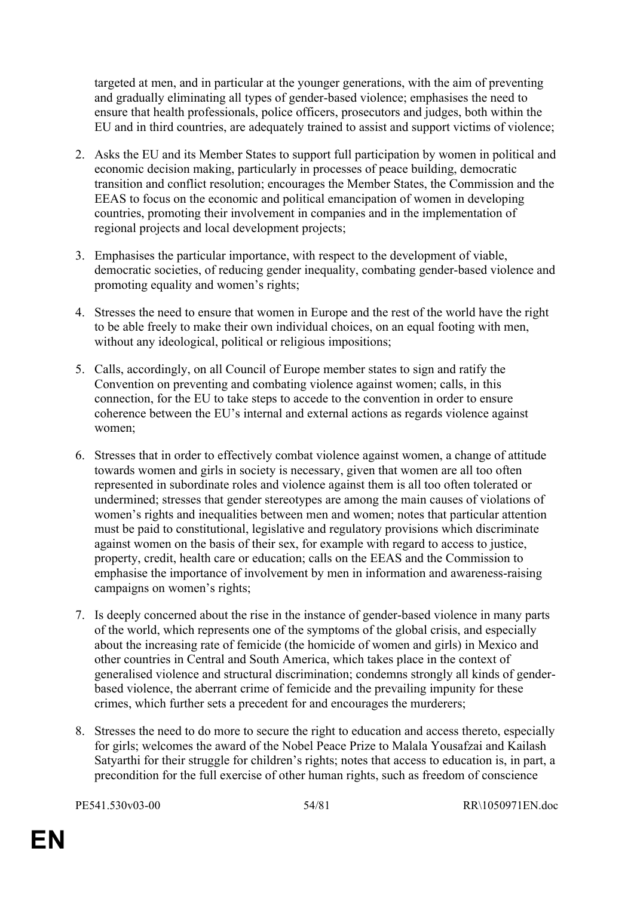targeted at men, and in particular at the younger generations, with the aim of preventing and gradually eliminating all types of gender-based violence; emphasises the need to ensure that health professionals, police officers, prosecutors and judges, both within the EU and in third countries, are adequately trained to assist and support victims of violence;

- 2. Asks the EU and its Member States to support full participation by women in political and economic decision making, particularly in processes of peace building, democratic transition and conflict resolution; encourages the Member States, the Commission and the EEAS to focus on the economic and political emancipation of women in developing countries, promoting their involvement in companies and in the implementation of regional projects and local development projects;
- 3. Emphasises the particular importance, with respect to the development of viable, democratic societies, of reducing gender inequality, combating gender-based violence and promoting equality and women's rights;
- 4. Stresses the need to ensure that women in Europe and the rest of the world have the right to be able freely to make their own individual choices, on an equal footing with men, without any ideological, political or religious impositions;
- 5. Calls, accordingly, on all Council of Europe member states to sign and ratify the Convention on preventing and combating violence against women; calls, in this connection, for the EU to take steps to accede to the convention in order to ensure coherence between the EU's internal and external actions as regards violence against women;
- 6. Stresses that in order to effectively combat violence against women, a change of attitude towards women and girls in society is necessary, given that women are all too often represented in subordinate roles and violence against them is all too often tolerated or undermined; stresses that gender stereotypes are among the main causes of violations of women's rights and inequalities between men and women; notes that particular attention must be paid to constitutional, legislative and regulatory provisions which discriminate against women on the basis of their sex, for example with regard to access to justice, property, credit, health care or education; calls on the EEAS and the Commission to emphasise the importance of involvement by men in information and awareness-raising campaigns on women's rights;
- 7. Is deeply concerned about the rise in the instance of gender-based violence in many parts of the world, which represents one of the symptoms of the global crisis, and especially about the increasing rate of femicide (the homicide of women and girls) in Mexico and other countries in Central and South America, which takes place in the context of generalised violence and structural discrimination; condemns strongly all kinds of genderbased violence, the aberrant crime of femicide and the prevailing impunity for these crimes, which further sets a precedent for and encourages the murderers;
- 8. Stresses the need to do more to secure the right to education and access thereto, especially for girls; welcomes the award of the Nobel Peace Prize to Malala Yousafzai and Kailash Satyarthi for their struggle for children's rights; notes that access to education is, in part, a precondition for the full exercise of other human rights, such as freedom of conscience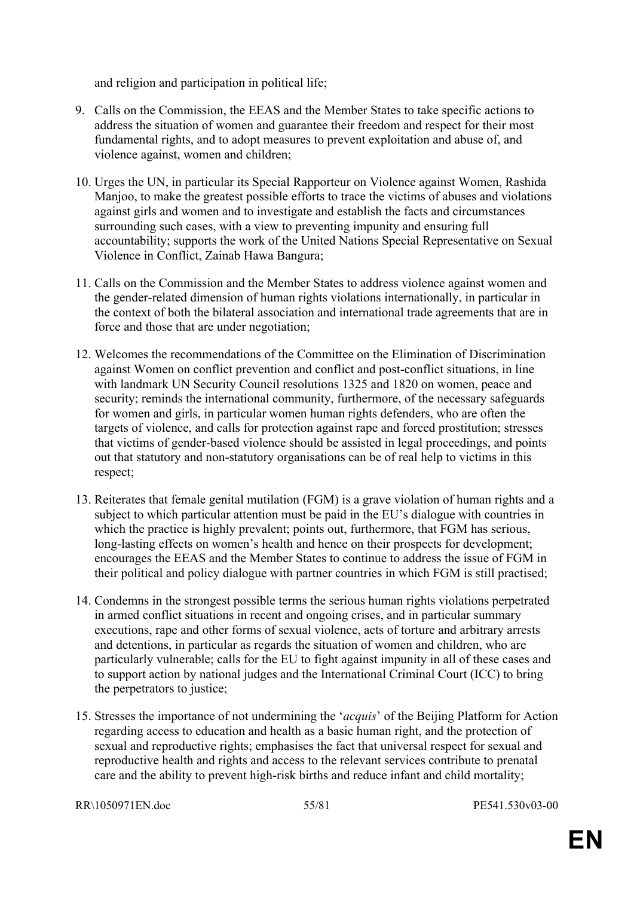and religion and participation in political life;

- 9. Calls on the Commission, the EEAS and the Member States to take specific actions to address the situation of women and guarantee their freedom and respect for their most fundamental rights, and to adopt measures to prevent exploitation and abuse of, and violence against, women and children;
- 10. Urges the UN, in particular its Special Rapporteur on Violence against Women, Rashida Manjoo, to make the greatest possible efforts to trace the victims of abuses and violations against girls and women and to investigate and establish the facts and circumstances surrounding such cases, with a view to preventing impunity and ensuring full accountability; supports the work of the United Nations Special Representative on Sexual Violence in Conflict, Zainab Hawa Bangura;
- 11. Calls on the Commission and the Member States to address violence against women and the gender-related dimension of human rights violations internationally, in particular in the context of both the bilateral association and international trade agreements that are in force and those that are under negotiation;
- 12. Welcomes the recommendations of the Committee on the Elimination of Discrimination against Women on conflict prevention and conflict and post-conflict situations, in line with landmark UN Security Council resolutions 1325 and 1820 on women, peace and security; reminds the international community, furthermore, of the necessary safeguards for women and girls, in particular women human rights defenders, who are often the targets of violence, and calls for protection against rape and forced prostitution; stresses that victims of gender-based violence should be assisted in legal proceedings, and points out that statutory and non-statutory organisations can be of real help to victims in this respect;
- 13. Reiterates that female genital mutilation (FGM) is a grave violation of human rights and a subject to which particular attention must be paid in the EU's dialogue with countries in which the practice is highly prevalent; points out, furthermore, that FGM has serious, long-lasting effects on women's health and hence on their prospects for development; encourages the EEAS and the Member States to continue to address the issue of FGM in their political and policy dialogue with partner countries in which FGM is still practised;
- 14. Condemns in the strongest possible terms the serious human rights violations perpetrated in armed conflict situations in recent and ongoing crises, and in particular summary executions, rape and other forms of sexual violence, acts of torture and arbitrary arrests and detentions, in particular as regards the situation of women and children, who are particularly vulnerable; calls for the EU to fight against impunity in all of these cases and to support action by national judges and the International Criminal Court (ICC) to bring the perpetrators to justice;
- 15. Stresses the importance of not undermining the '*acquis*' of the Beijing Platform for Action regarding access to education and health as a basic human right, and the protection of sexual and reproductive rights; emphasises the fact that universal respect for sexual and reproductive health and rights and access to the relevant services contribute to prenatal care and the ability to prevent high-risk births and reduce infant and child mortality;

RR\1050971EN.doc 55/81 PE541.530v03-00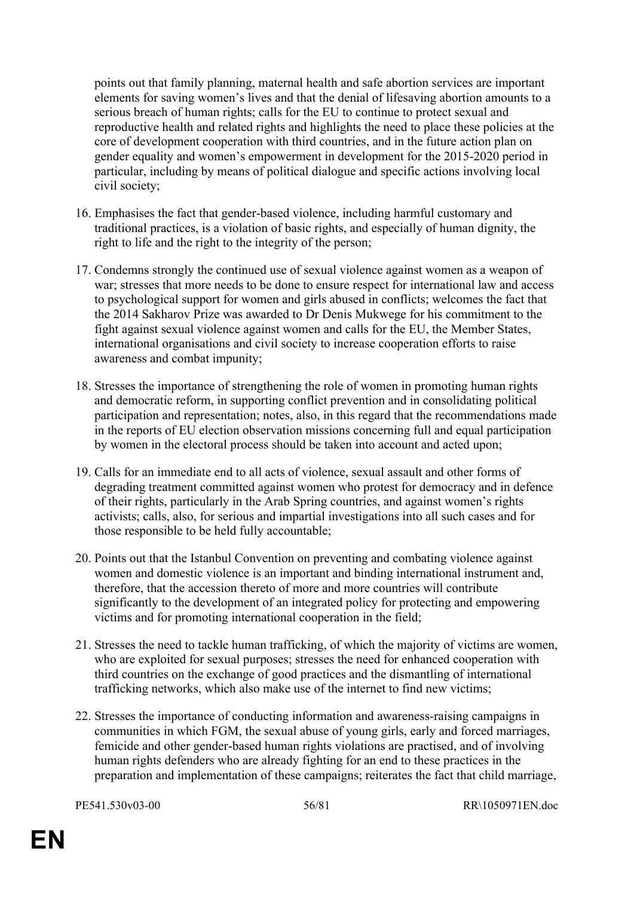points out that family planning, maternal health and safe abortion services are important elements for saving women's lives and that the denial of lifesaving abortion amounts to a serious breach of human rights; calls for the EU to continue to protect sexual and reproductive health and related rights and highlights the need to place these policies at the core of development cooperation with third countries, and in the future action plan on gender equality and women's empowerment in development for the 2015-2020 period in particular, including by means of political dialogue and specific actions involving local civil society;

- 16. Emphasises the fact that gender-based violence, including harmful customary and traditional practices, is a violation of basic rights, and especially of human dignity, the right to life and the right to the integrity of the person;
- 17. Condemns strongly the continued use of sexual violence against women as a weapon of war; stresses that more needs to be done to ensure respect for international law and access to psychological support for women and girls abused in conflicts; welcomes the fact that the 2014 Sakharov Prize was awarded to Dr Denis Mukwege for his commitment to the fight against sexual violence against women and calls for the EU, the Member States, international organisations and civil society to increase cooperation efforts to raise awareness and combat impunity;
- 18. Stresses the importance of strengthening the role of women in promoting human rights and democratic reform, in supporting conflict prevention and in consolidating political participation and representation; notes, also, in this regard that the recommendations made in the reports of EU election observation missions concerning full and equal participation by women in the electoral process should be taken into account and acted upon;
- 19. Calls for an immediate end to all acts of violence, sexual assault and other forms of degrading treatment committed against women who protest for democracy and in defence of their rights, particularly in the Arab Spring countries, and against women's rights activists; calls, also, for serious and impartial investigations into all such cases and for those responsible to be held fully accountable;
- 20. Points out that the Istanbul Convention on preventing and combating violence against women and domestic violence is an important and binding international instrument and, therefore, that the accession thereto of more and more countries will contribute significantly to the development of an integrated policy for protecting and empowering victims and for promoting international cooperation in the field;
- 21. Stresses the need to tackle human trafficking, of which the majority of victims are women, who are exploited for sexual purposes; stresses the need for enhanced cooperation with third countries on the exchange of good practices and the dismantling of international trafficking networks, which also make use of the internet to find new victims;
- 22. Stresses the importance of conducting information and awareness-raising campaigns in communities in which FGM, the sexual abuse of young girls, early and forced marriages, femicide and other gender-based human rights violations are practised, and of involving human rights defenders who are already fighting for an end to these practices in the preparation and implementation of these campaigns; reiterates the fact that child marriage,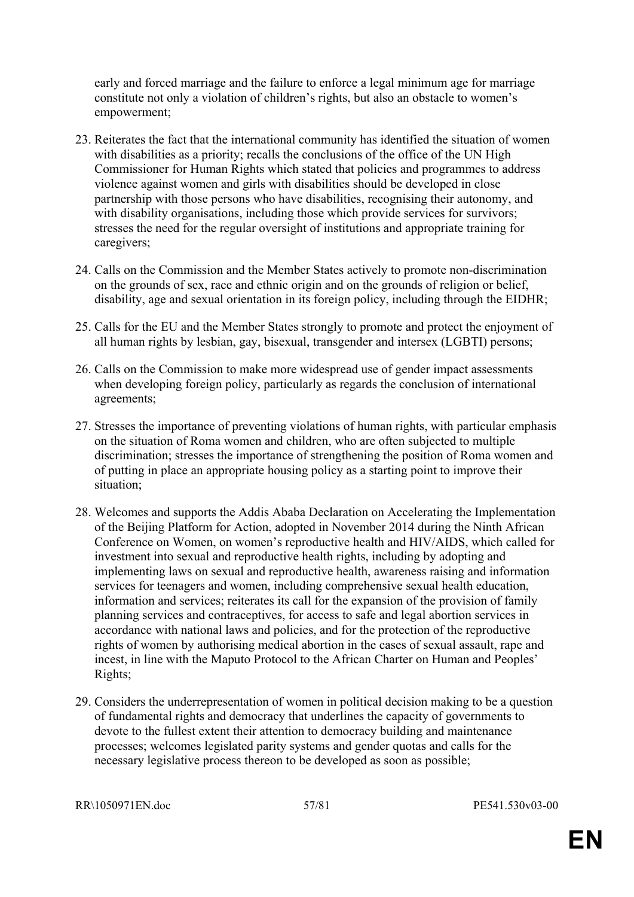early and forced marriage and the failure to enforce a legal minimum age for marriage constitute not only a violation of children's rights, but also an obstacle to women's empowerment;

- 23. Reiterates the fact that the international community has identified the situation of women with disabilities as a priority; recalls the conclusions of the office of the UN High Commissioner for Human Rights which stated that policies and programmes to address violence against women and girls with disabilities should be developed in close partnership with those persons who have disabilities, recognising their autonomy, and with disability organisations, including those which provide services for survivors; stresses the need for the regular oversight of institutions and appropriate training for caregivers;
- 24. Calls on the Commission and the Member States actively to promote non-discrimination on the grounds of sex, race and ethnic origin and on the grounds of religion or belief, disability, age and sexual orientation in its foreign policy, including through the EIDHR;
- 25. Calls for the EU and the Member States strongly to promote and protect the enjoyment of all human rights by lesbian, gay, bisexual, transgender and intersex (LGBTI) persons;
- 26. Calls on the Commission to make more widespread use of gender impact assessments when developing foreign policy, particularly as regards the conclusion of international agreements;
- 27. Stresses the importance of preventing violations of human rights, with particular emphasis on the situation of Roma women and children, who are often subjected to multiple discrimination; stresses the importance of strengthening the position of Roma women and of putting in place an appropriate housing policy as a starting point to improve their situation;
- 28. Welcomes and supports the Addis Ababa Declaration on Accelerating the Implementation of the Beijing Platform for Action, adopted in November 2014 during the Ninth African Conference on Women, on women's reproductive health and HIV/AIDS, which called for investment into sexual and reproductive health rights, including by adopting and implementing laws on sexual and reproductive health, awareness raising and information services for teenagers and women, including comprehensive sexual health education, information and services; reiterates its call for the expansion of the provision of family planning services and contraceptives, for access to safe and legal abortion services in accordance with national laws and policies, and for the protection of the reproductive rights of women by authorising medical abortion in the cases of sexual assault, rape and incest, in line with the Maputo Protocol to the African Charter on Human and Peoples' Rights;
- 29. Considers the underrepresentation of women in political decision making to be a question of fundamental rights and democracy that underlines the capacity of governments to devote to the fullest extent their attention to democracy building and maintenance processes; welcomes legislated parity systems and gender quotas and calls for the necessary legislative process thereon to be developed as soon as possible;

RR\1050971EN.doc 57/81 PE541.530v03-00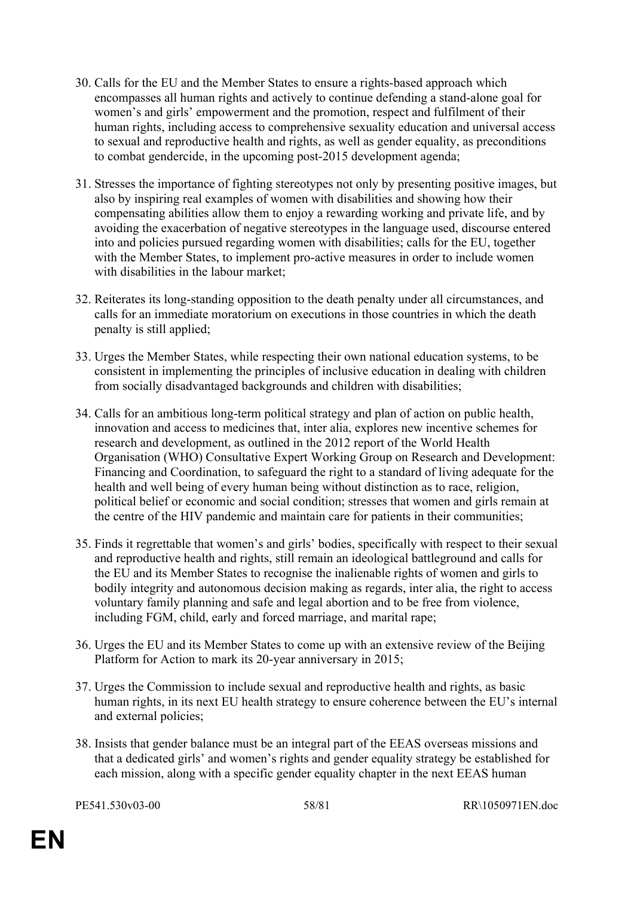- 30. Calls for the EU and the Member States to ensure a rights-based approach which encompasses all human rights and actively to continue defending a stand-alone goal for women's and girls' empowerment and the promotion, respect and fulfilment of their human rights, including access to comprehensive sexuality education and universal access to sexual and reproductive health and rights, as well as gender equality, as preconditions to combat gendercide, in the upcoming post-2015 development agenda;
- 31. Stresses the importance of fighting stereotypes not only by presenting positive images, but also by inspiring real examples of women with disabilities and showing how their compensating abilities allow them to enjoy a rewarding working and private life, and by avoiding the exacerbation of negative stereotypes in the language used, discourse entered into and policies pursued regarding women with disabilities; calls for the EU, together with the Member States, to implement pro-active measures in order to include women with disabilities in the labour market;
- 32. Reiterates its long-standing opposition to the death penalty under all circumstances, and calls for an immediate moratorium on executions in those countries in which the death penalty is still applied;
- 33. Urges the Member States, while respecting their own national education systems, to be consistent in implementing the principles of inclusive education in dealing with children from socially disadvantaged backgrounds and children with disabilities;
- 34. Calls for an ambitious long-term political strategy and plan of action on public health, innovation and access to medicines that, inter alia, explores new incentive schemes for research and development, as outlined in the 2012 report of the World Health Organisation (WHO) Consultative Expert Working Group on Research and Development: Financing and Coordination, to safeguard the right to a standard of living adequate for the health and well being of every human being without distinction as to race, religion, political belief or economic and social condition; stresses that women and girls remain at the centre of the HIV pandemic and maintain care for patients in their communities;
- 35. Finds it regrettable that women's and girls' bodies, specifically with respect to their sexual and reproductive health and rights, still remain an ideological battleground and calls for the EU and its Member States to recognise the inalienable rights of women and girls to bodily integrity and autonomous decision making as regards, inter alia, the right to access voluntary family planning and safe and legal abortion and to be free from violence, including FGM, child, early and forced marriage, and marital rape;
- 36. Urges the EU and its Member States to come up with an extensive review of the Beijing Platform for Action to mark its 20-year anniversary in 2015;
- 37. Urges the Commission to include sexual and reproductive health and rights, as basic human rights, in its next EU health strategy to ensure coherence between the EU's internal and external policies;
- 38. Insists that gender balance must be an integral part of the EEAS overseas missions and that a dedicated girls' and women's rights and gender equality strategy be established for each mission, along with a specific gender equality chapter in the next EEAS human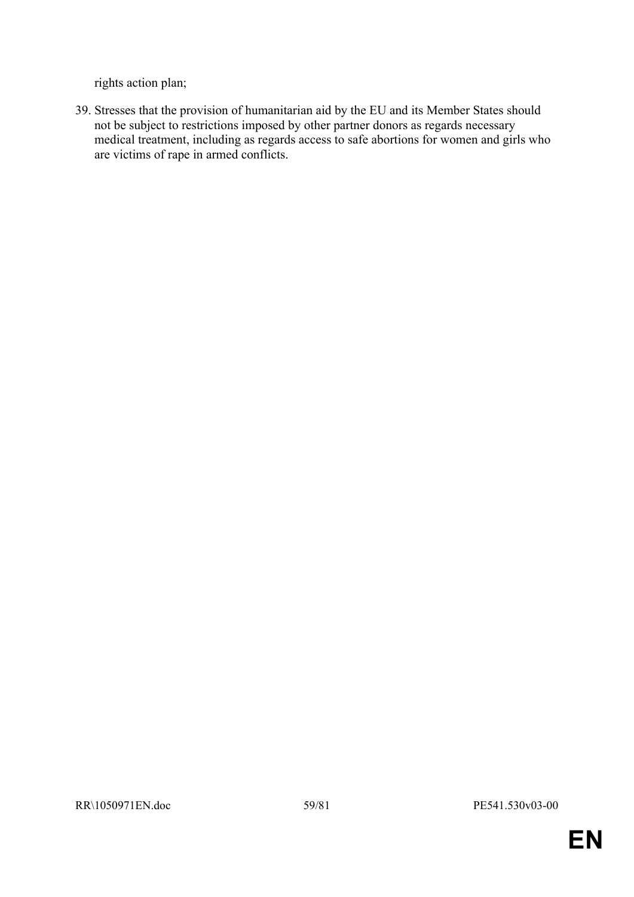rights action plan;

39. Stresses that the provision of humanitarian aid by the EU and its Member States should not be subject to restrictions imposed by other partner donors as regards necessary medical treatment, including as regards access to safe abortions for women and girls who are victims of rape in armed conflicts.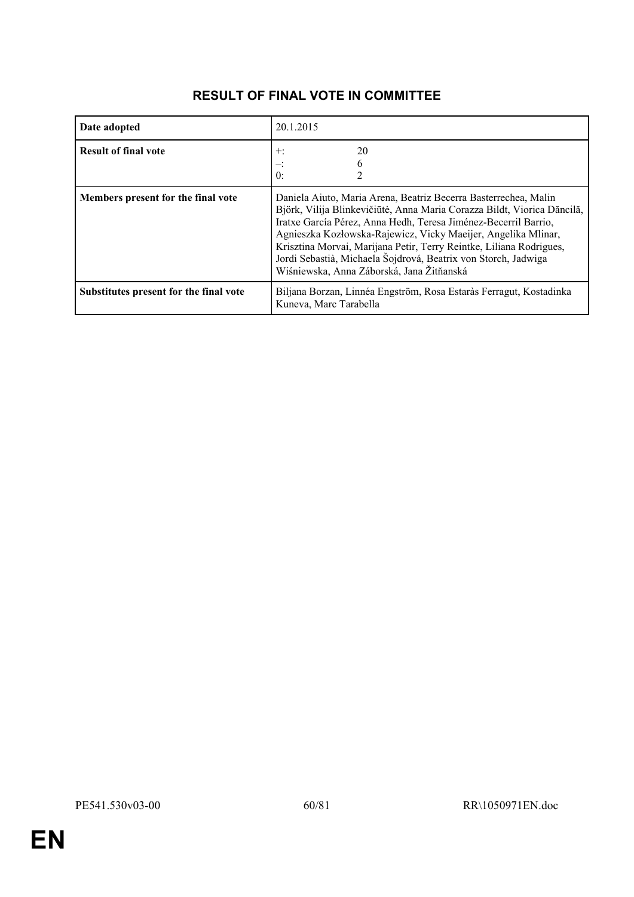| Date adopted                           | 20.1.2015                                                                                                                                                                                                                                                                                                                                                                                                                                                            |  |
|----------------------------------------|----------------------------------------------------------------------------------------------------------------------------------------------------------------------------------------------------------------------------------------------------------------------------------------------------------------------------------------------------------------------------------------------------------------------------------------------------------------------|--|
| <b>Result of final vote</b>            | 20<br>$\pm$<br>$\mathbf{0}$ :                                                                                                                                                                                                                                                                                                                                                                                                                                        |  |
| Members present for the final vote     | Daniela Aiuto, Maria Arena, Beatriz Becerra Basterrechea, Malin<br>Björk, Vilija Blinkevičiūtė, Anna Maria Corazza Bildt, Viorica Dăncilă,<br>Iratxe García Pérez, Anna Hedh, Teresa Jiménez-Becerril Barrio,<br>Agnieszka Kozłowska-Rajewicz, Vicky Maeijer, Angelika Mlinar,<br>Krisztina Morvai, Marijana Petir, Terry Reintke, Liliana Rodrigues,<br>Jordi Sebastià, Michaela Šojdrová, Beatrix von Storch, Jadwiga<br>Wiśniewska, Anna Záborská, Jana Žitňanská |  |
| Substitutes present for the final vote | Biljana Borzan, Linnéa Engström, Rosa Estaràs Ferragut, Kostadinka<br>Kuneva, Marc Tarabella                                                                                                                                                                                                                                                                                                                                                                         |  |

# **RESULT OF FINAL VOTE IN COMMITTEE**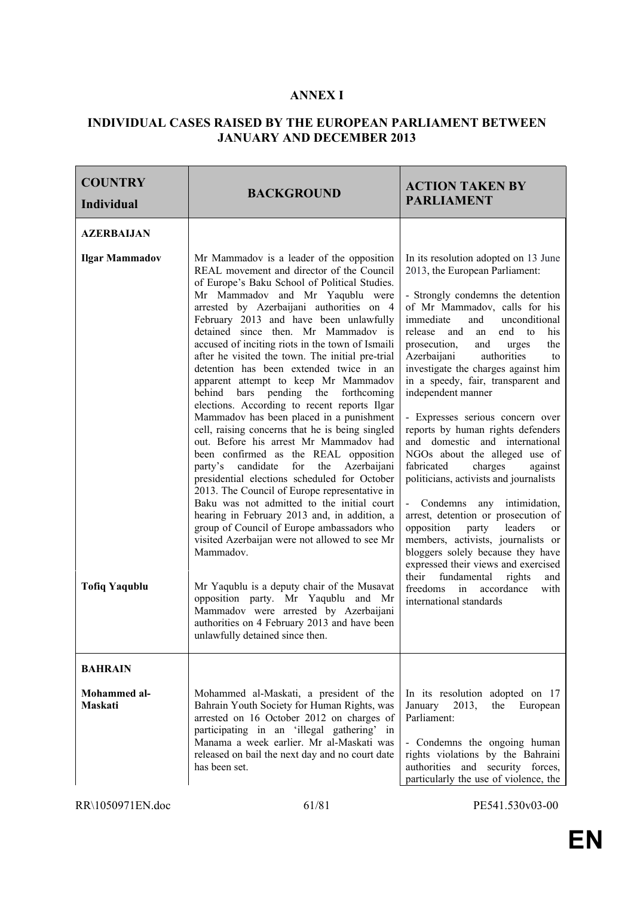#### **ANNEX I**

#### **INDIVIDUAL CASES RAISED BY THE EUROPEAN PARLIAMENT BETWEEN JANUARY AND DECEMBER 2013**

| <b>COUNTRY</b><br><b>Individual</b> | <b>BACKGROUND</b>                                                                                                                                                                                                                                                                                                                                                                                                                                                                                                                                                                                                                                                                                                                                                                                                                                                                                                                                                                                                                                                                                                                           | <b>ACTION TAKEN BY</b><br><b>PARLIAMENT</b>                                                                                                                                                                                                                                                                                                                                                                                                                                                                                                                                                                                                                                                                                                                                                                                                                                    |
|-------------------------------------|---------------------------------------------------------------------------------------------------------------------------------------------------------------------------------------------------------------------------------------------------------------------------------------------------------------------------------------------------------------------------------------------------------------------------------------------------------------------------------------------------------------------------------------------------------------------------------------------------------------------------------------------------------------------------------------------------------------------------------------------------------------------------------------------------------------------------------------------------------------------------------------------------------------------------------------------------------------------------------------------------------------------------------------------------------------------------------------------------------------------------------------------|--------------------------------------------------------------------------------------------------------------------------------------------------------------------------------------------------------------------------------------------------------------------------------------------------------------------------------------------------------------------------------------------------------------------------------------------------------------------------------------------------------------------------------------------------------------------------------------------------------------------------------------------------------------------------------------------------------------------------------------------------------------------------------------------------------------------------------------------------------------------------------|
| <b>AZERBAIJAN</b>                   |                                                                                                                                                                                                                                                                                                                                                                                                                                                                                                                                                                                                                                                                                                                                                                                                                                                                                                                                                                                                                                                                                                                                             |                                                                                                                                                                                                                                                                                                                                                                                                                                                                                                                                                                                                                                                                                                                                                                                                                                                                                |
| <b>Ilgar Mammadov</b>               | Mr Mammadov is a leader of the opposition<br>REAL movement and director of the Council<br>of Europe's Baku School of Political Studies.<br>Mr Mammadov and Mr Yaqublu were<br>arrested by Azerbaijani authorities on 4<br>February 2013 and have been unlawfully<br>detained since then. Mr Mammadov is<br>accused of inciting riots in the town of Ismaili<br>after he visited the town. The initial pre-trial<br>detention has been extended twice in an<br>apparent attempt to keep Mr Mammadov<br>bars pending the forthcoming<br>behind<br>elections. According to recent reports Ilgar<br>Mammadov has been placed in a punishment<br>cell, raising concerns that he is being singled<br>out. Before his arrest Mr Mammadov had<br>been confirmed as the REAL opposition<br>candidate<br>for the<br>Azerbaijani<br>party's<br>presidential elections scheduled for October<br>2013. The Council of Europe representative in<br>Baku was not admitted to the initial court<br>hearing in February 2013 and, in addition, a<br>group of Council of Europe ambassadors who<br>visited Azerbaijan were not allowed to see Mr<br>Mammadov. | In its resolution adopted on 13 June<br>2013, the European Parliament:<br>- Strongly condemns the detention<br>of Mr Mammadov, calls for his<br>immediate<br>and<br>unconditional<br>release<br>and<br>end<br>his<br>to<br>an<br>prosecution,<br>and<br>the<br>urges<br>Azerbaijani<br>authorities<br>to<br>investigate the charges against him<br>in a speedy, fair, transparent and<br>independent manner<br>- Expresses serious concern over<br>reports by human rights defenders<br>and domestic and international<br>NGOs about the alleged use of<br>charges<br>fabricated<br>against<br>politicians, activists and journalists<br>- Condemns any intimidation,<br>arrest, detention or prosecution of<br>opposition<br>party leaders<br><sub>or</sub><br>members, activists, journalists or<br>bloggers solely because they have<br>expressed their views and exercised |
| <b>Tofiq Yaqublu</b>                | Mr Yaqublu is a deputy chair of the Musavat<br>opposition party. Mr Yaqublu and Mr<br>Mammadov were arrested by Azerbaijani<br>authorities on 4 February 2013 and have been<br>unlawfully detained since then.                                                                                                                                                                                                                                                                                                                                                                                                                                                                                                                                                                                                                                                                                                                                                                                                                                                                                                                              | their<br>fundamental<br>rights<br>and<br>freedoms<br>in<br>accordance<br>with<br>international standards                                                                                                                                                                                                                                                                                                                                                                                                                                                                                                                                                                                                                                                                                                                                                                       |
| <b>BAHRAIN</b>                      |                                                                                                                                                                                                                                                                                                                                                                                                                                                                                                                                                                                                                                                                                                                                                                                                                                                                                                                                                                                                                                                                                                                                             |                                                                                                                                                                                                                                                                                                                                                                                                                                                                                                                                                                                                                                                                                                                                                                                                                                                                                |
| Mohammed al-<br><b>Maskati</b>      | Mohammed al-Maskati, a president of the<br>Bahrain Youth Society for Human Rights, was<br>arrested on 16 October 2012 on charges of<br>participating in an 'illegal gathering' in<br>Manama a week earlier. Mr al-Maskati was<br>released on bail the next day and no court date<br>has been set.                                                                                                                                                                                                                                                                                                                                                                                                                                                                                                                                                                                                                                                                                                                                                                                                                                           | In its resolution adopted on 17<br>2013,<br>January<br>the<br>European<br>Parliament:<br>- Condemns the ongoing human<br>rights violations by the Bahraini<br>authorities and security forces,<br>particularly the use of violence, the                                                                                                                                                                                                                                                                                                                                                                                                                                                                                                                                                                                                                                        |

RR\1050971EN.doc 61/81 PE541.530v03-00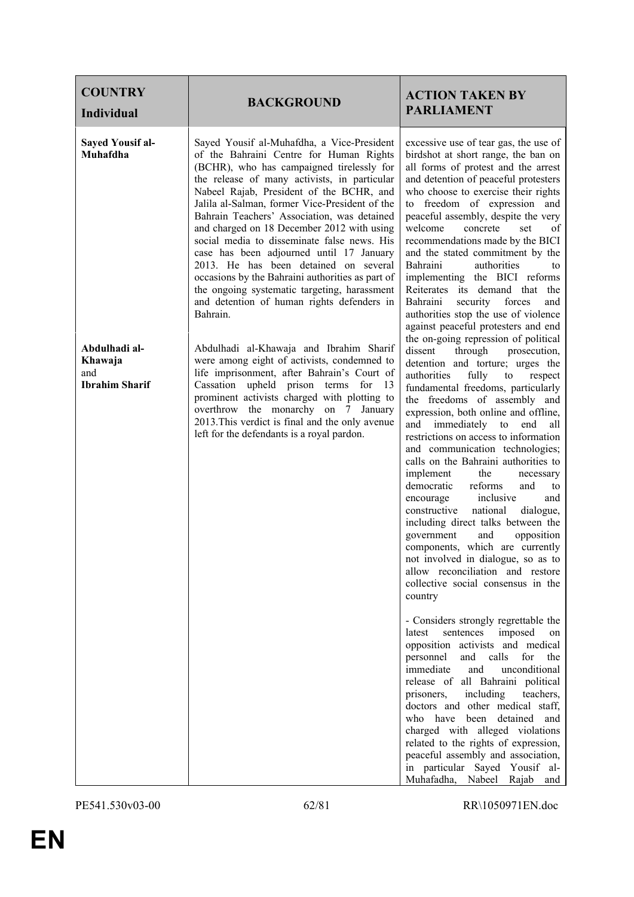| <b>COUNTRY</b><br><b>Individual</b>                      | <b>BACKGROUND</b>                                                                                                                                                                                                                                                                                                                                                                                                                                                                                                                                                                                                                                                               | <b>ACTION TAKEN BY</b><br><b>PARLIAMENT</b>                                                                                                                                                                                                                                                                                                                                                                                                                                                                                                                                                                                                                                                                                                                                |
|----------------------------------------------------------|---------------------------------------------------------------------------------------------------------------------------------------------------------------------------------------------------------------------------------------------------------------------------------------------------------------------------------------------------------------------------------------------------------------------------------------------------------------------------------------------------------------------------------------------------------------------------------------------------------------------------------------------------------------------------------|----------------------------------------------------------------------------------------------------------------------------------------------------------------------------------------------------------------------------------------------------------------------------------------------------------------------------------------------------------------------------------------------------------------------------------------------------------------------------------------------------------------------------------------------------------------------------------------------------------------------------------------------------------------------------------------------------------------------------------------------------------------------------|
| <b>Sayed Yousif al-</b><br>Muhafdha                      | Sayed Yousif al-Muhafdha, a Vice-President<br>of the Bahraini Centre for Human Rights<br>(BCHR), who has campaigned tirelessly for<br>the release of many activists, in particular<br>Nabeel Rajab, President of the BCHR, and<br>Jalila al-Salman, former Vice-President of the<br>Bahrain Teachers' Association, was detained<br>and charged on 18 December 2012 with using<br>social media to disseminate false news. His<br>case has been adjourned until 17 January<br>2013. He has been detained on several<br>occasions by the Bahraini authorities as part of<br>the ongoing systematic targeting, harassment<br>and detention of human rights defenders in<br>Bahrain. | excessive use of tear gas, the use of<br>birdshot at short range, the ban on<br>all forms of protest and the arrest<br>and detention of peaceful protesters<br>who choose to exercise their rights<br>freedom of expression and<br>to<br>peaceful assembly, despite the very<br>welcome<br>concrete<br>set<br>οf<br>recommendations made by the BICI<br>and the stated commitment by the<br>authorities<br>Bahraini<br>to<br>implementing the BICI reforms<br>Reiterates its demand that the<br>security forces<br>Bahraini<br>and<br>authorities stop the use of violence<br>against peaceful protesters and end<br>the on-going repression of political                                                                                                                  |
| Abdulhadi al-<br>Khawaja<br>and<br><b>Ibrahim Sharif</b> | Abdulhadi al-Khawaja and Ibrahim Sharif<br>were among eight of activists, condemned to<br>life imprisonment, after Bahrain's Court of<br>Cassation upheld prison terms for<br>- 13<br>prominent activists charged with plotting to<br>overthrow the monarchy on 7 January<br>2013. This verdict is final and the only avenue<br>left for the defendants is a royal pardon.                                                                                                                                                                                                                                                                                                      | through<br>dissent<br>prosecution,<br>detention and torture; urges the<br>authorities<br>fully<br>to<br>respect<br>fundamental freedoms, particularly<br>the freedoms of assembly and<br>expression, both online and offline,<br>and immediately to end<br>all<br>restrictions on access to information<br>and communication technologies;<br>calls on the Bahraini authorities to<br>implement<br>the<br>necessary<br>democratic<br>reforms<br>and<br>to<br>inclusive<br>and<br>encourage<br>constructive<br>national<br>dialogue,<br>including direct talks between the<br>government<br>opposition<br>and<br>components, which are currently<br>not involved in dialogue, so as to<br>allow reconciliation and restore<br>collective social consensus in the<br>country |
|                                                          |                                                                                                                                                                                                                                                                                                                                                                                                                                                                                                                                                                                                                                                                                 | - Considers strongly regrettable the<br>imposed<br>latest<br>sentences<br>on<br>opposition activists and medical<br>personnel<br>and<br>calls<br>for<br>the<br>immediate<br>unconditional<br>and<br>release of all Bahraini political<br>prisoners,<br>including<br>teachers,<br>doctors and other medical staff,<br>who have been detained<br>and<br>charged with alleged violations<br>related to the rights of expression,<br>peaceful assembly and association,<br>in particular Sayed Yousif al-<br>Muhafadha, Nabeel Rajab<br>and                                                                                                                                                                                                                                    |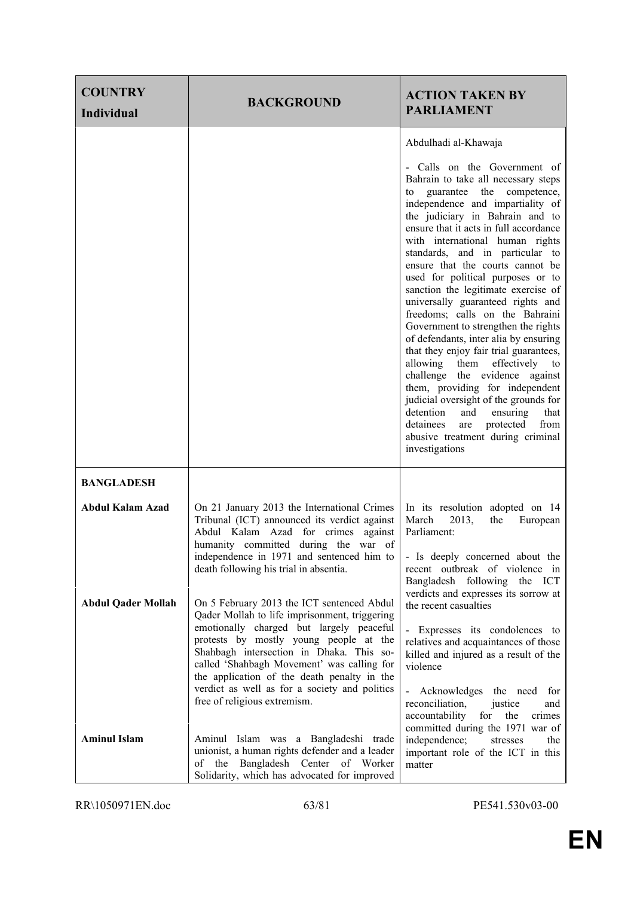| <b>COUNTRY</b><br><b>Individual</b> | <b>BACKGROUND</b>                                                                                                                                                                                                                                                                                                                                                                                           | <b>ACTION TAKEN BY</b><br><b>PARLIAMENT</b>                                                                                                                                                                                                                                                                                                                                                                                                                                                                                                                                                                                                                                                                                                                                                                                                                                                                                         |
|-------------------------------------|-------------------------------------------------------------------------------------------------------------------------------------------------------------------------------------------------------------------------------------------------------------------------------------------------------------------------------------------------------------------------------------------------------------|-------------------------------------------------------------------------------------------------------------------------------------------------------------------------------------------------------------------------------------------------------------------------------------------------------------------------------------------------------------------------------------------------------------------------------------------------------------------------------------------------------------------------------------------------------------------------------------------------------------------------------------------------------------------------------------------------------------------------------------------------------------------------------------------------------------------------------------------------------------------------------------------------------------------------------------|
|                                     |                                                                                                                                                                                                                                                                                                                                                                                                             | Abdulhadi al-Khawaja<br>- Calls on the Government of<br>Bahrain to take all necessary steps<br>guarantee<br>the<br>competence,<br>to<br>independence and impartiality of<br>the judiciary in Bahrain and to<br>ensure that it acts in full accordance<br>with international human rights<br>standards, and in particular to<br>ensure that the courts cannot be<br>used for political purposes or to<br>sanction the legitimate exercise of<br>universally guaranteed rights and<br>freedoms; calls on the Bahraini<br>Government to strengthen the rights<br>of defendants, inter alia by ensuring<br>that they enjoy fair trial guarantees,<br>allowing them effectively to<br>challenge the evidence against<br>them, providing for independent<br>judicial oversight of the grounds for<br>detention<br>and<br>ensuring<br>that<br>protected<br>detainees<br>from<br>are<br>abusive treatment during criminal<br>investigations |
| <b>BANGLADESH</b>                   |                                                                                                                                                                                                                                                                                                                                                                                                             |                                                                                                                                                                                                                                                                                                                                                                                                                                                                                                                                                                                                                                                                                                                                                                                                                                                                                                                                     |
| <b>Abdul Kalam Azad</b>             | On 21 January 2013 the International Crimes<br>Tribunal (ICT) announced its verdict against<br>Abdul Kalam Azad for crimes<br>against<br>humanity committed during the war of<br>independence in 1971 and sentenced him to<br>death following his trial in absentia.                                                                                                                                        | In its resolution adopted on 14<br>March<br>2013,<br>the<br>European<br>Parliament:<br>- Is deeply concerned about the<br>recent outbreak of violence in<br>Bangladesh following the ICT                                                                                                                                                                                                                                                                                                                                                                                                                                                                                                                                                                                                                                                                                                                                            |
| <b>Abdul Qader Mollah</b>           | On 5 February 2013 the ICT sentenced Abdul<br>Qader Mollah to life imprisonment, triggering<br>emotionally charged but largely peaceful<br>protests by mostly young people at the<br>Shahbagh intersection in Dhaka. This so-<br>called 'Shahbagh Movement' was calling for<br>the application of the death penalty in the<br>verdict as well as for a society and politics<br>free of religious extremism. | verdicts and expresses its sorrow at<br>the recent casualties<br>- Expresses its condolences to<br>relatives and acquaintances of those<br>killed and injured as a result of the<br>violence<br>Acknowledges the need for<br>$\blacksquare$<br>reconciliation,<br>justice<br>and<br>accountability<br>for<br>crimes<br>the                                                                                                                                                                                                                                                                                                                                                                                                                                                                                                                                                                                                          |
| <b>Aminul Islam</b>                 | Aminul Islam was a Bangladeshi trade<br>unionist, a human rights defender and a leader<br>of the Bangladesh Center of Worker<br>Solidarity, which has advocated for improved                                                                                                                                                                                                                                | committed during the 1971 war of<br>independence;<br>stresses<br>the<br>important role of the ICT in this<br>matter                                                                                                                                                                                                                                                                                                                                                                                                                                                                                                                                                                                                                                                                                                                                                                                                                 |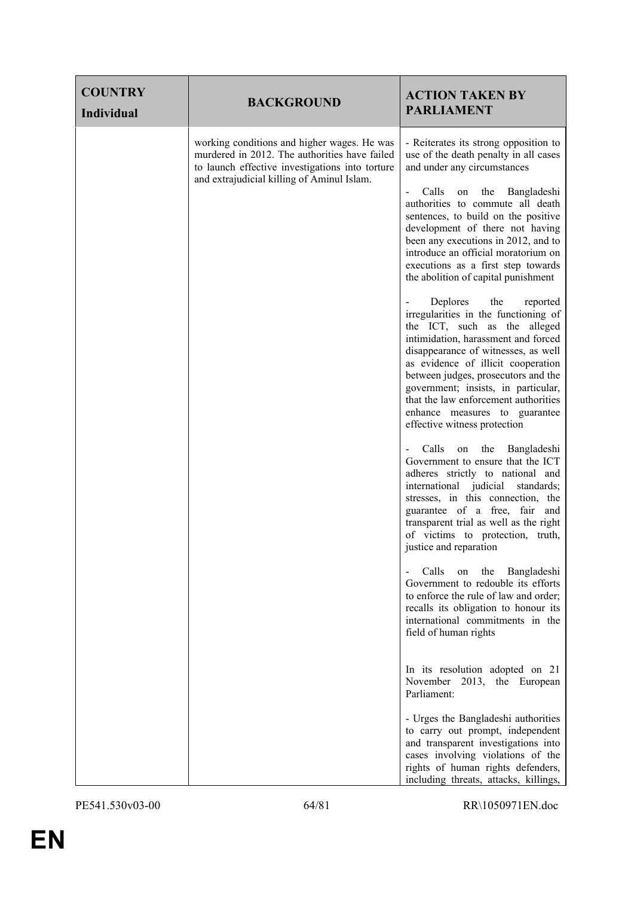| <b>COUNTRY</b><br>Individual | <b>BACKGROUND</b>                                                                                                                                                                             | <b>ACTION TAKEN BY</b><br><b>PARLIAMENT</b>                                                                                                                                                                                                                                                                                                                                                                    |
|------------------------------|-----------------------------------------------------------------------------------------------------------------------------------------------------------------------------------------------|----------------------------------------------------------------------------------------------------------------------------------------------------------------------------------------------------------------------------------------------------------------------------------------------------------------------------------------------------------------------------------------------------------------|
|                              | working conditions and higher wages. He was<br>murdered in 2012. The authorities have failed<br>to launch effective investigations into torture<br>and extrajudicial killing of Aminul Islam. | - Reiterates its strong opposition to<br>use of the death penalty in all cases<br>and under any circumstances                                                                                                                                                                                                                                                                                                  |
|                              |                                                                                                                                                                                               | Calls<br>the<br>Bangladeshi<br>on<br>authorities to commute all death<br>sentences, to build on the positive<br>development of there not having<br>been any executions in 2012, and to<br>introduce an official moratorium on<br>executions as a first step towards<br>the abolition of capital punishment                                                                                                     |
|                              |                                                                                                                                                                                               | Deplores<br>the<br>reported<br>irregularities in the functioning of<br>the ICT, such as the alleged<br>intimidation, harassment and forced<br>disappearance of witnesses, as well<br>as evidence of illicit cooperation<br>between judges, prosecutors and the<br>government; insists, in particular,<br>that the law enforcement authorities<br>enhance measures to guarantee<br>effective witness protection |
|                              |                                                                                                                                                                                               | Calls<br>the<br>on<br>Bangladeshi<br>Government to ensure that the ICT<br>adheres strictly to national and<br>international judicial<br>standards;<br>stresses, in this connection, the<br>guarantee of a free, fair and<br>transparent trial as well as the right<br>of victims to protection, truth,<br>justice and reparation                                                                               |
|                              |                                                                                                                                                                                               | Calls<br>the<br>Bangladeshi<br>on<br>$\qquad \qquad \blacksquare$<br>Government to redouble its efforts<br>to enforce the rule of law and order;<br>recalls its obligation to honour its<br>international commitments in the<br>field of human rights                                                                                                                                                          |
|                              |                                                                                                                                                                                               | In its resolution adopted on 21<br>November 2013, the European<br>Parliament:                                                                                                                                                                                                                                                                                                                                  |
|                              |                                                                                                                                                                                               | - Urges the Bangladeshi authorities<br>to carry out prompt, independent<br>and transparent investigations into<br>cases involving violations of the<br>rights of human rights defenders,<br>including threats, attacks, killings,                                                                                                                                                                              |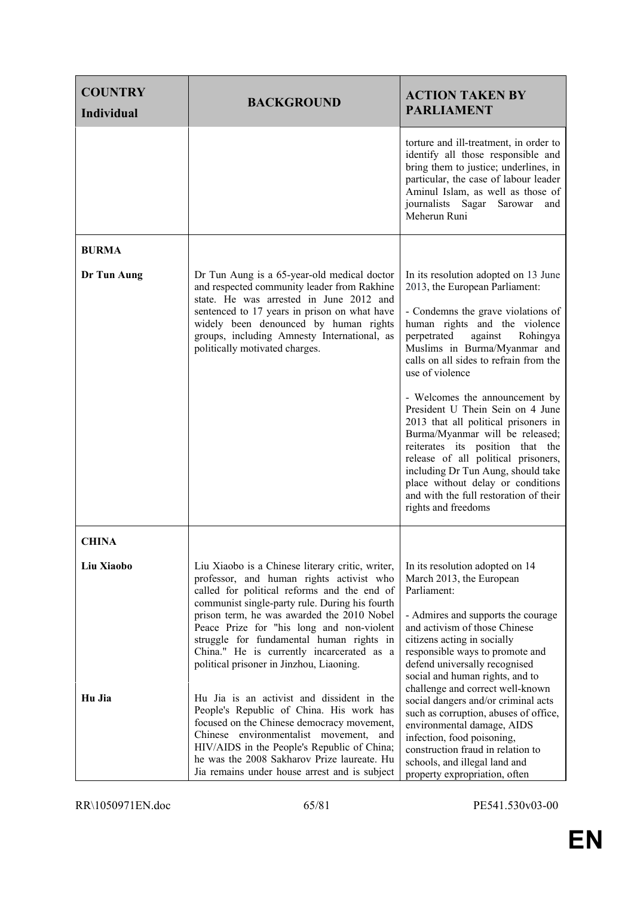| <b>COUNTRY</b><br><b>Individual</b> | <b>BACKGROUND</b>                                                                                                                                                                                                                                                                                                                                                                                                             | <b>ACTION TAKEN BY</b><br><b>PARLIAMENT</b>                                                                                                                                                                                                                                                                                                                                                                                                                                                                                                                                                                                                              |
|-------------------------------------|-------------------------------------------------------------------------------------------------------------------------------------------------------------------------------------------------------------------------------------------------------------------------------------------------------------------------------------------------------------------------------------------------------------------------------|----------------------------------------------------------------------------------------------------------------------------------------------------------------------------------------------------------------------------------------------------------------------------------------------------------------------------------------------------------------------------------------------------------------------------------------------------------------------------------------------------------------------------------------------------------------------------------------------------------------------------------------------------------|
|                                     |                                                                                                                                                                                                                                                                                                                                                                                                                               | torture and ill-treatment, in order to<br>identify all those responsible and<br>bring them to justice; underlines, in<br>particular, the case of labour leader<br>Aminul Islam, as well as those of<br>journalists Sagar Sarowar<br>and<br>Meherun Runi                                                                                                                                                                                                                                                                                                                                                                                                  |
| <b>BURMA</b>                        |                                                                                                                                                                                                                                                                                                                                                                                                                               |                                                                                                                                                                                                                                                                                                                                                                                                                                                                                                                                                                                                                                                          |
| Dr Tun Aung                         | Dr Tun Aung is a 65-year-old medical doctor<br>and respected community leader from Rakhine<br>state. He was arrested in June 2012 and<br>sentenced to 17 years in prison on what have<br>widely been denounced by human rights<br>groups, including Amnesty International, as<br>politically motivated charges.                                                                                                               | In its resolution adopted on 13 June<br>2013, the European Parliament:<br>- Condemns the grave violations of<br>human rights and the violence<br>perpetrated<br>against<br>Rohingya<br>Muslims in Burma/Myanmar and<br>calls on all sides to refrain from the<br>use of violence<br>- Welcomes the announcement by<br>President U Thein Sein on 4 June<br>2013 that all political prisoners in<br>Burma/Myanmar will be released;<br>reiterates its position that the<br>release of all political prisoners,<br>including Dr Tun Aung, should take<br>place without delay or conditions<br>and with the full restoration of their<br>rights and freedoms |
| <b>CHINA</b>                        |                                                                                                                                                                                                                                                                                                                                                                                                                               |                                                                                                                                                                                                                                                                                                                                                                                                                                                                                                                                                                                                                                                          |
| Liu Xiaobo                          | Liu Xiaobo is a Chinese literary critic, writer,<br>professor, and human rights activist who<br>called for political reforms and the end of<br>communist single-party rule. During his fourth<br>prison term, he was awarded the 2010 Nobel<br>Peace Prize for "his long and non-violent<br>struggle for fundamental human rights in<br>China." He is currently incarcerated as a<br>political prisoner in Jinzhou, Liaoning. | In its resolution adopted on 14<br>March 2013, the European<br>Parliament:<br>- Admires and supports the courage<br>and activism of those Chinese<br>citizens acting in socially<br>responsible ways to promote and<br>defend universally recognised<br>social and human rights, and to                                                                                                                                                                                                                                                                                                                                                                  |
| Hu Jia                              | Hu Jia is an activist and dissident in the<br>People's Republic of China. His work has<br>focused on the Chinese democracy movement,<br>Chinese environmentalist movement,<br>and<br>HIV/AIDS in the People's Republic of China;<br>he was the 2008 Sakharov Prize laureate. Hu<br>Jia remains under house arrest and is subject                                                                                              | challenge and correct well-known<br>social dangers and/or criminal acts<br>such as corruption, abuses of office,<br>environmental damage, AIDS<br>infection, food poisoning,<br>construction fraud in relation to<br>schools, and illegal land and<br>property expropriation, often                                                                                                                                                                                                                                                                                                                                                                      |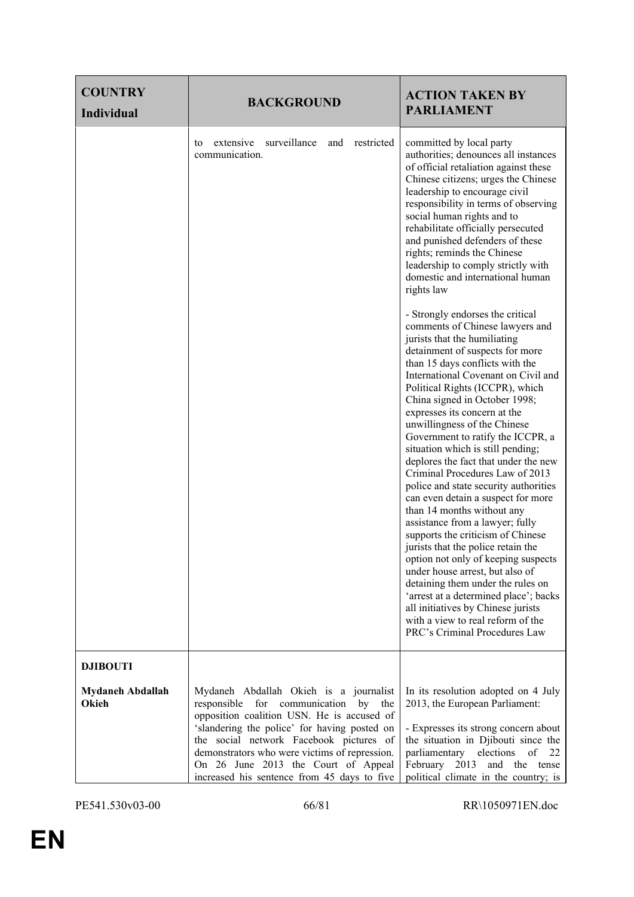| <b>COUNTRY</b><br>Individual     | <b>BACKGROUND</b>                                                                                                                                                                                                                                                                                                                                          |            | <b>ACTION TAKEN BY</b><br><b>PARLIAMENT</b>                                                                                                                                                                                                                                                                                                                                                                                                                                                                                                                                                                                                                                                                                                                                                                                                                                                                                                                                                              |
|----------------------------------|------------------------------------------------------------------------------------------------------------------------------------------------------------------------------------------------------------------------------------------------------------------------------------------------------------------------------------------------------------|------------|----------------------------------------------------------------------------------------------------------------------------------------------------------------------------------------------------------------------------------------------------------------------------------------------------------------------------------------------------------------------------------------------------------------------------------------------------------------------------------------------------------------------------------------------------------------------------------------------------------------------------------------------------------------------------------------------------------------------------------------------------------------------------------------------------------------------------------------------------------------------------------------------------------------------------------------------------------------------------------------------------------|
|                                  | surveillance<br>extensive<br>and<br>to<br>communication.                                                                                                                                                                                                                                                                                                   | restricted | committed by local party<br>authorities; denounces all instances<br>of official retaliation against these<br>Chinese citizens; urges the Chinese<br>leadership to encourage civil<br>responsibility in terms of observing<br>social human rights and to<br>rehabilitate officially persecuted<br>and punished defenders of these<br>rights; reminds the Chinese<br>leadership to comply strictly with<br>domestic and international human<br>rights law                                                                                                                                                                                                                                                                                                                                                                                                                                                                                                                                                  |
|                                  |                                                                                                                                                                                                                                                                                                                                                            |            | - Strongly endorses the critical<br>comments of Chinese lawyers and<br>jurists that the humiliating<br>detainment of suspects for more<br>than 15 days conflicts with the<br>International Covenant on Civil and<br>Political Rights (ICCPR), which<br>China signed in October 1998;<br>expresses its concern at the<br>unwillingness of the Chinese<br>Government to ratify the ICCPR, a<br>situation which is still pending;<br>deplores the fact that under the new<br>Criminal Procedures Law of 2013<br>police and state security authorities<br>can even detain a suspect for more<br>than 14 months without any<br>assistance from a lawyer; fully<br>supports the criticism of Chinese<br>jurists that the police retain the<br>option not only of keeping suspects<br>under house arrest, but also of<br>detaining them under the rules on<br>'arrest at a determined place'; backs<br>all initiatives by Chinese jurists<br>with a view to real reform of the<br>PRC's Criminal Procedures Law |
| <b>DJIBOUTI</b>                  |                                                                                                                                                                                                                                                                                                                                                            |            |                                                                                                                                                                                                                                                                                                                                                                                                                                                                                                                                                                                                                                                                                                                                                                                                                                                                                                                                                                                                          |
| <b>Mydaneh Abdallah</b><br>Okieh | Mydaneh Abdallah Okieh is a journalist<br>responsible<br>for communication<br>opposition coalition USN. He is accused of<br>'slandering the police' for having posted on<br>the social network Facebook pictures of<br>demonstrators who were victims of repression.<br>On 26 June 2013 the Court of Appeal<br>increased his sentence from 45 days to five | by<br>the  | In its resolution adopted on 4 July<br>2013, the European Parliament:<br>- Expresses its strong concern about<br>the situation in Djibouti since the<br>parliamentary elections of<br>22<br>February 2013 and the tense<br>political climate in the country; is                                                                                                                                                                                                                                                                                                                                                                                                                                                                                                                                                                                                                                                                                                                                          |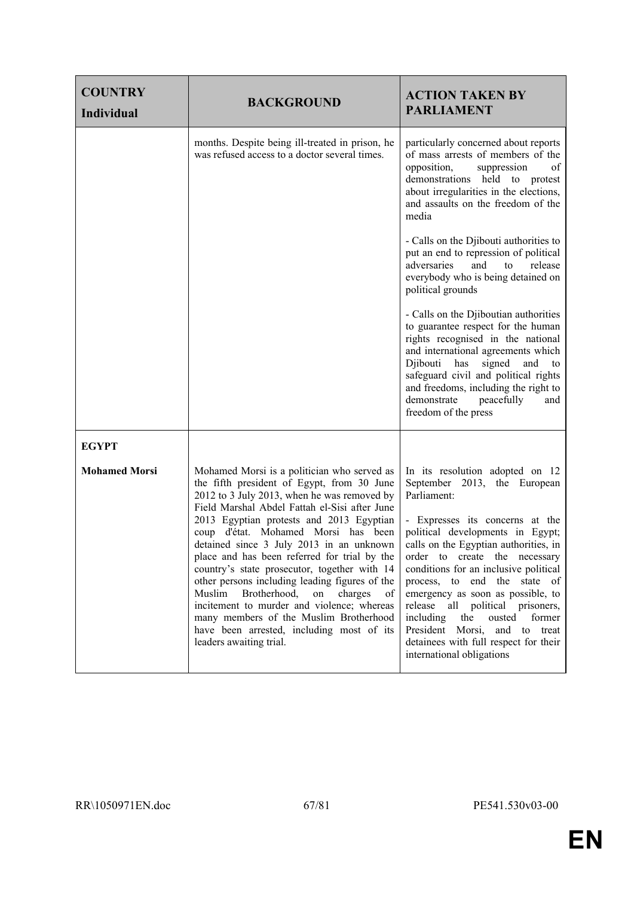| <b>COUNTRY</b><br><b>Individual</b> | <b>BACKGROUND</b>                                                                                                                                                                                                                                                                                                                                                                                                                                                                                                                                                                                                                                                                           | <b>ACTION TAKEN BY</b><br><b>PARLIAMENT</b>                                                                                                                                                                                                                                                                                                                                                                                                                                                                                            |
|-------------------------------------|---------------------------------------------------------------------------------------------------------------------------------------------------------------------------------------------------------------------------------------------------------------------------------------------------------------------------------------------------------------------------------------------------------------------------------------------------------------------------------------------------------------------------------------------------------------------------------------------------------------------------------------------------------------------------------------------|----------------------------------------------------------------------------------------------------------------------------------------------------------------------------------------------------------------------------------------------------------------------------------------------------------------------------------------------------------------------------------------------------------------------------------------------------------------------------------------------------------------------------------------|
|                                     | months. Despite being ill-treated in prison, he<br>was refused access to a doctor several times.                                                                                                                                                                                                                                                                                                                                                                                                                                                                                                                                                                                            | particularly concerned about reports<br>of mass arrests of members of the<br>opposition,<br>suppression<br>οf<br>demonstrations held to protest<br>about irregularities in the elections,<br>and assaults on the freedom of the<br>media                                                                                                                                                                                                                                                                                               |
|                                     |                                                                                                                                                                                                                                                                                                                                                                                                                                                                                                                                                                                                                                                                                             | - Calls on the Djibouti authorities to<br>put an end to repression of political<br>adversaries<br>and<br>release<br>to<br>everybody who is being detained on<br>political grounds                                                                                                                                                                                                                                                                                                                                                      |
|                                     |                                                                                                                                                                                                                                                                                                                                                                                                                                                                                                                                                                                                                                                                                             | - Calls on the Djiboutian authorities<br>to guarantee respect for the human<br>rights recognised in the national<br>and international agreements which<br>Djibouti has<br>signed<br>and<br>to<br>safeguard civil and political rights<br>and freedoms, including the right to<br>demonstrate<br>peacefully<br>and<br>freedom of the press                                                                                                                                                                                              |
| <b>EGYPT</b>                        |                                                                                                                                                                                                                                                                                                                                                                                                                                                                                                                                                                                                                                                                                             |                                                                                                                                                                                                                                                                                                                                                                                                                                                                                                                                        |
| <b>Mohamed Morsi</b>                | Mohamed Morsi is a politician who served as<br>the fifth president of Egypt, from 30 June<br>2012 to 3 July 2013, when he was removed by<br>Field Marshal Abdel Fattah el-Sisi after June<br>2013 Egyptian protests and 2013 Egyptian<br>coup d'état. Mohamed Morsi has been<br>detained since 3 July 2013 in an unknown<br>place and has been referred for trial by the<br>country's state prosecutor, together with 14<br>other persons including leading figures of the<br>Muslim<br>Brotherhood,<br>on<br>charges<br>of<br>incitement to murder and violence; whereas<br>many members of the Muslim Brotherhood<br>have been arrested, including most of its<br>leaders awaiting trial. | In its resolution adopted on 12<br>September 2013, the European<br>Parliament:<br>- Expresses its concerns at the<br>political developments in Egypt;<br>calls on the Egyptian authorities, in<br>order to create the necessary<br>conditions for an inclusive political<br>process, to end the state of<br>emergency as soon as possible, to<br>all political prisoners,<br>release<br>including<br>the<br>former<br>ousted<br>President Morsi,<br>and to treat<br>detainees with full respect for their<br>international obligations |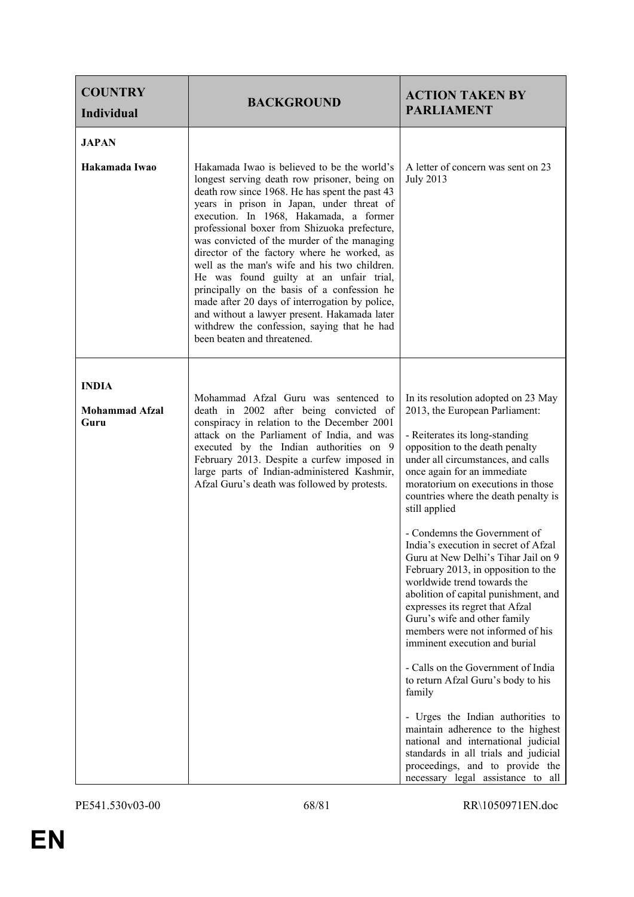| <b>COUNTRY</b><br><b>Individual</b>           | <b>BACKGROUND</b>                                                                                                                                                                                                                                                                                                                                                                                                                                                                                                                                                                                                                                                                                            | <b>ACTION TAKEN BY</b><br><b>PARLIAMENT</b>                                                                                                                                                                                                                                                                                                                                                                                                                                                                                                                                                                                                                                                                                                                                                                                                                                                                                                                                                               |
|-----------------------------------------------|--------------------------------------------------------------------------------------------------------------------------------------------------------------------------------------------------------------------------------------------------------------------------------------------------------------------------------------------------------------------------------------------------------------------------------------------------------------------------------------------------------------------------------------------------------------------------------------------------------------------------------------------------------------------------------------------------------------|-----------------------------------------------------------------------------------------------------------------------------------------------------------------------------------------------------------------------------------------------------------------------------------------------------------------------------------------------------------------------------------------------------------------------------------------------------------------------------------------------------------------------------------------------------------------------------------------------------------------------------------------------------------------------------------------------------------------------------------------------------------------------------------------------------------------------------------------------------------------------------------------------------------------------------------------------------------------------------------------------------------|
| <b>JAPAN</b><br>Hakamada Iwao                 | Hakamada Iwao is believed to be the world's<br>longest serving death row prisoner, being on<br>death row since 1968. He has spent the past 43<br>years in prison in Japan, under threat of<br>execution. In 1968, Hakamada, a former<br>professional boxer from Shizuoka prefecture,<br>was convicted of the murder of the managing<br>director of the factory where he worked, as<br>well as the man's wife and his two children.<br>He was found guilty at an unfair trial,<br>principally on the basis of a confession he<br>made after 20 days of interrogation by police,<br>and without a lawyer present. Hakamada later<br>withdrew the confession, saying that he had<br>been beaten and threatened. | A letter of concern was sent on 23<br><b>July 2013</b>                                                                                                                                                                                                                                                                                                                                                                                                                                                                                                                                                                                                                                                                                                                                                                                                                                                                                                                                                    |
| <b>INDIA</b><br><b>Mohammad Afzal</b><br>Guru | Mohammad Afzal Guru was sentenced to<br>death in 2002 after being convicted of<br>conspiracy in relation to the December 2001<br>attack on the Parliament of India, and was<br>executed by the Indian authorities on 9<br>February 2013. Despite a curfew imposed in<br>large parts of Indian-administered Kashmir,<br>Afzal Guru's death was followed by protests.                                                                                                                                                                                                                                                                                                                                          | In its resolution adopted on 23 May<br>2013, the European Parliament:<br>- Reiterates its long-standing<br>opposition to the death penalty<br>under all circumstances, and calls<br>once again for an immediate<br>moratorium on executions in those<br>countries where the death penalty is<br>still applied<br>- Condemns the Government of<br>India's execution in secret of Afzal<br>Guru at New Delhi's Tihar Jail on 9<br>February 2013, in opposition to the<br>worldwide trend towards the<br>abolition of capital punishment, and<br>expresses its regret that Afzal<br>Guru's wife and other family<br>members were not informed of his<br>imminent execution and burial<br>- Calls on the Government of India<br>to return Afzal Guru's body to his<br>family<br>- Urges the Indian authorities to<br>maintain adherence to the highest<br>national and international judicial<br>standards in all trials and judicial<br>proceedings, and to provide the<br>necessary legal assistance to all |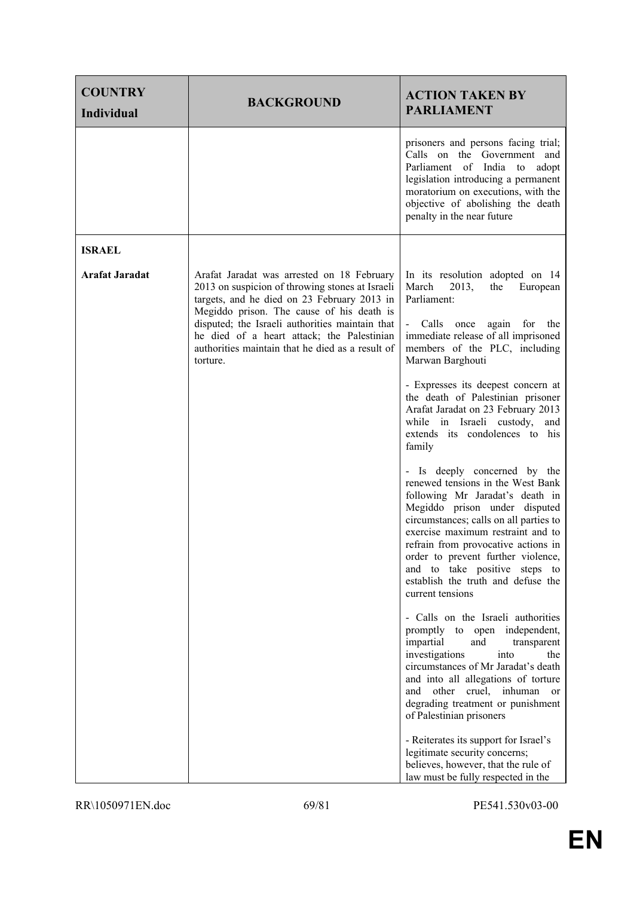| <b>COUNTRY</b><br><b>Individual</b> | <b>BACKGROUND</b>                                                                                                                                                                                                                                                                                                                                          | <b>ACTION TAKEN BY</b><br><b>PARLIAMENT</b>                                                                                                                                                                                                                                                                                                                                                                                                                                                                                                                                                                                                                                                                                                                                                                                                                                                                                                                                                                                                                                                                                                                                                                                                                                                       |
|-------------------------------------|------------------------------------------------------------------------------------------------------------------------------------------------------------------------------------------------------------------------------------------------------------------------------------------------------------------------------------------------------------|---------------------------------------------------------------------------------------------------------------------------------------------------------------------------------------------------------------------------------------------------------------------------------------------------------------------------------------------------------------------------------------------------------------------------------------------------------------------------------------------------------------------------------------------------------------------------------------------------------------------------------------------------------------------------------------------------------------------------------------------------------------------------------------------------------------------------------------------------------------------------------------------------------------------------------------------------------------------------------------------------------------------------------------------------------------------------------------------------------------------------------------------------------------------------------------------------------------------------------------------------------------------------------------------------|
|                                     |                                                                                                                                                                                                                                                                                                                                                            | prisoners and persons facing trial;<br>Calls on the Government and<br>Parliament of India to<br>adopt<br>legislation introducing a permanent<br>moratorium on executions, with the<br>objective of abolishing the death<br>penalty in the near future                                                                                                                                                                                                                                                                                                                                                                                                                                                                                                                                                                                                                                                                                                                                                                                                                                                                                                                                                                                                                                             |
| <b>ISRAEL</b>                       |                                                                                                                                                                                                                                                                                                                                                            |                                                                                                                                                                                                                                                                                                                                                                                                                                                                                                                                                                                                                                                                                                                                                                                                                                                                                                                                                                                                                                                                                                                                                                                                                                                                                                   |
| <b>Arafat Jaradat</b>               | Arafat Jaradat was arrested on 18 February<br>2013 on suspicion of throwing stones at Israeli<br>targets, and he died on 23 February 2013 in<br>Megiddo prison. The cause of his death is<br>disputed; the Israeli authorities maintain that<br>he died of a heart attack; the Palestinian<br>authorities maintain that he died as a result of<br>torture. | In its resolution adopted on 14<br>the<br>March<br>2013,<br>European<br>Parliament:<br>- Calls once again for the<br>immediate release of all imprisoned<br>members of the PLC, including<br>Marwan Barghouti<br>- Expresses its deepest concern at<br>the death of Palestinian prisoner<br>Arafat Jaradat on 23 February 2013<br>while in Israeli custody,<br>and<br>extends its condolences to his<br>family<br>- Is deeply concerned by the<br>renewed tensions in the West Bank<br>following Mr Jaradat's death in<br>Megiddo prison under disputed<br>circumstances; calls on all parties to<br>exercise maximum restraint and to<br>refrain from provocative actions in<br>order to prevent further violence,<br>and to take positive steps to<br>establish the truth and defuse the<br>current tensions<br>- Calls on the Israeli authorities<br>promptly to open independent,<br>impartial<br>and<br>transparent<br>investigations<br>into<br>the<br>circumstances of Mr Jaradat's death<br>and into all allegations of torture<br>other cruel, inhuman or<br>and<br>degrading treatment or punishment<br>of Palestinian prisoners<br>- Reiterates its support for Israel's<br>legitimate security concerns;<br>believes, however, that the rule of<br>law must be fully respected in the |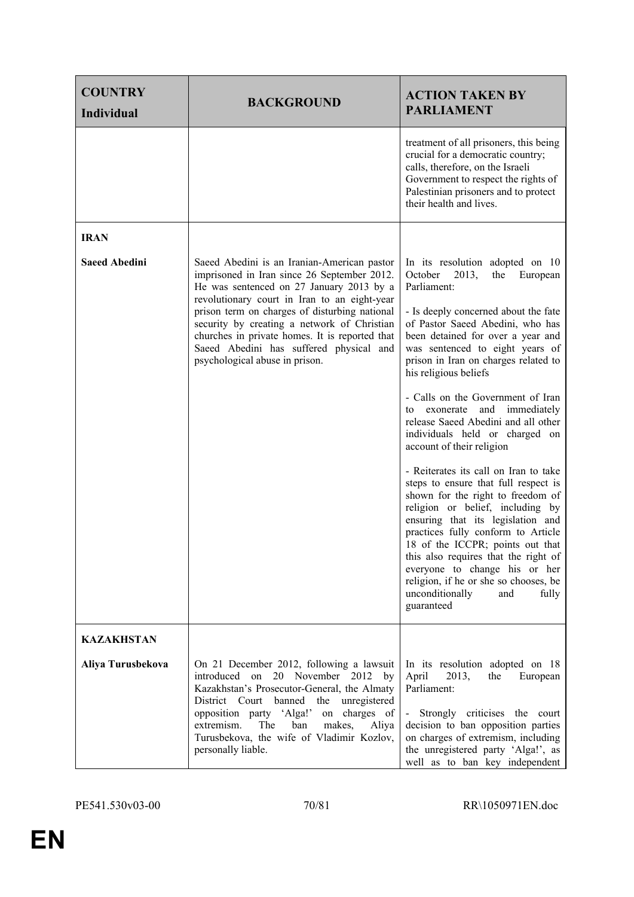| <b>COUNTRY</b><br><b>Individual</b> | <b>BACKGROUND</b>                                                                                                                                                                                                                                                                                                                                                                                                     | <b>ACTION TAKEN BY</b><br><b>PARLIAMENT</b>                                                                                                                                                                                                                                                                                                                                                                                                                                                                                                                                                                                                                                                                                                                                                                                                                                                                                                |
|-------------------------------------|-----------------------------------------------------------------------------------------------------------------------------------------------------------------------------------------------------------------------------------------------------------------------------------------------------------------------------------------------------------------------------------------------------------------------|--------------------------------------------------------------------------------------------------------------------------------------------------------------------------------------------------------------------------------------------------------------------------------------------------------------------------------------------------------------------------------------------------------------------------------------------------------------------------------------------------------------------------------------------------------------------------------------------------------------------------------------------------------------------------------------------------------------------------------------------------------------------------------------------------------------------------------------------------------------------------------------------------------------------------------------------|
|                                     |                                                                                                                                                                                                                                                                                                                                                                                                                       | treatment of all prisoners, this being<br>crucial for a democratic country;<br>calls, therefore, on the Israeli<br>Government to respect the rights of<br>Palestinian prisoners and to protect<br>their health and lives.                                                                                                                                                                                                                                                                                                                                                                                                                                                                                                                                                                                                                                                                                                                  |
| <b>IRAN</b>                         |                                                                                                                                                                                                                                                                                                                                                                                                                       |                                                                                                                                                                                                                                                                                                                                                                                                                                                                                                                                                                                                                                                                                                                                                                                                                                                                                                                                            |
| <b>Saeed Abedini</b>                | Saeed Abedini is an Iranian-American pastor<br>imprisoned in Iran since 26 September 2012.<br>He was sentenced on 27 January 2013 by a<br>revolutionary court in Iran to an eight-year<br>prison term on charges of disturbing national<br>security by creating a network of Christian<br>churches in private homes. It is reported that<br>Saeed Abedini has suffered physical and<br>psychological abuse in prison. | In its resolution adopted on 10<br>October<br>2013,<br>the<br>European<br>Parliament:<br>- Is deeply concerned about the fate<br>of Pastor Saeed Abedini, who has<br>been detained for over a year and<br>was sentenced to eight years of<br>prison in Iran on charges related to<br>his religious beliefs<br>- Calls on the Government of Iran<br>immediately<br>exonerate<br>and<br>to<br>release Saeed Abedini and all other<br>individuals held or charged on<br>account of their religion<br>- Reiterates its call on Iran to take<br>steps to ensure that full respect is<br>shown for the right to freedom of<br>religion or belief, including by<br>ensuring that its legislation and<br>practices fully conform to Article<br>18 of the ICCPR; points out that<br>this also requires that the right of<br>everyone to change his or her<br>religion, if he or she so chooses, be<br>unconditionally<br>and<br>fully<br>guaranteed |
| <b>KAZAKHSTAN</b>                   |                                                                                                                                                                                                                                                                                                                                                                                                                       |                                                                                                                                                                                                                                                                                                                                                                                                                                                                                                                                                                                                                                                                                                                                                                                                                                                                                                                                            |
| Aliya Turusbekova                   | On 21 December 2012, following a lawsuit<br>on 20 November 2012 by<br>introduced<br>Kazakhstan's Prosecutor-General, the Almaty<br>District Court banned the unregistered<br>opposition party 'Alga!'<br>on charges of<br>extremism.<br>The<br>ban<br>makes,<br>Aliya<br>Turusbekova, the wife of Vladimir Kozlov,<br>personally liable.                                                                              | In its resolution adopted on 18<br>April<br>2013,<br>the<br>European<br>Parliament:<br>- Strongly criticises the court<br>decision to ban opposition parties<br>on charges of extremism, including<br>the unregistered party 'Alga!', as<br>well as to ban key independent                                                                                                                                                                                                                                                                                                                                                                                                                                                                                                                                                                                                                                                                 |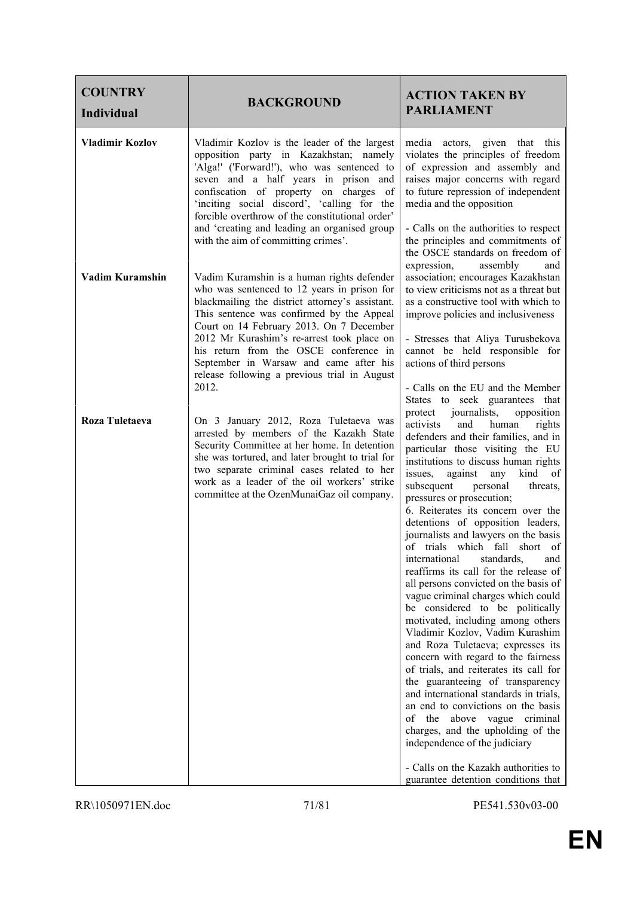| <b>COUNTRY</b><br><b>Individual</b> | <b>BACKGROUND</b>                                                                                                                                                                                                                                                                                                                                                                                                                | <b>ACTION TAKEN BY</b><br><b>PARLIAMENT</b>                                                                                                                                                                                                                                                                                                                                                                                                                                                                                                                                                                                                                                                                                                                                                                                                                                                                                                                                                                                                                                                                                                                            |
|-------------------------------------|----------------------------------------------------------------------------------------------------------------------------------------------------------------------------------------------------------------------------------------------------------------------------------------------------------------------------------------------------------------------------------------------------------------------------------|------------------------------------------------------------------------------------------------------------------------------------------------------------------------------------------------------------------------------------------------------------------------------------------------------------------------------------------------------------------------------------------------------------------------------------------------------------------------------------------------------------------------------------------------------------------------------------------------------------------------------------------------------------------------------------------------------------------------------------------------------------------------------------------------------------------------------------------------------------------------------------------------------------------------------------------------------------------------------------------------------------------------------------------------------------------------------------------------------------------------------------------------------------------------|
| <b>Vladimir Kozlov</b>              | Vladimir Kozlov is the leader of the largest<br>opposition party in Kazakhstan; namely<br>'Alga!' ('Forward!'), who was sentenced to<br>seven and a half years in prison and<br>confiscation of property on charges of<br>'inciting social discord', 'calling for the<br>forcible overthrow of the constitutional order'<br>and 'creating and leading an organised group<br>with the aim of committing crimes'.                  | actors, given that this<br>media<br>violates the principles of freedom<br>of expression and assembly and<br>raises major concerns with regard<br>to future repression of independent<br>media and the opposition<br>- Calls on the authorities to respect<br>the principles and commitments of<br>the OSCE standards on freedom of                                                                                                                                                                                                                                                                                                                                                                                                                                                                                                                                                                                                                                                                                                                                                                                                                                     |
| Vadim Kuramshin                     | Vadim Kuramshin is a human rights defender<br>who was sentenced to 12 years in prison for<br>blackmailing the district attorney's assistant.<br>This sentence was confirmed by the Appeal<br>Court on 14 February 2013. On 7 December<br>2012 Mr Kurashim's re-arrest took place on<br>his return from the OSCE conference in<br>September in Warsaw and came after his<br>release following a previous trial in August<br>2012. | expression,<br>assembly<br>and<br>association; encourages Kazakhstan<br>to view criticisms not as a threat but<br>as a constructive tool with which to<br>improve policies and inclusiveness<br>- Stresses that Aliya Turusbekova<br>cannot be held responsible for<br>actions of third persons<br>- Calls on the EU and the Member<br>States to seek guarantees that                                                                                                                                                                                                                                                                                                                                                                                                                                                                                                                                                                                                                                                                                                                                                                                                  |
| Roza Tuletaeva                      | On 3 January 2012, Roza Tuletaeva was<br>arrested by members of the Kazakh State<br>Security Committee at her home. In detention<br>she was tortured, and later brought to trial for<br>two separate criminal cases related to her<br>work as a leader of the oil workers' strike<br>committee at the OzenMunaiGaz oil company.                                                                                                  | protect journalists,<br>opposition<br>activists<br>and<br>human<br>rights<br>defenders and their families, and in<br>particular those visiting the EU<br>institutions to discuss human rights<br>issues,<br>against<br>any<br>kind<br>of<br>subsequent<br>personal<br>threats,<br>pressures or prosecution;<br>6. Reiterates its concern over the<br>detentions of opposition leaders,<br>journalists and lawyers on the basis<br>of trials which fall short of<br>standards,<br>international<br>and<br>reaffirms its call for the release of<br>all persons convicted on the basis of<br>vague criminal charges which could<br>be considered to be politically<br>motivated, including among others<br>Vladimir Kozlov, Vadim Kurashim<br>and Roza Tuletaeva; expresses its<br>concern with regard to the fairness<br>of trials, and reiterates its call for<br>the guaranteeing of transparency<br>and international standards in trials,<br>an end to convictions on the basis<br>of the above vague criminal<br>charges, and the upholding of the<br>independence of the judiciary<br>- Calls on the Kazakh authorities to<br>guarantee detention conditions that |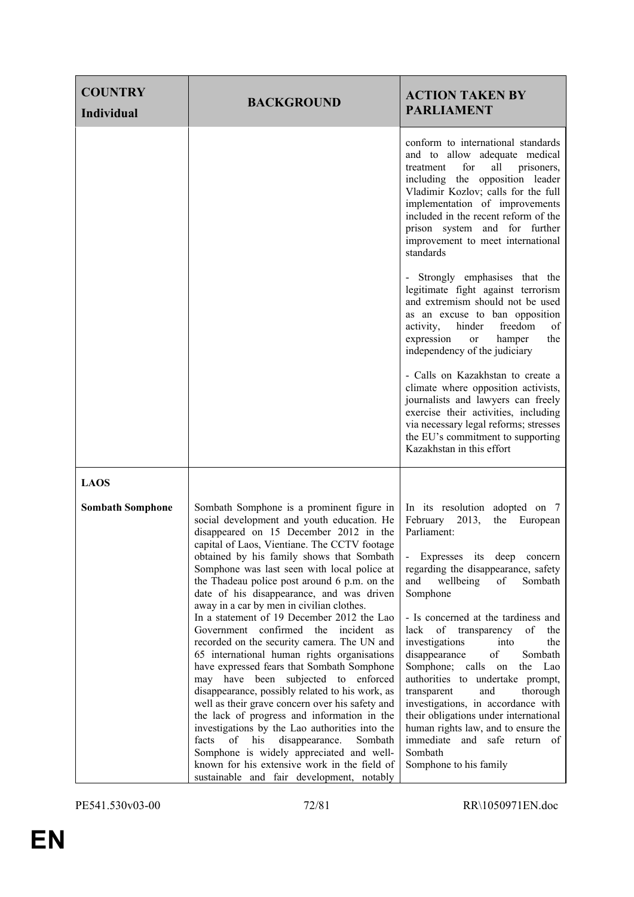| <b>COUNTRY</b><br><b>Individual</b> | <b>BACKGROUND</b>                                                                                                                                                                                                                                                                                                                                                                                                                                                                                                                                                                                                                                                                                                                                                                                                                                                                                                                                                                                                                                                                                      | <b>ACTION TAKEN BY</b><br><b>PARLIAMENT</b>                                                                                                                                                                                                                                                                                                                                                                                                                                                                                                                                                                                                                                                 |
|-------------------------------------|--------------------------------------------------------------------------------------------------------------------------------------------------------------------------------------------------------------------------------------------------------------------------------------------------------------------------------------------------------------------------------------------------------------------------------------------------------------------------------------------------------------------------------------------------------------------------------------------------------------------------------------------------------------------------------------------------------------------------------------------------------------------------------------------------------------------------------------------------------------------------------------------------------------------------------------------------------------------------------------------------------------------------------------------------------------------------------------------------------|---------------------------------------------------------------------------------------------------------------------------------------------------------------------------------------------------------------------------------------------------------------------------------------------------------------------------------------------------------------------------------------------------------------------------------------------------------------------------------------------------------------------------------------------------------------------------------------------------------------------------------------------------------------------------------------------|
|                                     |                                                                                                                                                                                                                                                                                                                                                                                                                                                                                                                                                                                                                                                                                                                                                                                                                                                                                                                                                                                                                                                                                                        | conform to international standards<br>and to allow adequate medical<br>for<br>all<br>prisoners,<br>treatment<br>including the opposition leader<br>Vladimir Kozlov; calls for the full<br>implementation of improvements<br>included in the recent reform of the<br>prison system and for further<br>improvement to meet international<br>standards                                                                                                                                                                                                                                                                                                                                         |
|                                     |                                                                                                                                                                                                                                                                                                                                                                                                                                                                                                                                                                                                                                                                                                                                                                                                                                                                                                                                                                                                                                                                                                        | Strongly emphasises that the<br>legitimate fight against terrorism<br>and extremism should not be used<br>as an excuse to ban opposition<br>hinder<br>freedom<br>activity,<br>of<br>expression<br>hamper<br>the<br>or<br>independency of the judiciary                                                                                                                                                                                                                                                                                                                                                                                                                                      |
|                                     |                                                                                                                                                                                                                                                                                                                                                                                                                                                                                                                                                                                                                                                                                                                                                                                                                                                                                                                                                                                                                                                                                                        | - Calls on Kazakhstan to create a<br>climate where opposition activists,<br>journalists and lawyers can freely<br>exercise their activities, including<br>via necessary legal reforms; stresses<br>the EU's commitment to supporting<br>Kazakhstan in this effort                                                                                                                                                                                                                                                                                                                                                                                                                           |
| <b>LAOS</b>                         |                                                                                                                                                                                                                                                                                                                                                                                                                                                                                                                                                                                                                                                                                                                                                                                                                                                                                                                                                                                                                                                                                                        |                                                                                                                                                                                                                                                                                                                                                                                                                                                                                                                                                                                                                                                                                             |
| <b>Sombath Somphone</b>             | Sombath Somphone is a prominent figure in<br>social development and youth education. He<br>disappeared on 15 December 2012 in the<br>capital of Laos, Vientiane. The CCTV footage<br>obtained by his family shows that Sombath<br>Somphone was last seen with local police at<br>the Thadeau police post around 6 p.m. on the<br>date of his disappearance, and was driven<br>away in a car by men in civilian clothes.<br>In a statement of 19 December 2012 the Lao<br>Government confirmed the incident<br>as<br>recorded on the security camera. The UN and<br>65 international human rights organisations<br>have expressed fears that Sombath Somphone<br>may have been subjected to enforced<br>disappearance, possibly related to his work, as<br>well as their grave concern over his safety and<br>the lack of progress and information in the<br>investigations by the Lao authorities into the<br>disappearance.<br>facts<br>of<br>his<br>Sombath<br>Somphone is widely appreciated and well-<br>known for his extensive work in the field of<br>sustainable and fair development, notably | In its resolution adopted on 7<br>February<br>2013,<br>the European<br>Parliament:<br>$\overline{\phantom{a}}$<br>Expresses its deep<br>concern<br>regarding the disappearance, safety<br>wellbeing<br>Sombath<br>and<br>of<br>Somphone<br>- Is concerned at the tardiness and<br>lack<br>of transparency<br>of<br>the<br>investigations<br>into<br>the<br>of<br>disappearance<br>Sombath<br>Somphone; calls on<br>the Lao<br>authorities to undertake prompt,<br>transparent<br>and<br>thorough<br>investigations, in accordance with<br>their obligations under international<br>human rights law, and to ensure the<br>immediate and safe return of<br>Sombath<br>Somphone to his family |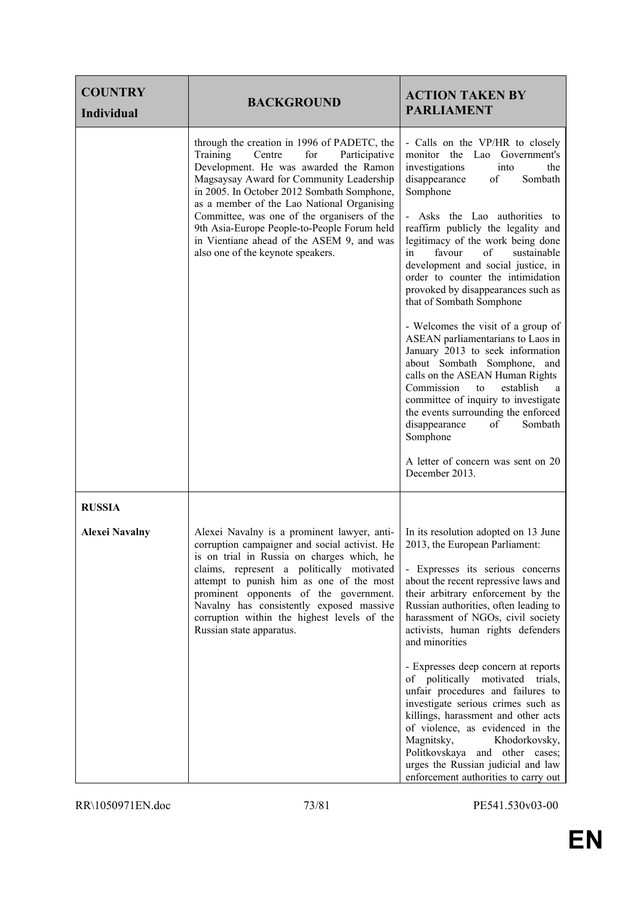| <b>COUNTRY</b><br><b>Individual</b> | <b>BACKGROUND</b>                                                                                                                                                                                                                                                                                                                                                                                                                                          | <b>ACTION TAKEN BY</b><br><b>PARLIAMENT</b>                                                                                                                                                                                                                                                                                                                                                                                                                                                                                                                                                                                                                                                                                                                                                                                                                |
|-------------------------------------|------------------------------------------------------------------------------------------------------------------------------------------------------------------------------------------------------------------------------------------------------------------------------------------------------------------------------------------------------------------------------------------------------------------------------------------------------------|------------------------------------------------------------------------------------------------------------------------------------------------------------------------------------------------------------------------------------------------------------------------------------------------------------------------------------------------------------------------------------------------------------------------------------------------------------------------------------------------------------------------------------------------------------------------------------------------------------------------------------------------------------------------------------------------------------------------------------------------------------------------------------------------------------------------------------------------------------|
|                                     | through the creation in 1996 of PADETC, the<br>Training<br>Centre<br>for<br>Participative<br>Development. He was awarded the Ramon<br>Magsaysay Award for Community Leadership<br>in 2005. In October 2012 Sombath Somphone,<br>as a member of the Lao National Organising<br>Committee, was one of the organisers of the<br>9th Asia-Europe People-to-People Forum held<br>in Vientiane ahead of the ASEM 9, and was<br>also one of the keynote speakers. | - Calls on the VP/HR to closely<br>monitor the Lao<br>Government's<br>investigations<br>the<br>into<br>disappearance<br>of<br>Sombath<br>Somphone<br>- Asks the Lao authorities to<br>reaffirm publicly the legality and<br>legitimacy of the work being done<br>favour<br>of<br>sustainable<br>in<br>development and social justice, in<br>order to counter the intimidation<br>provoked by disappearances such as<br>that of Sombath Somphone<br>- Welcomes the visit of a group of<br>ASEAN parliamentarians to Laos in<br>January 2013 to seek information<br>about Sombath Somphone, and<br>calls on the ASEAN Human Rights<br>Commission<br>establish<br>to<br>a<br>committee of inquiry to investigate<br>the events surrounding the enforced<br>disappearance<br>Sombath<br>of<br>Somphone<br>A letter of concern was sent on 20<br>December 2013. |
| <b>RUSSIA</b>                       |                                                                                                                                                                                                                                                                                                                                                                                                                                                            |                                                                                                                                                                                                                                                                                                                                                                                                                                                                                                                                                                                                                                                                                                                                                                                                                                                            |
| <b>Alexei Navalny</b>               | Alexei Navalny is a prominent lawyer, anti-<br>corruption campaigner and social activist. He<br>is on trial in Russia on charges which, he<br>claims, represent a politically motivated<br>attempt to punish him as one of the most<br>prominent opponents of the government.<br>Navalny has consistently exposed massive<br>corruption within the highest levels of the<br>Russian state apparatus.                                                       | In its resolution adopted on 13 June<br>2013, the European Parliament:<br>- Expresses its serious concerns<br>about the recent repressive laws and<br>their arbitrary enforcement by the<br>Russian authorities, often leading to<br>harassment of NGOs, civil society<br>activists, human rights defenders<br>and minorities<br>- Expresses deep concern at reports<br>of politically motivated trials,<br>unfair procedures and failures to<br>investigate serious crimes such as<br>killings, harassment and other acts<br>of violence, as evidenced in the<br>Magnitsky,<br>Khodorkovsky,<br>Politkovskaya and other cases;<br>urges the Russian judicial and law<br>enforcement authorities to carry out                                                                                                                                              |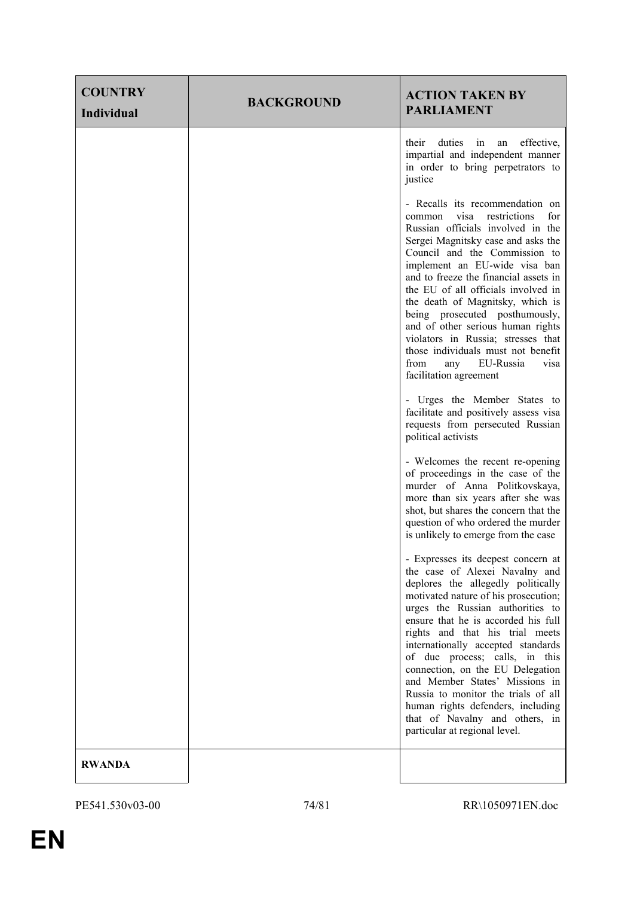| <b>COUNTRY</b><br><b>Individual</b> | <b>BACKGROUND</b> | <b>ACTION TAKEN BY</b><br><b>PARLIAMENT</b>                                                                                                                                                                                                                                                                                                                                                                                                                                                                                                                   |
|-------------------------------------|-------------------|---------------------------------------------------------------------------------------------------------------------------------------------------------------------------------------------------------------------------------------------------------------------------------------------------------------------------------------------------------------------------------------------------------------------------------------------------------------------------------------------------------------------------------------------------------------|
|                                     |                   | duties<br>effective,<br>their<br>in<br>an<br>impartial and independent manner<br>in order to bring perpetrators to<br>justice                                                                                                                                                                                                                                                                                                                                                                                                                                 |
|                                     |                   | - Recalls its recommendation on<br>for<br>common visa restrictions<br>Russian officials involved in the<br>Sergei Magnitsky case and asks the<br>Council and the Commission to<br>implement an EU-wide visa ban<br>and to freeze the financial assets in<br>the EU of all officials involved in<br>the death of Magnitsky, which is<br>being prosecuted posthumously,<br>and of other serious human rights<br>violators in Russia; stresses that<br>those individuals must not benefit<br>from<br>any EU-Russia<br>visa<br>facilitation agreement             |
|                                     |                   | - Urges the Member States to<br>facilitate and positively assess visa<br>requests from persecuted Russian<br>political activists                                                                                                                                                                                                                                                                                                                                                                                                                              |
|                                     |                   | - Welcomes the recent re-opening<br>of proceedings in the case of the<br>murder of Anna Politkovskaya,<br>more than six years after she was<br>shot, but shares the concern that the<br>question of who ordered the murder<br>is unlikely to emerge from the case                                                                                                                                                                                                                                                                                             |
|                                     |                   | - Expresses its deepest concern at<br>the case of Alexei Navalny and<br>deplores the allegedly politically<br>motivated nature of his prosecution;<br>urges the Russian authorities to<br>ensure that he is accorded his full<br>rights and that his trial meets<br>internationally accepted standards<br>of due process; calls, in this<br>connection, on the EU Delegation<br>and Member States' Missions in<br>Russia to monitor the trials of all<br>human rights defenders, including<br>that of Navalny and others, in<br>particular at regional level. |
| <b>RWANDA</b>                       |                   |                                                                                                                                                                                                                                                                                                                                                                                                                                                                                                                                                               |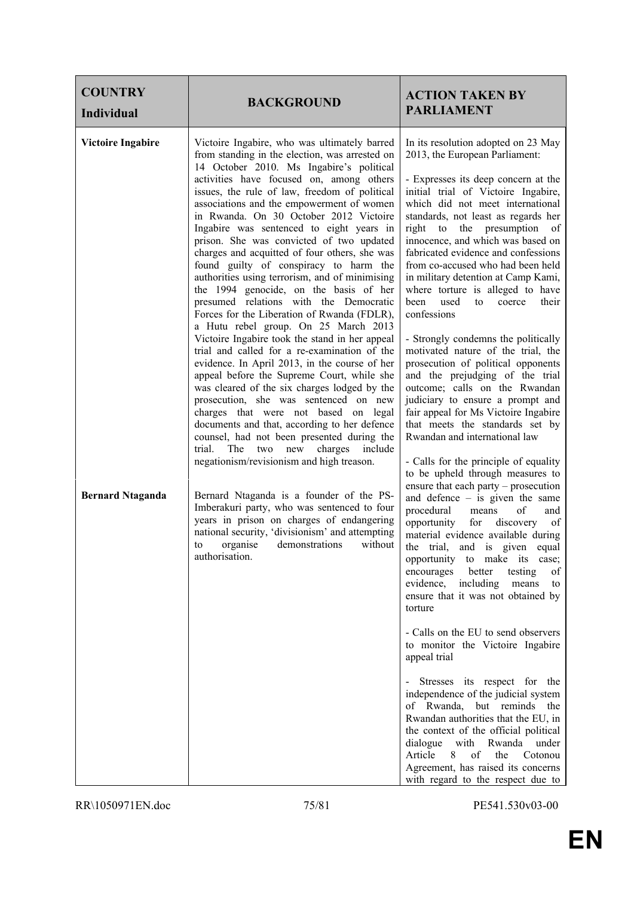| <b>COUNTRY</b><br><b>Individual</b> | <b>BACKGROUND</b>                                                                                                                                                                                                                                                                                                                                                                                                                                                                                                                                                                                                                                                                                                                                                                                                                                                                                                                                                                                                                                                                                                                                                                                                                                                       | <b>ACTION TAKEN BY</b><br><b>PARLIAMENT</b>                                                                                                                                                                                                                                                                                                                                                                                                                                                                                                                                                                                                                                                                                                                                                                                                                                                                                           |
|-------------------------------------|-------------------------------------------------------------------------------------------------------------------------------------------------------------------------------------------------------------------------------------------------------------------------------------------------------------------------------------------------------------------------------------------------------------------------------------------------------------------------------------------------------------------------------------------------------------------------------------------------------------------------------------------------------------------------------------------------------------------------------------------------------------------------------------------------------------------------------------------------------------------------------------------------------------------------------------------------------------------------------------------------------------------------------------------------------------------------------------------------------------------------------------------------------------------------------------------------------------------------------------------------------------------------|---------------------------------------------------------------------------------------------------------------------------------------------------------------------------------------------------------------------------------------------------------------------------------------------------------------------------------------------------------------------------------------------------------------------------------------------------------------------------------------------------------------------------------------------------------------------------------------------------------------------------------------------------------------------------------------------------------------------------------------------------------------------------------------------------------------------------------------------------------------------------------------------------------------------------------------|
| <b>Victoire Ingabire</b>            | Victoire Ingabire, who was ultimately barred<br>from standing in the election, was arrested on<br>14 October 2010. Ms Ingabire's political<br>activities have focused on, among others<br>issues, the rule of law, freedom of political<br>associations and the empowerment of women<br>in Rwanda. On 30 October 2012 Victoire<br>Ingabire was sentenced to eight years in<br>prison. She was convicted of two updated<br>charges and acquitted of four others, she was<br>found guilty of conspiracy to harm the<br>authorities using terrorism, and of minimising<br>the 1994 genocide, on the basis of her<br>presumed relations with the Democratic<br>Forces for the Liberation of Rwanda (FDLR),<br>a Hutu rebel group. On 25 March 2013<br>Victoire Ingabire took the stand in her appeal<br>trial and called for a re-examination of the<br>evidence. In April 2013, in the course of her<br>appeal before the Supreme Court, while she<br>was cleared of the six charges lodged by the<br>prosecution, she was sentenced on new<br>charges that were not based on legal<br>documents and that, according to her defence<br>counsel, had not been presented during the<br>trial.<br>The two new charges<br>include<br>negationism/revisionism and high treason. | In its resolution adopted on 23 May<br>2013, the European Parliament:<br>- Expresses its deep concern at the<br>initial trial of Victoire Ingabire,<br>which did not meet international<br>standards, not least as regards her<br>right to the presumption of<br>innocence, and which was based on<br>fabricated evidence and confessions<br>from co-accused who had been held<br>in military detention at Camp Kami,<br>where torture is alleged to have<br>been<br>used<br>their<br>to<br>coerce<br>confessions<br>- Strongly condemns the politically<br>motivated nature of the trial, the<br>prosecution of political opponents<br>and the prejudging of the trial<br>outcome; calls on the Rwandan<br>judiciary to ensure a prompt and<br>fair appeal for Ms Victoire Ingabire<br>that meets the standards set by<br>Rwandan and international law<br>- Calls for the principle of equality<br>to be upheld through measures to |
| <b>Bernard Ntaganda</b>             | Bernard Ntaganda is a founder of the PS-<br>Imberakuri party, who was sentenced to four<br>years in prison on charges of endangering<br>national security, 'divisionism' and attempting<br>organise<br>demonstrations<br>without<br>to<br>authorisation.                                                                                                                                                                                                                                                                                                                                                                                                                                                                                                                                                                                                                                                                                                                                                                                                                                                                                                                                                                                                                | ensure that each party – prosecution<br>and defence $-$ is given the same<br>procedural<br>of<br>means<br>and<br>opportunity<br>discovery<br>for<br>of<br>material evidence available during<br>the trial, and is given equal<br>opportunity to make its case;<br>encourages<br>testing<br>better<br>of<br>evidence, including<br>means<br>to<br>ensure that it was not obtained by<br>torture<br>- Calls on the EU to send observers<br>to monitor the Victoire Ingabire<br>appeal trial<br>- Stresses its respect for the<br>independence of the judicial system<br>of Rwanda, but reminds the<br>Rwandan authorities that the EU, in<br>the context of the official political<br>dialogue with Rwanda<br>under<br>8 of<br>Article<br>the<br>Cotonou<br>Agreement, has raised its concerns<br>with regard to the respect due to                                                                                                     |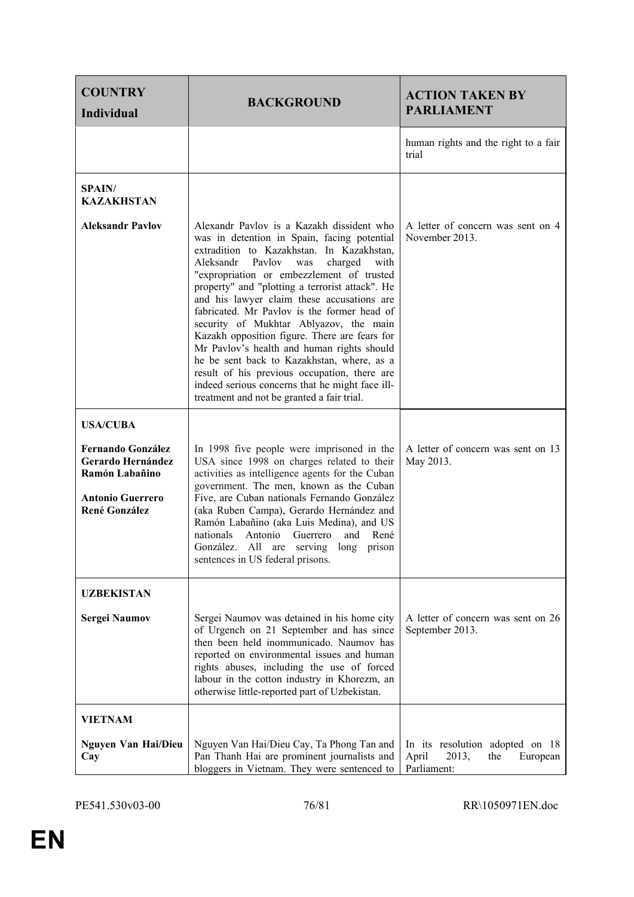| <b>COUNTRY</b><br><b>Individual</b>                                                                                                   | <b>BACKGROUND</b>                                                                                                                                                                                                                                                                                                                                                                                                                                                                                                                                                                                                                                                                                                           | <b>ACTION TAKEN BY</b><br><b>PARLIAMENT</b>                                         |
|---------------------------------------------------------------------------------------------------------------------------------------|-----------------------------------------------------------------------------------------------------------------------------------------------------------------------------------------------------------------------------------------------------------------------------------------------------------------------------------------------------------------------------------------------------------------------------------------------------------------------------------------------------------------------------------------------------------------------------------------------------------------------------------------------------------------------------------------------------------------------------|-------------------------------------------------------------------------------------|
|                                                                                                                                       |                                                                                                                                                                                                                                                                                                                                                                                                                                                                                                                                                                                                                                                                                                                             | human rights and the right to a fair<br>trial                                       |
| <b>SPAIN/</b><br><b>KAZAKHSTAN</b>                                                                                                    |                                                                                                                                                                                                                                                                                                                                                                                                                                                                                                                                                                                                                                                                                                                             |                                                                                     |
| <b>Aleksandr Pavlov</b>                                                                                                               | Alexandr Pavlov is a Kazakh dissident who<br>was in detention in Spain, facing potential<br>extradition to Kazakhstan. In Kazakhstan,<br>Aleksandr<br>Pavlov<br>charged<br>with<br>was<br>"expropriation or embezzlement of trusted<br>property" and "plotting a terrorist attack". He<br>and his lawyer claim these accusations are<br>fabricated. Mr Pavlov is the former head of<br>security of Mukhtar Ablyazov, the main<br>Kazakh opposition figure. There are fears for<br>Mr Pavlov's health and human rights should<br>he be sent back to Kazakhstan, where, as a<br>result of his previous occupation, there are<br>indeed serious concerns that he might face ill-<br>treatment and not be granted a fair trial. | A letter of concern was sent on 4<br>November 2013.                                 |
| <b>USA/CUBA</b><br><b>Fernando González</b><br>Gerardo Hernández<br>Ramón Labañino<br><b>Antonio Guerrero</b><br><b>René González</b> | In 1998 five people were imprisoned in the<br>USA since 1998 on charges related to their<br>activities as intelligence agents for the Cuban<br>government. The men, known as the Cuban<br>Five, are Cuban nationals Fernando González<br>(aka Ruben Campa), Gerardo Hernández and<br>Ramón Labañino (aka Luis Medina), and US<br>nationals<br>Antonio<br>Guerrero<br>René<br>and<br>González. All are serving long<br>prison<br>sentences in US federal prisons.                                                                                                                                                                                                                                                            | A letter of concern was sent on 13<br>May 2013.                                     |
| <b>UZBEKISTAN</b><br><b>Sergei Naumov</b>                                                                                             | A letter of concern was sent on 26<br>Sergei Naumov was detained in his home city<br>of Urgench on 21 September and has since<br>September 2013.<br>then been held inommunicado. Naumov has<br>reported on environmental issues and human<br>rights abuses, including the use of forced<br>labour in the cotton industry in Khorezm, an<br>otherwise little-reported part of Uzbekistan.                                                                                                                                                                                                                                                                                                                                    |                                                                                     |
| <b>VIETNAM</b><br><b>Nguyen Van Hai/Dieu</b><br>Cay                                                                                   | Nguyen Van Hai/Dieu Cay, Ta Phong Tan and<br>Pan Thanh Hai are prominent journalists and<br>bloggers in Vietnam. They were sentenced to                                                                                                                                                                                                                                                                                                                                                                                                                                                                                                                                                                                     | In its resolution adopted on 18<br>April<br>2013,<br>the<br>European<br>Parliament: |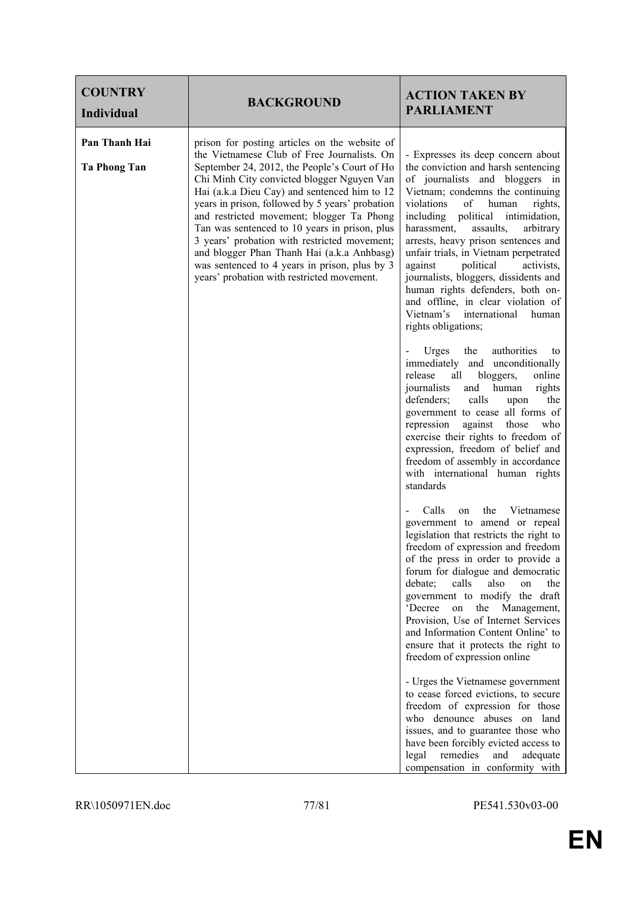| <b>COUNTRY</b><br><b>Individual</b>  | <b>BACKGROUND</b>                                                                                                                                                                                                                                                                                                                                                                                                                                                                                                                                                                        | <b>ACTION TAKEN BY</b><br><b>PARLIAMENT</b>                                                                                                                                                                                                                                                                                                                                                                                                                                                                                                                                  |
|--------------------------------------|------------------------------------------------------------------------------------------------------------------------------------------------------------------------------------------------------------------------------------------------------------------------------------------------------------------------------------------------------------------------------------------------------------------------------------------------------------------------------------------------------------------------------------------------------------------------------------------|------------------------------------------------------------------------------------------------------------------------------------------------------------------------------------------------------------------------------------------------------------------------------------------------------------------------------------------------------------------------------------------------------------------------------------------------------------------------------------------------------------------------------------------------------------------------------|
| Pan Thanh Hai<br><b>Ta Phong Tan</b> | prison for posting articles on the website of<br>the Vietnamese Club of Free Journalists. On<br>September 24, 2012, the People's Court of Ho<br>Chi Minh City convicted blogger Nguyen Van<br>Hai (a.k.a Dieu Cay) and sentenced him to 12<br>years in prison, followed by 5 years' probation<br>and restricted movement; blogger Ta Phong<br>Tan was sentenced to 10 years in prison, plus<br>3 years' probation with restricted movement;<br>and blogger Phan Thanh Hai (a.k.a Anhbasg)<br>was sentenced to 4 years in prison, plus by 3<br>years' probation with restricted movement. | - Expresses its deep concern about<br>the conviction and harsh sentencing<br>of journalists and bloggers in<br>Vietnam; condemns the continuing<br>violations<br>of<br>rights,<br>human<br>including<br>political intimidation,<br>harassment,<br>assaults,<br>arbitrary<br>arrests, heavy prison sentences and<br>unfair trials, in Vietnam perpetrated<br>political<br>against<br>activists,<br>journalists, bloggers, dissidents and<br>human rights defenders, both on-<br>and offline, in clear violation of<br>Vietnam's international<br>human<br>rights obligations; |
|                                      |                                                                                                                                                                                                                                                                                                                                                                                                                                                                                                                                                                                          | authorities<br>Urges<br>the<br>to<br>immediately<br>and unconditionally<br>release<br>bloggers,<br>all<br>online<br>human<br>journalists<br>rights<br>and<br>defenders;<br>calls<br>the<br>upon<br>government to cease all forms of<br>against those<br>repression<br>who<br>exercise their rights to freedom of<br>expression, freedom of belief and<br>freedom of assembly in accordance<br>with international human rights<br>standards                                                                                                                                   |
|                                      |                                                                                                                                                                                                                                                                                                                                                                                                                                                                                                                                                                                          | Calls<br>the<br>Vietnamese<br>on<br>government to amend or repeal<br>legislation that restricts the right to<br>freedom of expression and freedom<br>of the press in order to provide a<br>forum for dialogue and democratic<br>debate;<br>calls<br>also<br>the<br>on<br>government to modify the draft<br>'Decree<br>on<br>the Management,<br>Provision, Use of Internet Services<br>and Information Content Online' to<br>ensure that it protects the right to<br>freedom of expression online                                                                             |
|                                      |                                                                                                                                                                                                                                                                                                                                                                                                                                                                                                                                                                                          | - Urges the Vietnamese government<br>to cease forced evictions, to secure<br>freedom of expression for those<br>who denounce abuses on land<br>issues, and to guarantee those who<br>have been forcibly evicted access to<br>legal remedies<br>and<br>adequate<br>compensation in conformity with                                                                                                                                                                                                                                                                            |

## RR\1050971EN.doc 77/81 PE541.530v03-00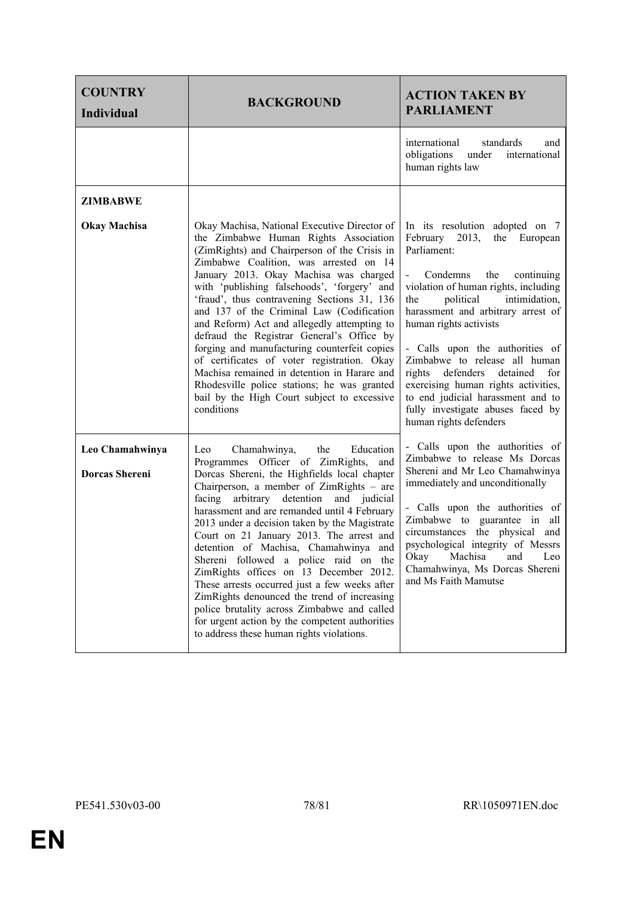| <b>COUNTRY</b><br><b>Individual</b>      | <b>BACKGROUND</b>                                                                                                                                                                                                                                                                                                                                                                                                                                                                                                                                                                                                                                                                                                                                   | <b>ACTION TAKEN BY</b><br><b>PARLIAMENT</b>                                                                                                                                                                                                                                                                                                                                                                                                                                                                         |
|------------------------------------------|-----------------------------------------------------------------------------------------------------------------------------------------------------------------------------------------------------------------------------------------------------------------------------------------------------------------------------------------------------------------------------------------------------------------------------------------------------------------------------------------------------------------------------------------------------------------------------------------------------------------------------------------------------------------------------------------------------------------------------------------------------|---------------------------------------------------------------------------------------------------------------------------------------------------------------------------------------------------------------------------------------------------------------------------------------------------------------------------------------------------------------------------------------------------------------------------------------------------------------------------------------------------------------------|
|                                          |                                                                                                                                                                                                                                                                                                                                                                                                                                                                                                                                                                                                                                                                                                                                                     | international<br>standards<br>and<br>obligations<br>under<br>international<br>human rights law                                                                                                                                                                                                                                                                                                                                                                                                                      |
| ZIMBABWE                                 |                                                                                                                                                                                                                                                                                                                                                                                                                                                                                                                                                                                                                                                                                                                                                     |                                                                                                                                                                                                                                                                                                                                                                                                                                                                                                                     |
| <b>Okay Machisa</b>                      | Okay Machisa, National Executive Director of<br>the Zimbabwe Human Rights Association<br>(ZimRights) and Chairperson of the Crisis in<br>Zimbabwe Coalition, was arrested on 14<br>January 2013. Okay Machisa was charged<br>with 'publishing falsehoods', 'forgery' and<br>'fraud', thus contravening Sections 31, 136<br>and 137 of the Criminal Law (Codification<br>and Reform) Act and allegedly attempting to<br>defraud the Registrar General's Office by<br>forging and manufacturing counterfeit copies<br>of certificates of voter registration. Okay<br>Machisa remained in detention in Harare and<br>Rhodesville police stations; he was granted<br>bail by the High Court subject to excessive<br>conditions                          | In its resolution adopted on 7<br>February 2013,<br>the European<br>Parliament:<br>Condemns<br>the<br>continuing<br>violation of human rights, including<br>intimidation,<br>political<br>the<br>harassment and arbitrary arrest of<br>human rights activists<br>- Calls upon the authorities of<br>Zimbabwe to release all human<br>rights defenders<br>detained<br>for<br>exercising human rights activities,<br>to end judicial harassment and to<br>fully investigate abuses faced by<br>human rights defenders |
| Leo Chamahwinya<br><b>Dorcas Shereni</b> | the<br>Chamahwinya,<br>Education<br>Leo<br>Programmes Officer of ZimRights, and<br>Dorcas Shereni, the Highfields local chapter<br>Chairperson, a member of ZimRights - are<br>arbitrary detention<br>and judicial<br>facing<br>harassment and are remanded until 4 February<br>2013 under a decision taken by the Magistrate<br>Court on 21 January 2013. The arrest and<br>detention of Machisa, Chamahwinya and<br>Shereni followed a police raid on the<br>ZimRights offices on 13 December 2012.<br>These arrests occurred just a few weeks after<br>ZimRights denounced the trend of increasing<br>police brutality across Zimbabwe and called<br>for urgent action by the competent authorities<br>to address these human rights violations. | - Calls upon the authorities of<br>Zimbabwe to release Ms Dorcas<br>Shereni and Mr Leo Chamahwinya<br>immediately and unconditionally<br>- Calls upon the authorities of<br>Zimbabwe to guarantee in<br>all<br>circumstances the physical and<br>psychological integrity of Messrs<br>Okay<br>Machisa<br>and<br>Leo<br>Chamahwinya, Ms Dorcas Shereni<br>and Ms Faith Mamutse                                                                                                                                       |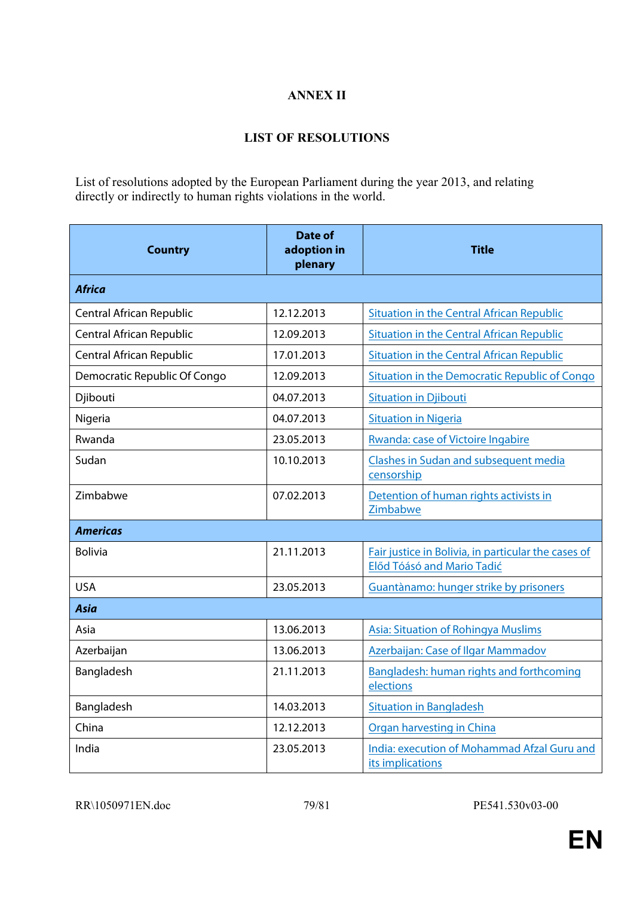## **ANNEX II**

## **LIST OF RESOLUTIONS**

List of resolutions adopted by the European Parliament during the year 2013, and relating directly or indirectly to human rights violations in the world.

| <b>Country</b>               | <b>Date of</b><br>adoption in<br>plenary | <b>Title</b>                                                                      |
|------------------------------|------------------------------------------|-----------------------------------------------------------------------------------|
| <b>Africa</b>                |                                          |                                                                                   |
| Central African Republic     | 12.12.2013                               | <b>Situation in the Central African Republic</b>                                  |
| Central African Republic     | 12.09.2013                               | <b>Situation in the Central African Republic</b>                                  |
| Central African Republic     | 17.01.2013                               | <b>Situation in the Central African Republic</b>                                  |
| Democratic Republic Of Congo | 12.09.2013                               | Situation in the Democratic Republic of Congo                                     |
| Djibouti                     | 04.07.2013                               | <b>Situation in Djibouti</b>                                                      |
| Nigeria                      | 04.07.2013                               | <b>Situation in Nigeria</b>                                                       |
| Rwanda                       | 23.05.2013                               | Rwanda: case of Victoire Ingabire                                                 |
| Sudan                        | 10.10.2013                               | <b>Clashes in Sudan and subsequent media</b><br>censorship                        |
| Zimbabwe                     | 07.02.2013                               | Detention of human rights activists in<br>Zimbabwe                                |
| <b>Americas</b>              |                                          |                                                                                   |
| <b>Bolivia</b>               | 21.11.2013                               | Fair justice in Bolivia, in particular the cases of<br>Előd Tóásó and Mario Tadić |
| <b>USA</b>                   | 23.05.2013                               | Guantànamo: hunger strike by prisoners                                            |
| <b>Asia</b>                  |                                          |                                                                                   |
| Asia                         | 13.06.2013                               | <b>Asia: Situation of Rohingya Muslims</b>                                        |
| Azerbaijan                   | 13.06.2013                               | Azerbaijan: Case of Ilgar Mammadov                                                |
| Bangladesh                   | 21.11.2013                               | Bangladesh: human rights and forthcoming<br>elections                             |
| Bangladesh                   | 14.03.2013                               | <b>Situation in Bangladesh</b>                                                    |
| China                        | 12.12.2013                               | <b>Organ harvesting in China</b>                                                  |
| India                        | 23.05.2013                               | India: execution of Mohammad Afzal Guru and<br>its implications                   |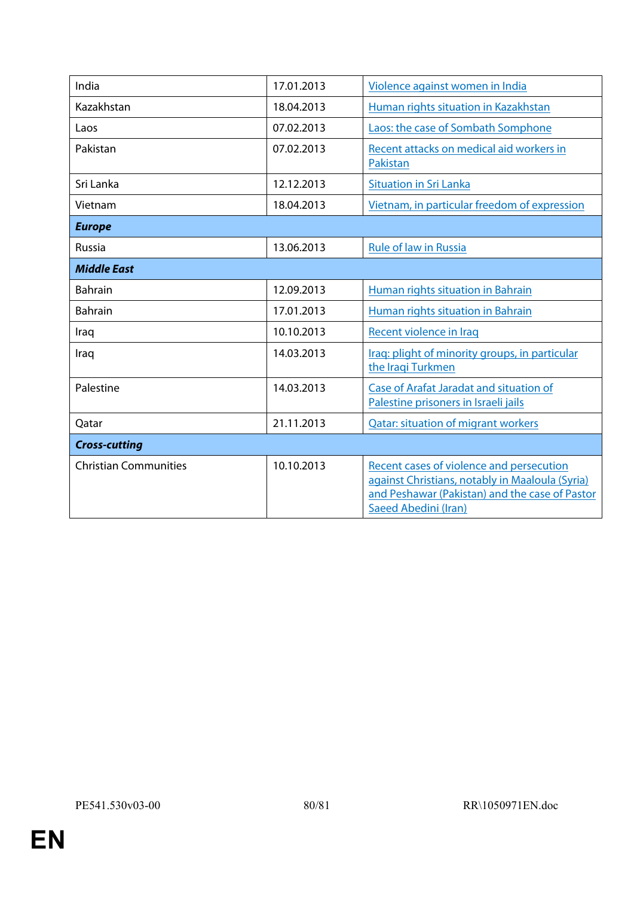| India                        | 17.01.2013 | Violence against women in India                                                                                                                                       |
|------------------------------|------------|-----------------------------------------------------------------------------------------------------------------------------------------------------------------------|
| Kazakhstan                   | 18.04.2013 | Human rights situation in Kazakhstan                                                                                                                                  |
| Laos                         | 07.02.2013 | Laos: the case of Sombath Somphone                                                                                                                                    |
| Pakistan                     | 07.02.2013 | Recent attacks on medical aid workers in<br><b>Pakistan</b>                                                                                                           |
| Sri Lanka                    | 12.12.2013 | <b>Situation in Sri Lanka</b>                                                                                                                                         |
| Vietnam                      | 18.04.2013 | Vietnam, in particular freedom of expression                                                                                                                          |
| <b>Europe</b>                |            |                                                                                                                                                                       |
| Russia                       | 13.06.2013 | <b>Rule of law in Russia</b>                                                                                                                                          |
| <b>Middle East</b>           |            |                                                                                                                                                                       |
| <b>Bahrain</b>               | 12.09.2013 | Human rights situation in Bahrain                                                                                                                                     |
| <b>Bahrain</b>               | 17.01.2013 | Human rights situation in Bahrain                                                                                                                                     |
| Iraq                         | 10.10.2013 | Recent violence in Iraq                                                                                                                                               |
| Iraq                         | 14.03.2013 | Iraq: plight of minority groups, in particular<br>the Iraqi Turkmen                                                                                                   |
| Palestine                    | 14.03.2013 | Case of Arafat Jaradat and situation of<br>Palestine prisoners in Israeli jails                                                                                       |
| Qatar                        | 21.11.2013 | <b>Qatar: situation of migrant workers</b>                                                                                                                            |
| <b>Cross-cutting</b>         |            |                                                                                                                                                                       |
| <b>Christian Communities</b> | 10.10.2013 | Recent cases of violence and persecution<br>against Christians, notably in Maaloula (Syria)<br>and Peshawar (Pakistan) and the case of Pastor<br>Saeed Abedini (Iran) |